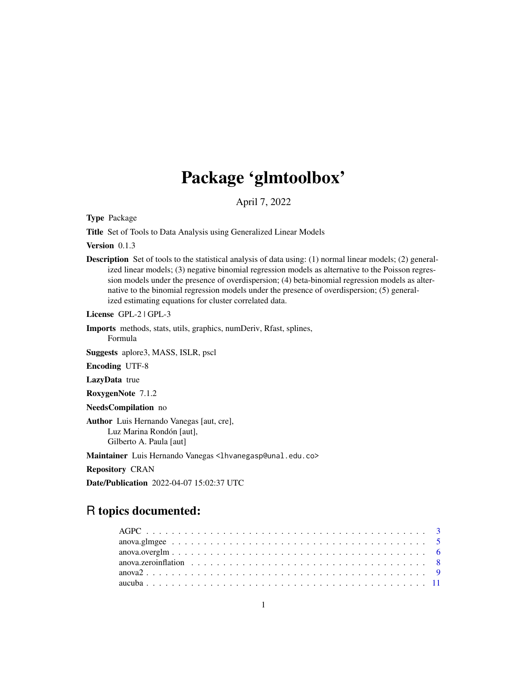# Package 'glmtoolbox'

April 7, 2022

Type Package

Title Set of Tools to Data Analysis using Generalized Linear Models

Version 0.1.3

Description Set of tools to the statistical analysis of data using: (1) normal linear models; (2) generalized linear models; (3) negative binomial regression models as alternative to the Poisson regression models under the presence of overdispersion; (4) beta-binomial regression models as alternative to the binomial regression models under the presence of overdispersion; (5) generalized estimating equations for cluster correlated data.

License GPL-2 | GPL-3

Imports methods, stats, utils, graphics, numDeriv, Rfast, splines, Formula

Suggests aplore3, MASS, ISLR, pscl

Encoding UTF-8

LazyData true

RoxygenNote 7.1.2

NeedsCompilation no

Author Luis Hernando Vanegas [aut, cre], Luz Marina Rondón [aut], Gilberto A. Paula [aut]

Maintainer Luis Hernando Vanegas <lhvanegasp@unal.edu.co>

Repository CRAN

Date/Publication 2022-04-07 15:02:37 UTC

# R topics documented: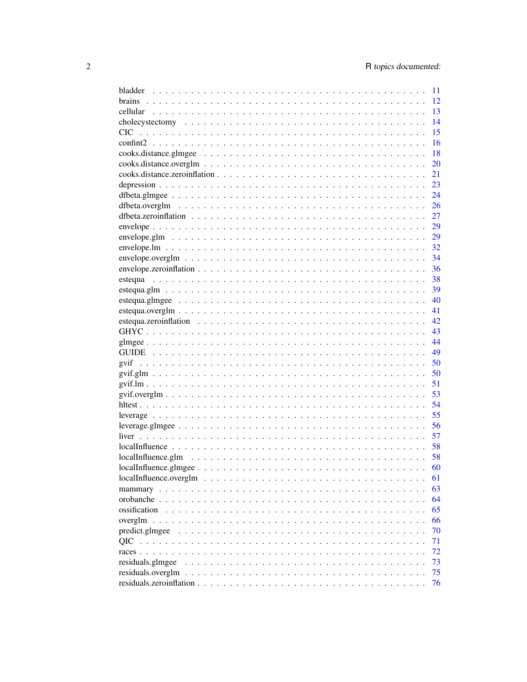|                                                                                                                                   | 11 |
|-----------------------------------------------------------------------------------------------------------------------------------|----|
|                                                                                                                                   | 12 |
|                                                                                                                                   | 13 |
|                                                                                                                                   | 14 |
| <b>CIC</b>                                                                                                                        | 15 |
|                                                                                                                                   | 16 |
|                                                                                                                                   | 18 |
|                                                                                                                                   | 20 |
|                                                                                                                                   | 21 |
|                                                                                                                                   | 23 |
|                                                                                                                                   | 24 |
|                                                                                                                                   | 26 |
|                                                                                                                                   | 27 |
|                                                                                                                                   | 29 |
| $envelope.glm \dots \dots \dots \dots \dots \dots \dots \dots \dots \dots \dots \dots \dots \dots \dots \dots \dots$              | 29 |
|                                                                                                                                   |    |
|                                                                                                                                   | 32 |
|                                                                                                                                   | 34 |
|                                                                                                                                   | 36 |
|                                                                                                                                   | 38 |
|                                                                                                                                   | 39 |
|                                                                                                                                   | 40 |
|                                                                                                                                   | 41 |
|                                                                                                                                   | 42 |
|                                                                                                                                   | 43 |
|                                                                                                                                   | 44 |
|                                                                                                                                   | 49 |
|                                                                                                                                   | 50 |
|                                                                                                                                   | 50 |
|                                                                                                                                   | 51 |
| $\text{gvif.overglm} \dots \dots \dots \dots \dots \dots \dots \dots \dots \dots \dots \dots \dots \dots \dots \dots \dots \dots$ | 53 |
|                                                                                                                                   | 54 |
|                                                                                                                                   | 55 |
|                                                                                                                                   | 56 |
|                                                                                                                                   | 57 |
|                                                                                                                                   | 58 |
| $local Influence, glm \dots \dots \dots \dots \dots \dots \dots \dots \dots \dots \dots \dots \dots \dots \dots \dots$            | 58 |
|                                                                                                                                   | 60 |
| $local Influence. overglm \dots \dots \dots \dots \dots \dots \dots \dots \dots \dots \dots \dots \dots \dots$                    | 61 |
|                                                                                                                                   | 63 |
|                                                                                                                                   | 64 |
| ossification                                                                                                                      | 65 |
|                                                                                                                                   | 66 |
| predict.glmgee                                                                                                                    | 70 |
|                                                                                                                                   |    |
|                                                                                                                                   | 71 |
|                                                                                                                                   | 72 |
| residuals.glmgee                                                                                                                  | 73 |
| residuals.overglm                                                                                                                 | 75 |
|                                                                                                                                   | 76 |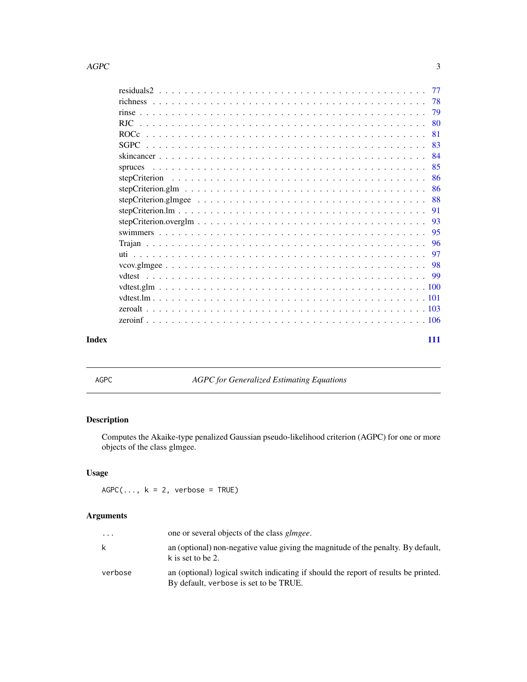#### <span id="page-2-0"></span> $\angle$  AGPC 3

| Index | 111 |  |
|-------|-----|--|
|       |     |  |

<span id="page-2-1"></span>AGPC *AGPC for Generalized Estimating Equations*

# Description

Computes the Akaike-type penalized Gaussian pseudo-likelihood criterion (AGPC) for one or more objects of the class glmgee.

# Usage

 $AGPC(..., k = 2, verbose = TRUE)$ 

| $\ddotsc$ | one or several objects of the class <i>glmgee</i> .                                                                           |
|-----------|-------------------------------------------------------------------------------------------------------------------------------|
| k         | an (optional) non-negative value giving the magnitude of the penalty. By default,<br>k is set to be 2.                        |
| verbose   | an (optional) logical switch indicating if should the report of results be printed.<br>By default, verbose is set to be TRUE. |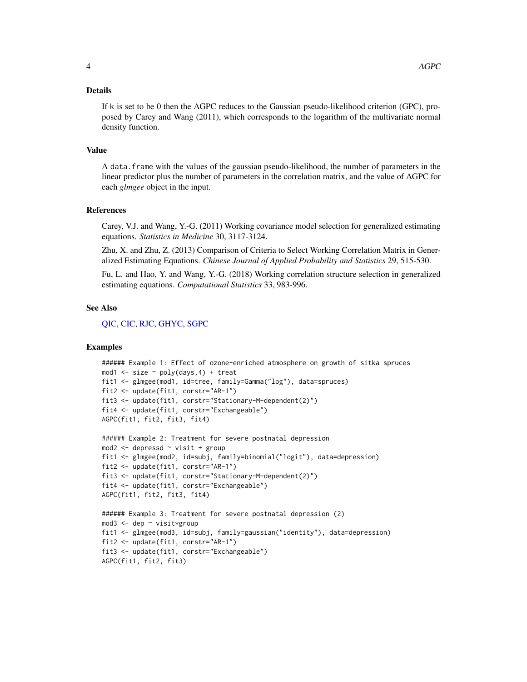#### Details

If k is set to be 0 then the AGPC reduces to the Gaussian pseudo-likelihood criterion (GPC), proposed by Carey and Wang (2011), which corresponds to the logarithm of the multivariate normal density function.

#### Value

A data.frame with the values of the gaussian pseudo-likelihood, the number of parameters in the linear predictor plus the number of parameters in the correlation matrix, and the value of AGPC for each *glmgee* object in the input.

#### References

Carey, V.J. and Wang, Y.-G. (2011) Working covariance model selection for generalized estimating equations. *Statistics in Medicine* 30, 3117-3124.

Zhu, X. and Zhu, Z. (2013) Comparison of Criteria to Select Working Correlation Matrix in Generalized Estimating Equations. *Chinese Journal of Applied Probability and Statistics* 29, 515-530.

Fu, L. and Hao, Y. and Wang, Y.-G. (2018) Working correlation structure selection in generalized estimating equations. *Computational Statistics* 33, 983-996.

#### See Also

[QIC,](#page-70-1) [CIC,](#page-14-1) [RJC,](#page-79-1) [GHYC,](#page-42-1) [SGPC](#page-82-1)

```
###### Example 1: Effect of ozone-enriched atmosphere on growth of sitka spruces
mod1 \le size \sim poly(days, 4) + treat
fit1 <- glmgee(mod1, id=tree, family=Gamma("log"), data=spruces)
fit2 <- update(fit1, corstr="AR-1")
fit3 <- update(fit1, corstr="Stationary-M-dependent(2)")
fit4 <- update(fit1, corstr="Exchangeable")
AGPC(fit1, fit2, fit3, fit4)
###### Example 2: Treatment for severe postnatal depression
```

```
mod2 <- depressd ~ visit + group
fit1 <- glmgee(mod2, id=subj, family=binomial("logit"), data=depression)
fit2 <- update(fit1, corstr="AR-1")
fit3 <- update(fit1, corstr="Stationary-M-dependent(2)")
fit4 <- update(fit1, corstr="Exchangeable")
AGPC(fit1, fit2, fit3, fit4)
```

```
###### Example 3: Treatment for severe postnatal depression (2)
mod3 <- dep ~ visit*group
fit1 <- glmgee(mod3, id=subj, family=gaussian("identity"), data=depression)
fit2 <- update(fit1, corstr="AR-1")
fit3 <- update(fit1, corstr="Exchangeable")
AGPC(fit1, fit2, fit3)
```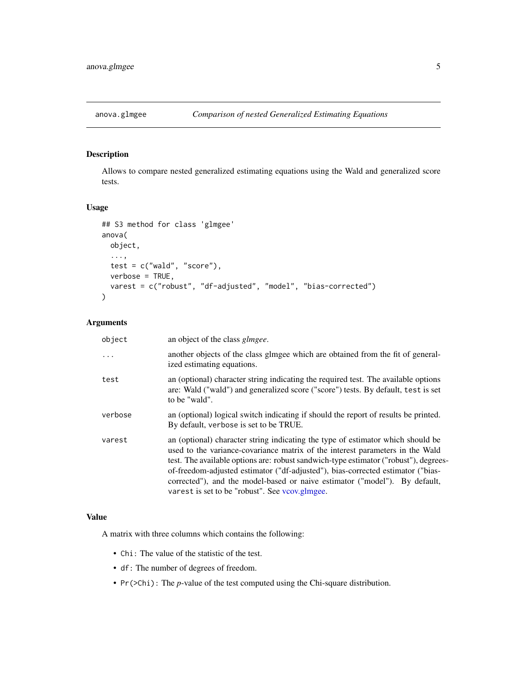<span id="page-4-0"></span>

Allows to compare nested generalized estimating equations using the Wald and generalized score tests.

#### Usage

```
## S3 method for class 'glmgee'
anova(
 object,
  ...,
  test = c("wald", "score"),verbose = TRUE,
  varest = c("robust", "df-adjusted", "model", "bias-corrected")
)
```
# Arguments

| object   | an object of the class <i>glmgee</i> .                                                                                                                                                                                                                                                                                                                                                                                                                                      |
|----------|-----------------------------------------------------------------------------------------------------------------------------------------------------------------------------------------------------------------------------------------------------------------------------------------------------------------------------------------------------------------------------------------------------------------------------------------------------------------------------|
| $\cdots$ | another objects of the class glmgee which are obtained from the fit of general-<br>ized estimating equations.                                                                                                                                                                                                                                                                                                                                                               |
| test     | an (optional) character string indicating the required test. The available options<br>are: Wald ("wald") and generalized score ("score") tests. By default, test is set<br>to be "wald".                                                                                                                                                                                                                                                                                    |
| verbose  | an (optional) logical switch indicating if should the report of results be printed.<br>By default, verbose is set to be TRUE.                                                                                                                                                                                                                                                                                                                                               |
| varest   | an (optional) character string indicating the type of estimator which should be<br>used to the variance-covariance matrix of the interest parameters in the Wald<br>test. The available options are: robust sandwich-type estimator ("robust"), degrees-<br>of-freedom-adjusted estimator ("df-adjusted"), bias-corrected estimator ("bias-<br>corrected"), and the model-based or naive estimator ("model"). By default,<br>varest is set to be "robust". See vcov.glmgee. |

# Value

A matrix with three columns which contains the following:

- Chi: The value of the statistic of the test.
- df: The number of degrees of freedom.
- Pr(>Chi): The *p*-value of the test computed using the Chi-square distribution.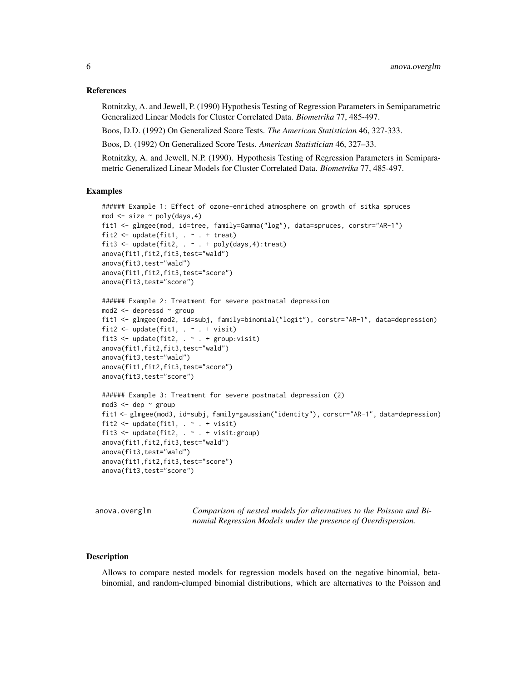#### <span id="page-5-0"></span>References

Rotnitzky, A. and Jewell, P. (1990) Hypothesis Testing of Regression Parameters in Semiparametric Generalized Linear Models for Cluster Correlated Data. *Biometrika* 77, 485-497.

Boos, D.D. (1992) On Generalized Score Tests. *The American Statistician* 46, 327-333.

Boos, D. (1992) On Generalized Score Tests. *American Statistician* 46, 327–33.

Rotnitzky, A. and Jewell, N.P. (1990). Hypothesis Testing of Regression Parameters in Semiparametric Generalized Linear Models for Cluster Correlated Data. *Biometrika* 77, 485-497.

#### Examples

```
###### Example 1: Effect of ozone-enriched atmosphere on growth of sitka spruces
mod \le - size \sim poly(days, 4)fit1 <- glmgee(mod, id=tree, family=Gamma("log"), data=spruces, corstr="AR-1")
fit2 <- update(fit1, \ldots + treat)
fit3 <- update(fit2, \cdot \sim \cdot + poly(days, 4): treat)
anova(fit1,fit2,fit3,test="wald")
anova(fit3,test="wald")
anova(fit1,fit2,fit3,test="score")
anova(fit3,test="score")
###### Example 2: Treatment for severe postnatal depression
mod2 <- depressd ~ group
fit1 <- glmgee(mod2, id=subj, family=binomial("logit"), corstr="AR-1", data=depression)
fit2 \leq update(fit1, . \sim . + visit)
fit3 \leftarrow update(fit2, . \sim . + group: visit)
anova(fit1,fit2,fit3,test="wald")
anova(fit3,test="wald")
anova(fit1,fit2,fit3,test="score")
anova(fit3,test="score")
###### Example 3: Treatment for severe postnatal depression (2)
mod3 <- dep \sim group
fit1 <- glmgee(mod3, id=subj, family=gaussian("identity"), corstr="AR-1", data=depression)
fit2 \leftarrow update(fit1, . \sim . + visit)
fit3 <- update(fit2, \cdot \cdot \cdot + visit:group)
anova(fit1,fit2,fit3,test="wald")
anova(fit3,test="wald")
anova(fit1,fit2,fit3,test="score")
anova(fit3,test="score")
```
anova.overglm *Comparison of nested models for alternatives to the Poisson and Binomial Regression Models under the presence of Overdispersion.*

#### **Description**

Allows to compare nested models for regression models based on the negative binomial, betabinomial, and random-clumped binomial distributions, which are alternatives to the Poisson and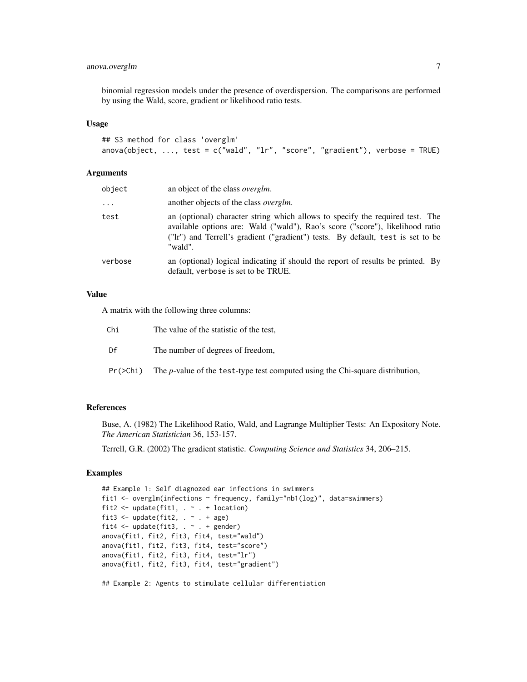# anova.overglm 7

binomial regression models under the presence of overdispersion. The comparisons are performed by using the Wald, score, gradient or likelihood ratio tests.

#### Usage

```
## S3 method for class 'overglm'
anova(object, \dots, test = c("wald", "lr", "score", "gradient"), verbose = TRUE)
```
#### Arguments

| object   | an object of the class overglm.                                                                                                                                                                                                                              |
|----------|--------------------------------------------------------------------------------------------------------------------------------------------------------------------------------------------------------------------------------------------------------------|
| $\cdots$ | another objects of the class <i>overglm</i> .                                                                                                                                                                                                                |
| test     | an (optional) character string which allows to specify the required test. The<br>available options are: Wald ("wald"), Rao's score ("score"), likelihood ratio<br>("Ir") and Terrell's gradient ("gradient") tests. By default, test is set to be<br>"wald". |
| verbose  | an (optional) logical indicating if should the report of results be printed. By<br>default, verbose is set to be TRUE.                                                                                                                                       |

# Value

A matrix with the following three columns:

| Chi      | The value of the statistic of the test,                                               |
|----------|---------------------------------------------------------------------------------------|
| Df       | The number of degrees of freedom,                                                     |
| Pr(>Chi) | The <i>p</i> -value of the test-type test computed using the Chi-square distribution, |

# References

Buse, A. (1982) The Likelihood Ratio, Wald, and Lagrange Multiplier Tests: An Expository Note. *The American Statistician* 36, 153-157.

Terrell, G.R. (2002) The gradient statistic. *Computing Science and Statistics* 34, 206–215.

```
## Example 1: Self diagnozed ear infections in swimmers
fit1 <- overglm(infections ~ frequency, family="nb1(log)", data=swimmers)
fit2 \leq update(fit1, . \sim . + location)
fit3 <- update(fit2, \cdot \sim \cdot + age)
fit4 \leq update(fit3, \leq + gender)
anova(fit1, fit2, fit3, fit4, test="wald")
anova(fit1, fit2, fit3, fit4, test="score")
anova(fit1, fit2, fit3, fit4, test="lr")
anova(fit1, fit2, fit3, fit4, test="gradient")
## Example 2: Agents to stimulate cellular differentiation
```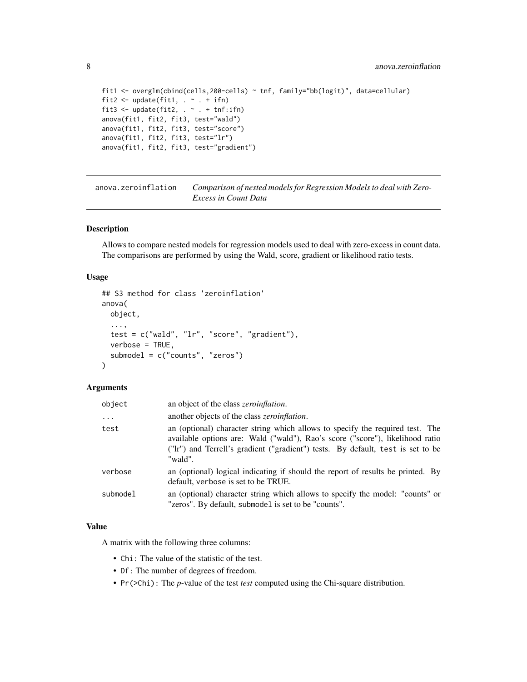```
fit1 <- overglm(cbind(cells,200-cells) ~ tnf, family="bb(logit)", data=cellular)
fit2 <- update(fit1, . \sim . + ifn)
fit3 <- update(fit2, . ~ ~ ~ ~ + ~tnf:ifn)
anova(fit1, fit2, fit3, test="wald")
anova(fit1, fit2, fit3, test="score")
anova(fit1, fit2, fit3, test="lr")
anova(fit1, fit2, fit3, test="gradient")
```
anova.zeroinflation *Comparison of nested models for Regression Models to deal with Zero-Excess in Count Data*

#### Description

Allows to compare nested models for regression models used to deal with zero-excess in count data. The comparisons are performed by using the Wald, score, gradient or likelihood ratio tests.

#### Usage

```
## S3 method for class 'zeroinflation'
anova(
 object,
  ...,
  test = c("wald", "lr", "score", "gradient"),
  verbose = TRUE,
  submodel = c("counts", "zeros")
)
```
#### Arguments

| object   | an object of the class <i>zeroinflation</i> .                                                                                                                                                                                                                |
|----------|--------------------------------------------------------------------------------------------------------------------------------------------------------------------------------------------------------------------------------------------------------------|
| $\cdots$ | another objects of the class <i>zeroinflation</i> .                                                                                                                                                                                                          |
| test     | an (optional) character string which allows to specify the required test. The<br>available options are: Wald ("wald"), Rao's score ("score"), likelihood ratio<br>("Ir") and Terrell's gradient ("gradient") tests. By default, test is set to be<br>"wald". |
| verbose  | an (optional) logical indicating if should the report of results be printed. By<br>default, verbose is set to be TRUE.                                                                                                                                       |
| submodel | an (optional) character string which allows to specify the model: "counts" or<br>"zeros". By default, submodel is set to be "counts".                                                                                                                        |

#### Value

A matrix with the following three columns:

- Chi: The value of the statistic of the test.
- Df: The number of degrees of freedom.
- Pr(>Chi): The *p*-value of the test *test* computed using the Chi-square distribution.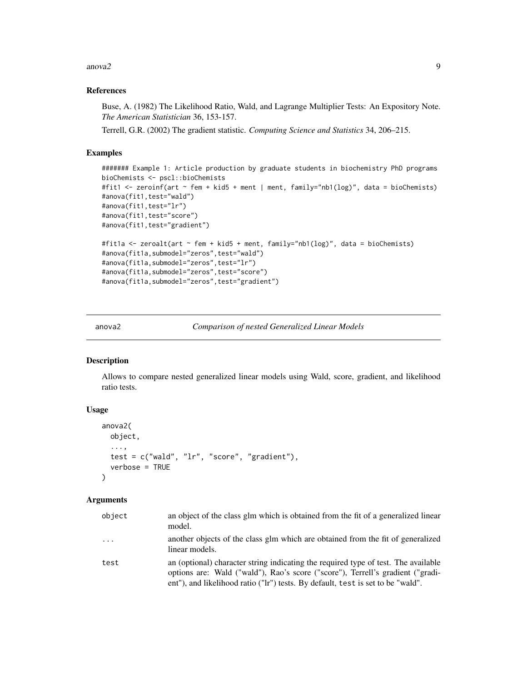<span id="page-8-0"></span>anova $2$  9

#### References

Buse, A. (1982) The Likelihood Ratio, Wald, and Lagrange Multiplier Tests: An Expository Note. *The American Statistician* 36, 153-157.

Terrell, G.R. (2002) The gradient statistic. *Computing Science and Statistics* 34, 206–215.

# Examples

```
####### Example 1: Article production by graduate students in biochemistry PhD programs
bioChemists <- pscl::bioChemists
#fit1 <- zeroinf(art ~ fem + kid5 + ment | ment, family="nb1(log)", data = bioChemists)
#anova(fit1,test="wald")
#anova(fit1,test="lr")
#anova(fit1,test="score")
#anova(fit1,test="gradient")
#fit1a <- zeroalt(art ~ fem + kid5 + ment, family="nb1(log)", data = bioChemists)
#anova(fit1a,submodel="zeros",test="wald")
#anova(fit1a,submodel="zeros",test="lr")
#anova(fit1a,submodel="zeros",test="score")
#anova(fit1a,submodel="zeros",test="gradient")
```
anova2 *Comparison of nested Generalized Linear Models*

#### **Description**

Allows to compare nested generalized linear models using Wald, score, gradient, and likelihood ratio tests.

# Usage

```
anova2(
 object,
  ...,
  test = c("wald", "lr", "score", "gradient"),
  verbose = TRUE
)
```

| object   | an object of the class glm which is obtained from the fit of a generalized linear<br>model.                                                                                                                                                             |
|----------|---------------------------------------------------------------------------------------------------------------------------------------------------------------------------------------------------------------------------------------------------------|
| $\cdots$ | another objects of the class glm which are obtained from the fit of generalized<br>linear models.                                                                                                                                                       |
| test     | an (optional) character string indicating the required type of test. The available<br>options are: Wald ("wald"), Rao's score ("score"), Terrell's gradient ("gradi-<br>ent"), and likelihood ratio ("lr") tests. By default, test is set to be "wald". |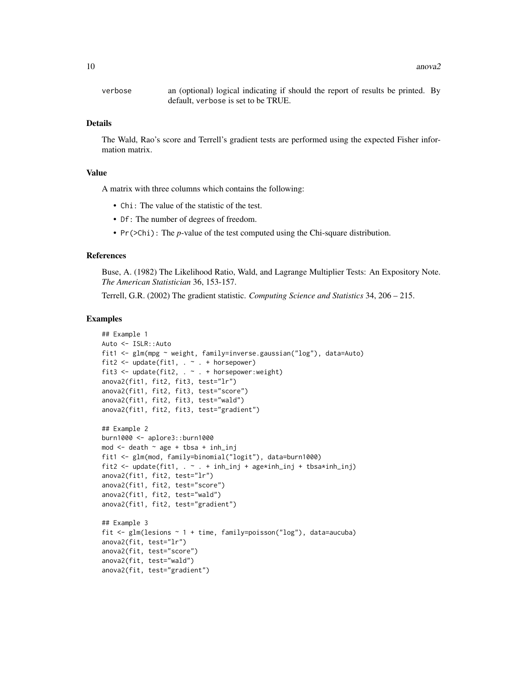verbose an (optional) logical indicating if should the report of results be printed. By default, verbose is set to be TRUE.

# Details

The Wald, Rao's score and Terrell's gradient tests are performed using the expected Fisher information matrix.

#### Value

A matrix with three columns which contains the following:

- Chi: The value of the statistic of the test.
- Df: The number of degrees of freedom.
- Pr(>Chi): The *p*-value of the test computed using the Chi-square distribution.

# References

Buse, A. (1982) The Likelihood Ratio, Wald, and Lagrange Multiplier Tests: An Expository Note. *The American Statistician* 36, 153-157.

Terrell, G.R. (2002) The gradient statistic. *Computing Science and Statistics* 34, 206 – 215.

```
## Example 1
Auto <- ISLR::Auto
fit1 <- glm(mpg ~ weight, family=inverse.gaussian("log"), data=Auto)
fit2 <- update(fit1, . ~ . + horsepower)
fit3 <- update(fit2, . ~ . + horsepower:weight)
anova2(fit1, fit2, fit3, test="lr")
anova2(fit1, fit2, fit3, test="score")
anova2(fit1, fit2, fit3, test="wald")
anova2(fit1, fit2, fit3, test="gradient")
## Example 2
burn1000 <- aplore3::burn1000
mod \le - death \sim age + tbsa + inh_inj
fit1 <- glm(mod, family=binomial("logit"), data=burn1000)
fit2 <- update(fit1, \cdot \cdot \cdot + inh_inj + age*inh_inj + tbsa*inh_inj)
anova2(fit1, fit2, test="lr")
anova2(fit1, fit2, test="score")
anova2(fit1, fit2, test="wald")
anova2(fit1, fit2, test="gradient")
## Example 3
fit \leq glm(lesions \sim 1 + time, family=poisson("log"), data=aucuba)
anova2(fit, test="lr")
anova2(fit, test="score")
anova2(fit, test="wald")
anova2(fit, test="gradient")
```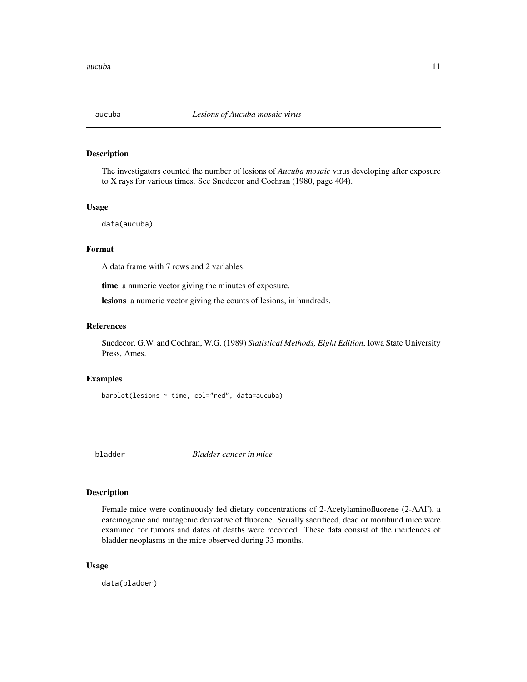<span id="page-10-0"></span>

The investigators counted the number of lesions of *Aucuba mosaic* virus developing after exposure to X rays for various times. See Snedecor and Cochran (1980, page 404).

#### Usage

data(aucuba)

#### Format

A data frame with 7 rows and 2 variables:

time a numeric vector giving the minutes of exposure.

lesions a numeric vector giving the counts of lesions, in hundreds.

# References

Snedecor, G.W. and Cochran, W.G. (1989) *Statistical Methods, Eight Edition*, Iowa State University Press, Ames.

#### Examples

barplot(lesions ~ time, col="red", data=aucuba)

bladder *Bladder cancer in mice*

#### Description

Female mice were continuously fed dietary concentrations of 2-Acetylaminofluorene (2-AAF), a carcinogenic and mutagenic derivative of fluorene. Serially sacrificed, dead or moribund mice were examined for tumors and dates of deaths were recorded. These data consist of the incidences of bladder neoplasms in the mice observed during 33 months.

#### Usage

data(bladder)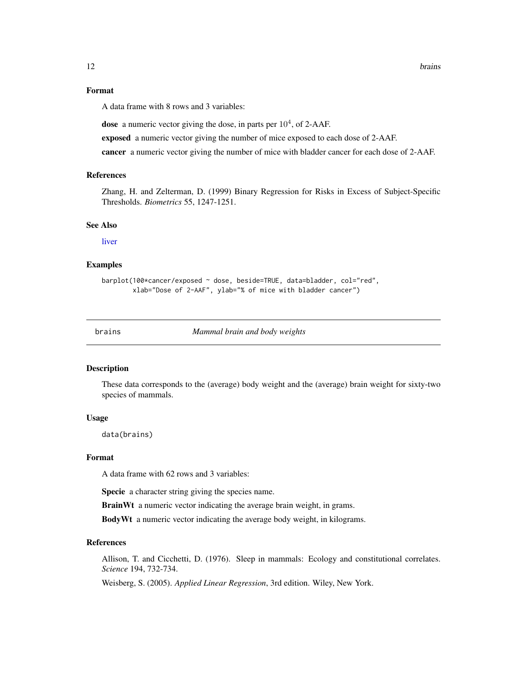# <span id="page-11-0"></span>Format

A data frame with 8 rows and 3 variables:

dose a numeric vector giving the dose, in parts per  $10^4$ , of 2-AAF.

exposed a numeric vector giving the number of mice exposed to each dose of 2-AAF.

cancer a numeric vector giving the number of mice with bladder cancer for each dose of 2-AAF.

# References

Zhang, H. and Zelterman, D. (1999) Binary Regression for Risks in Excess of Subject-Specific Thresholds. *Biometrics* 55, 1247-1251.

#### See Also

[liver](#page-56-1)

# Examples

```
barplot(100*cancer/exposed ~ dose, beside=TRUE, data=bladder, col="red",
       xlab="Dose of 2-AAF", ylab="% of mice with bladder cancer")
```
brains *Mammal brain and body weights*

#### Description

These data corresponds to the (average) body weight and the (average) brain weight for sixty-two species of mammals.

#### Usage

data(brains)

### Format

A data frame with 62 rows and 3 variables:

Specie a character string giving the species name.

BrainWt a numeric vector indicating the average brain weight, in grams.

BodyWt a numeric vector indicating the average body weight, in kilograms.

#### References

Allison, T. and Cicchetti, D. (1976). Sleep in mammals: Ecology and constitutional correlates. *Science* 194, 732-734.

Weisberg, S. (2005). *Applied Linear Regression*, 3rd edition. Wiley, New York.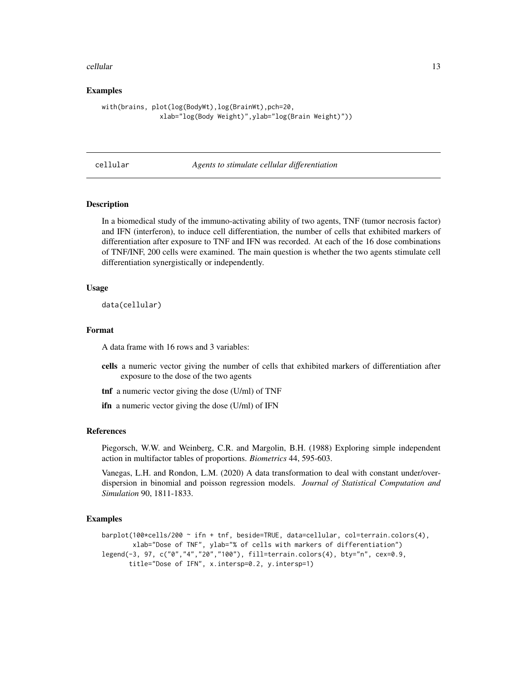#### <span id="page-12-0"></span>cellular the contract of the contract of the contract of the contract of the contract of the contract of the contract of the contract of the contract of the contract of the contract of the contract of the contract of the c

#### Examples

```
with(brains, plot(log(BodyWt),log(BrainWt),pch=20,
               xlab="log(Body Weight)",ylab="log(Brain Weight)"))
```
#### cellular *Agents to stimulate cellular differentiation*

#### Description

In a biomedical study of the immuno-activating ability of two agents, TNF (tumor necrosis factor) and IFN (interferon), to induce cell differentiation, the number of cells that exhibited markers of differentiation after exposure to TNF and IFN was recorded. At each of the 16 dose combinations of TNF/INF, 200 cells were examined. The main question is whether the two agents stimulate cell differentiation synergistically or independently.

#### Usage

data(cellular)

#### Format

A data frame with 16 rows and 3 variables:

- cells a numeric vector giving the number of cells that exhibited markers of differentiation after exposure to the dose of the two agents
- tnf a numeric vector giving the dose (U/ml) of TNF

ifn a numeric vector giving the dose (U/ml) of IFN

#### References

Piegorsch, W.W. and Weinberg, C.R. and Margolin, B.H. (1988) Exploring simple independent action in multifactor tables of proportions. *Biometrics* 44, 595-603.

Vanegas, L.H. and Rondon, L.M. (2020) A data transformation to deal with constant under/overdispersion in binomial and poisson regression models. *Journal of Statistical Computation and Simulation* 90, 1811-1833.

```
barplot(100*cells/200 ~ ifn + tnf, beside=TRUE, data=cellular, col=terrain.colors(4),
       xlab="Dose of TNF", ylab="% of cells with markers of differentiation")
legend(-3, 97, c("0","4","20","100"), fill=terrain.colors(4), bty="n", cex=0.9,
      title="Dose of IFN", x.intersp=0.2, y.intersp=1)
```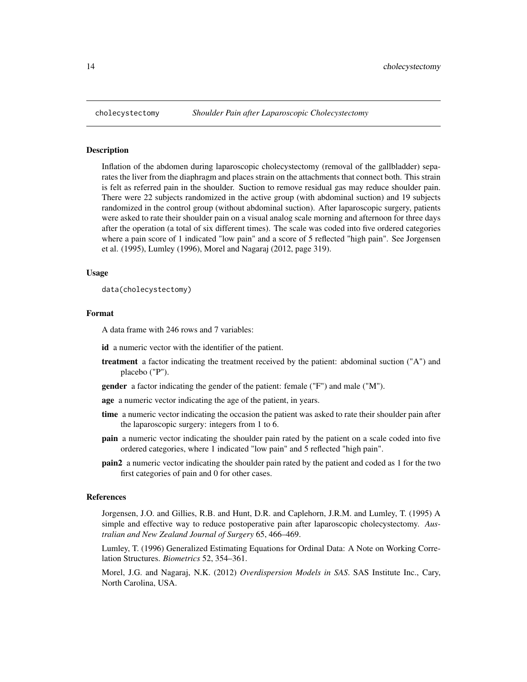<span id="page-13-0"></span>

Inflation of the abdomen during laparoscopic cholecystectomy (removal of the gallbladder) separates the liver from the diaphragm and places strain on the attachments that connect both. This strain is felt as referred pain in the shoulder. Suction to remove residual gas may reduce shoulder pain. There were 22 subjects randomized in the active group (with abdominal suction) and 19 subjects randomized in the control group (without abdominal suction). After laparoscopic surgery, patients were asked to rate their shoulder pain on a visual analog scale morning and afternoon for three days after the operation (a total of six different times). The scale was coded into five ordered categories where a pain score of 1 indicated "low pain" and a score of 5 reflected "high pain". See Jorgensen et al. (1995), Lumley (1996), Morel and Nagaraj (2012, page 319).

#### Usage

data(cholecystectomy)

#### Format

A data frame with 246 rows and 7 variables:

id a numeric vector with the identifier of the patient.

- treatment a factor indicating the treatment received by the patient: abdominal suction ("A") and placebo ("P").
- gender a factor indicating the gender of the patient: female ("F") and male ("M").
- age a numeric vector indicating the age of the patient, in years.
- time a numeric vector indicating the occasion the patient was asked to rate their shoulder pain after the laparoscopic surgery: integers from 1 to 6.
- pain a numeric vector indicating the shoulder pain rated by the patient on a scale coded into five ordered categories, where 1 indicated "low pain" and 5 reflected "high pain".
- pain2 a numeric vector indicating the shoulder pain rated by the patient and coded as 1 for the two first categories of pain and 0 for other cases.

#### References

Jorgensen, J.O. and Gillies, R.B. and Hunt, D.R. and Caplehorn, J.R.M. and Lumley, T. (1995) A simple and effective way to reduce postoperative pain after laparoscopic cholecystectomy. *Australian and New Zealand Journal of Surgery* 65, 466–469.

Lumley, T. (1996) Generalized Estimating Equations for Ordinal Data: A Note on Working Correlation Structures. *Biometrics* 52, 354–361.

Morel, J.G. and Nagaraj, N.K. (2012) *Overdispersion Models in SAS*. SAS Institute Inc., Cary, North Carolina, USA.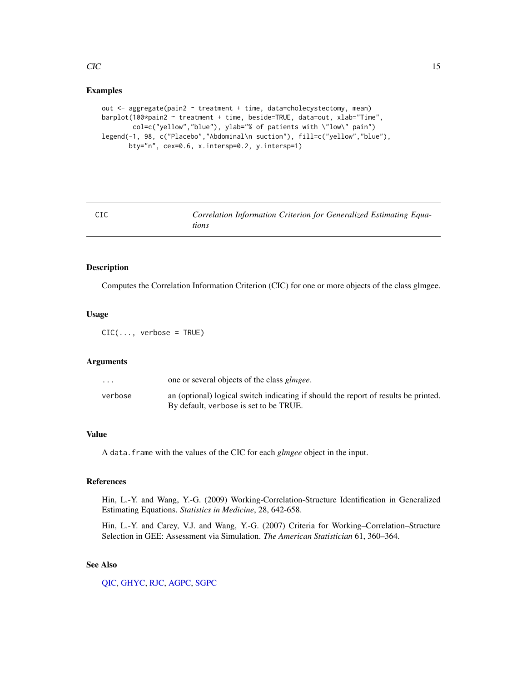# Examples

```
out <- aggregate(pain2 ~ treatment + time, data=cholecystectomy, mean)
barplot(100*pain2 ~ treatment + time, beside=TRUE, data=out, xlab="Time",
       col=c("yellow","blue"), ylab="% of patients with \"low\" pain")
legend(-1, 98, c("Placebo","Abdominal\n suction"), fill=c("yellow","blue"),
      bty="n", cex=0.6, x.intersp=0.2, y.intersp=1)
```
<span id="page-14-1"></span>

| CIC | Correlation Information Criterion for Generalized Estimating Equa- |  |  |
|-----|--------------------------------------------------------------------|--|--|
|     | tions                                                              |  |  |

#### Description

Computes the Correlation Information Criterion (CIC) for one or more objects of the class glmgee.

# Usage

 $CIC(...,$  verbose = TRUE)

#### Arguments

| $\cdots$ | one or several objects of the class <i>glmgee</i> .                                                                           |
|----------|-------------------------------------------------------------------------------------------------------------------------------|
| verbose  | an (optional) logical switch indicating if should the report of results be printed.<br>By default, verbose is set to be TRUE. |

#### Value

A data.frame with the values of the CIC for each *glmgee* object in the input.

#### References

Hin, L.-Y. and Wang, Y.-G. (2009) Working-Correlation-Structure Identification in Generalized Estimating Equations. *Statistics in Medicine*, 28, 642-658.

Hin, L.-Y. and Carey, V.J. and Wang, Y.-G. (2007) Criteria for Working–Correlation–Structure Selection in GEE: Assessment via Simulation. *The American Statistician* 61, 360–364.

# See Also

[QIC,](#page-70-1) [GHYC,](#page-42-1) [RJC,](#page-79-1) [AGPC,](#page-2-1) [SGPC](#page-82-1)

<span id="page-14-0"></span> $CIC$  and  $15$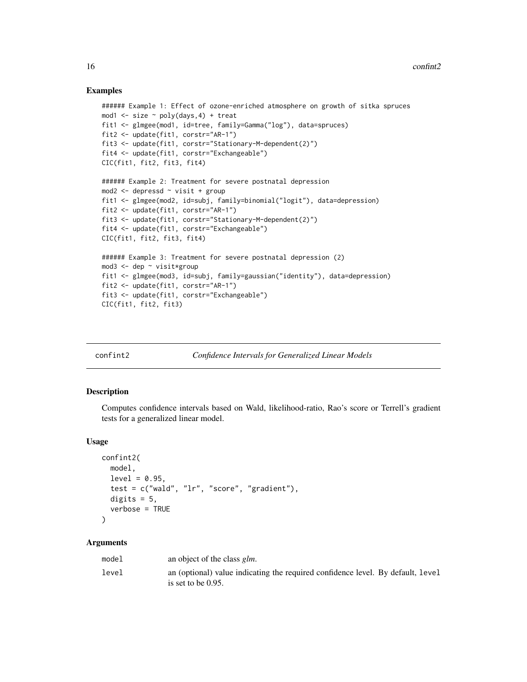#### Examples

```
###### Example 1: Effect of ozone-enriched atmosphere on growth of sitka spruces
mod1 \le size \sim poly(days, 4) + treat
fit1 <- glmgee(mod1, id=tree, family=Gamma("log"), data=spruces)
fit2 <- update(fit1, corstr="AR-1")
fit3 <- update(fit1, corstr="Stationary-M-dependent(2)")
fit4 <- update(fit1, corstr="Exchangeable")
CIC(fit1, fit2, fit3, fit4)
###### Example 2: Treatment for severe postnatal depression
mod2 <- depressd ~ visit + group
fit1 <- glmgee(mod2, id=subj, family=binomial("logit"), data=depression)
fit2 <- update(fit1, corstr="AR-1")
fit3 <- update(fit1, corstr="Stationary-M-dependent(2)")
fit4 <- update(fit1, corstr="Exchangeable")
CIC(fit1, fit2, fit3, fit4)
###### Example 3: Treatment for severe postnatal depression (2)
mod3 <- dep ~ visit*group
fit1 <- glmgee(mod3, id=subj, family=gaussian("identity"), data=depression)
fit2 <- update(fit1, corstr="AR-1")
fit3 <- update(fit1, corstr="Exchangeable")
CIC(fit1, fit2, fit3)
```

| confint2 |  |  |
|----------|--|--|
|          |  |  |

# *Confidence Intervals for Generalized Linear Models*

#### Description

Computes confidence intervals based on Wald, likelihood-ratio, Rao's score or Terrell's gradient tests for a generalized linear model.

#### Usage

```
confint2(
  model,
  level = 0.95,test = c("wald", "lr", "score", "gradient"),
  digits = 5,
  verbose = TRUE
)
```

| model | an object of the class <i>glm</i> .                                                                      |
|-------|----------------------------------------------------------------------------------------------------------|
| level | an (optional) value indicating the required confidence level. By default, level<br>is set to be $0.95$ . |

<span id="page-15-0"></span>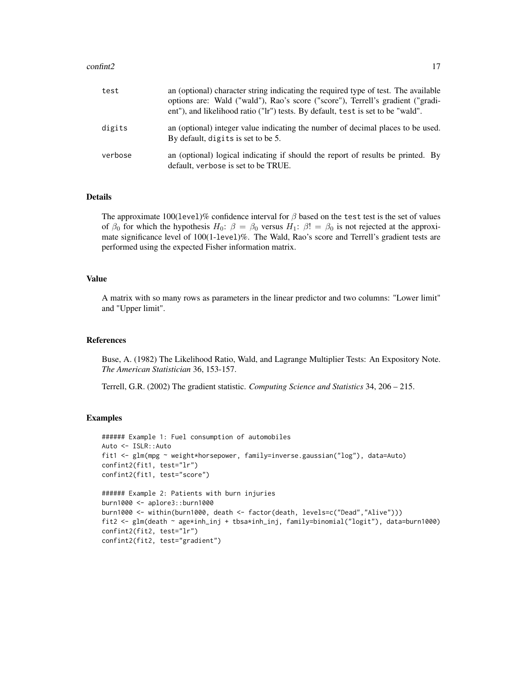#### $\text{confint2}$  17

| test    | an (optional) character string indicating the required type of test. The available<br>options are: Wald ("wald"), Rao's score ("score"), Terrell's gradient ("gradi-<br>ent"), and likelihood ratio ("lr") tests. By default, test is set to be "wald". |
|---------|---------------------------------------------------------------------------------------------------------------------------------------------------------------------------------------------------------------------------------------------------------|
| digits  | an (optional) integer value indicating the number of decimal places to be used.<br>By default, digits is set to be 5.                                                                                                                                   |
| verbose | an (optional) logical indicating if should the report of results be printed. By<br>default, verbose is set to be TRUE.                                                                                                                                  |

#### Details

The approximate 100(level)% confidence interval for  $\beta$  based on the test test is the set of values of  $\beta_0$  for which the hypothesis  $H_0$ :  $\beta = \beta_0$  versus  $H_1$ :  $\beta! = \beta_0$  is not rejected at the approximate significance level of 100(1-level)%. The Wald, Rao's score and Terrell's gradient tests are performed using the expected Fisher information matrix.

# Value

A matrix with so many rows as parameters in the linear predictor and two columns: "Lower limit" and "Upper limit".

#### References

Buse, A. (1982) The Likelihood Ratio, Wald, and Lagrange Multiplier Tests: An Expository Note. *The American Statistician* 36, 153-157.

Terrell, G.R. (2002) The gradient statistic. *Computing Science and Statistics* 34, 206 – 215.

```
###### Example 1: Fuel consumption of automobiles
Auto <- ISLR::Auto
fit1 <- glm(mpg ~ weight*horsepower, family=inverse.gaussian("log"), data=Auto)
confint2(fit1, test="lr")
confint2(fit1, test="score")
###### Example 2: Patients with burn injuries
burn1000 <- aplore3::burn1000
burn1000 <- within(burn1000, death <- factor(death, levels=c("Dead","Alive")))
fit2 <- glm(death ~ age*inh_inj + tbsa*inh_inj, family=binomial("logit"), data=burn1000)
confint2(fit2, test="lr")
confint2(fit2, test="gradient")
```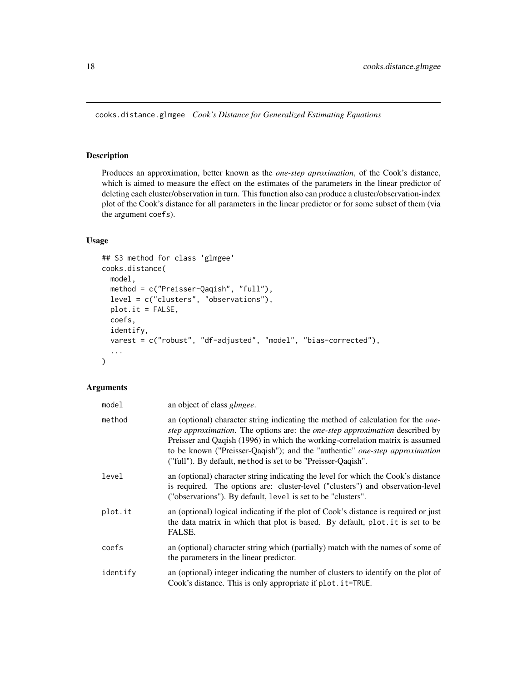<span id="page-17-0"></span>cooks.distance.glmgee *Cook's Distance for Generalized Estimating Equations*

# Description

Produces an approximation, better known as the *one-step aproximation*, of the Cook's distance, which is aimed to measure the effect on the estimates of the parameters in the linear predictor of deleting each cluster/observation in turn. This function also can produce a cluster/observation-index plot of the Cook's distance for all parameters in the linear predictor or for some subset of them (via the argument coefs).

# Usage

```
## S3 method for class 'glmgee'
cooks.distance(
 model,
 method = c("Preisser-Qaqish", "full"),
 level = c("clusters", "observations"),
 plot.it = FALSE,coefs,
  identify,
  varest = c("robust", "df-adjusted", "model", "bias-corrected"),
  ...
\overline{)}
```

| model    | an object of class <i>glmgee</i> .                                                                                                                                                                                                                                                                                                                                                                                     |
|----------|------------------------------------------------------------------------------------------------------------------------------------------------------------------------------------------------------------------------------------------------------------------------------------------------------------------------------------------------------------------------------------------------------------------------|
| method   | an (optional) character string indicating the method of calculation for the <i>one</i> -<br><i>step approximation.</i> The options are: the <i>one-step approximation</i> described by<br>Preisser and Qaqish (1996) in which the working-correlation matrix is assumed<br>to be known ("Preisser-Qaqish"); and the "authentic" one-step approximation<br>("full"). By default, method is set to be "Preisser-Qaqish". |
| level    | an (optional) character string indicating the level for which the Cook's distance<br>is required. The options are: cluster-level ("clusters") and observation-level<br>("observations"). By default, level is set to be "clusters".                                                                                                                                                                                    |
| plot.it  | an (optional) logical indicating if the plot of Cook's distance is required or just<br>the data matrix in which that plot is based. By default, plot it is set to be<br>FALSE.                                                                                                                                                                                                                                         |
| coefs    | an (optional) character string which (partially) match with the names of some of<br>the parameters in the linear predictor.                                                                                                                                                                                                                                                                                            |
| identify | an (optional) integer indicating the number of clusters to identify on the plot of<br>Cook's distance. This is only appropriate if plot. it=TRUE.                                                                                                                                                                                                                                                                      |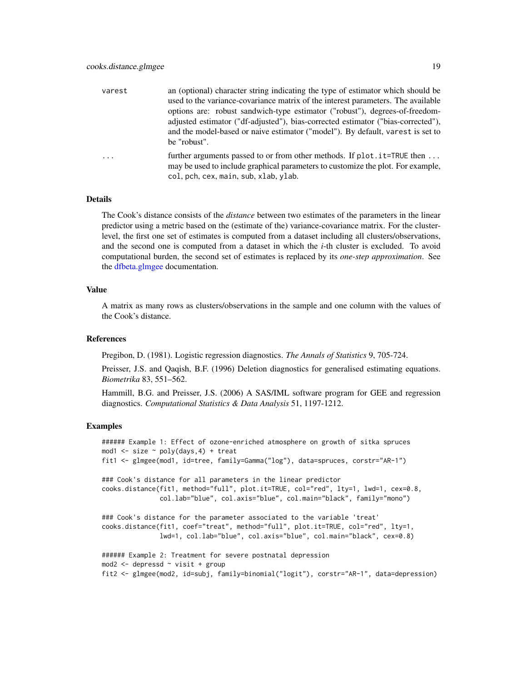| varest | an (optional) character string indicating the type of estimator which should be<br>used to the variance-covariance matrix of the interest parameters. The available<br>options are: robust sandwich-type estimator ("robust"), degrees-of-freedom-<br>adjusted estimator ("df-adjusted"), bias-corrected estimator ("bias-corrected"),<br>and the model-based or naive estimator ("model"). By default, varest is set to |
|--------|--------------------------------------------------------------------------------------------------------------------------------------------------------------------------------------------------------------------------------------------------------------------------------------------------------------------------------------------------------------------------------------------------------------------------|
|        | be "robust".<br>further arguments passed to or from other methods. If plot . it=TRUE then                                                                                                                                                                                                                                                                                                                                |
|        | may be used to include graphical parameters to customize the plot. For example,                                                                                                                                                                                                                                                                                                                                          |

col, pch, cex, main, sub, xlab, ylab.

#### Details

The Cook's distance consists of the *distance* between two estimates of the parameters in the linear predictor using a metric based on the (estimate of the) variance-covariance matrix. For the clusterlevel, the first one set of estimates is computed from a dataset including all clusters/observations, and the second one is computed from a dataset in which the *i*-th cluster is excluded. To avoid computational burden, the second set of estimates is replaced by its *one-step approximation*. See the [dfbeta.glmgee](#page-23-1) documentation.

#### Value

A matrix as many rows as clusters/observations in the sample and one column with the values of the Cook's distance.

#### References

Pregibon, D. (1981). Logistic regression diagnostics. *The Annals of Statistics* 9, 705-724.

Preisser, J.S. and Qaqish, B.F. (1996) Deletion diagnostics for generalised estimating equations. *Biometrika* 83, 551–562.

Hammill, B.G. and Preisser, J.S. (2006) A SAS/IML software program for GEE and regression diagnostics. *Computational Statistics & Data Analysis* 51, 1197-1212.

```
###### Example 1: Effect of ozone-enriched atmosphere on growth of sitka spruces
mod1 \le size \sim poly(days, 4) + treat
fit1 <- glmgee(mod1, id=tree, family=Gamma("log"), data=spruces, corstr="AR-1")
### Cook's distance for all parameters in the linear predictor
cooks.distance(fit1, method="full", plot.it=TRUE, col="red", lty=1, lwd=1, cex=0.8,
               col.lab="blue", col.axis="blue", col.main="black", family="mono")
### Cook's distance for the parameter associated to the variable 'treat'
cooks.distance(fit1, coef="treat", method="full", plot.it=TRUE, col="red", lty=1,
              lwd=1, col.lab="blue", col.axis="blue", col.main="black", cex=0.8)
###### Example 2: Treatment for severe postnatal depression
mod2 <- depressd ~ visit + group
fit2 <- glmgee(mod2, id=subj, family=binomial("logit"), corstr="AR-1", data=depression)
```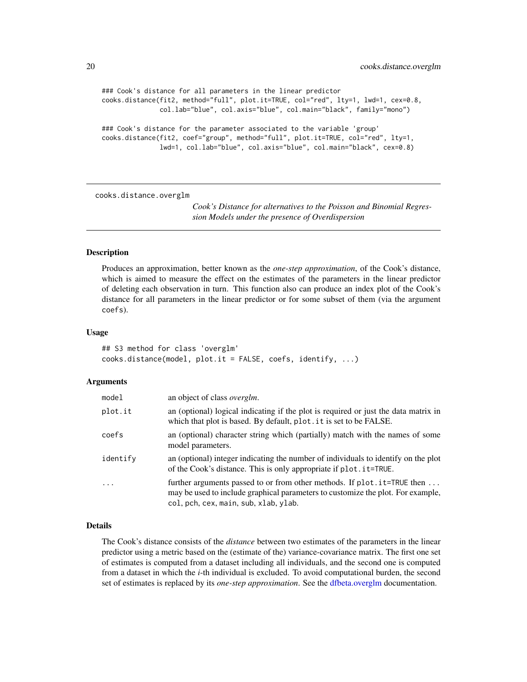```
### Cook's distance for all parameters in the linear predictor
cooks.distance(fit2, method="full", plot.it=TRUE, col="red", lty=1, lwd=1, cex=0.8,
               col.lab="blue", col.axis="blue", col.main="black", family="mono")
### Cook's distance for the parameter associated to the variable 'group'
cooks.distance(fit2, coef="group", method="full", plot.it=TRUE, col="red", lty=1,
               lwd=1, col.lab="blue", col.axis="blue", col.main="black", cex=0.8)
```
cooks.distance.overglm

*Cook's Distance for alternatives to the Poisson and Binomial Regression Models under the presence of Overdispersion*

#### **Description**

Produces an approximation, better known as the *one-step approximation*, of the Cook's distance, which is aimed to measure the effect on the estimates of the parameters in the linear predictor of deleting each observation in turn. This function also can produce an index plot of the Cook's distance for all parameters in the linear predictor or for some subset of them (via the argument coefs).

#### Usage

```
## S3 method for class 'overglm'
cooks.distance(model, plot.it = FALSE, coefs, identify, ...)
```
#### Arguments

| model    | an object of class <i>overglm</i> .                                                                                                                                                                  |
|----------|------------------------------------------------------------------------------------------------------------------------------------------------------------------------------------------------------|
| plot.it  | an (optional) logical indicating if the plot is required or just the data matrix in<br>which that plot is based. By default, plot . it is set to be FALSE.                                           |
| coefs    | an (optional) character string which (partially) match with the names of some<br>model parameters.                                                                                                   |
| identify | an (optional) integer indicating the number of individuals to identify on the plot<br>of the Cook's distance. This is only appropriate if plot. it=TRUE.                                             |
| $\ddots$ | further arguments passed to or from other methods. If plot. it=TRUE then<br>may be used to include graphical parameters to customize the plot. For example,<br>col, pch, cex, main, sub, xlab, ylab. |

# Details

The Cook's distance consists of the *distance* between two estimates of the parameters in the linear predictor using a metric based on the (estimate of the) variance-covariance matrix. The first one set of estimates is computed from a dataset including all individuals, and the second one is computed from a dataset in which the *i*-th individual is excluded. To avoid computational burden, the second set of estimates is replaced by its *one-step approximation*. See the [dfbeta.overglm](#page-25-1) documentation.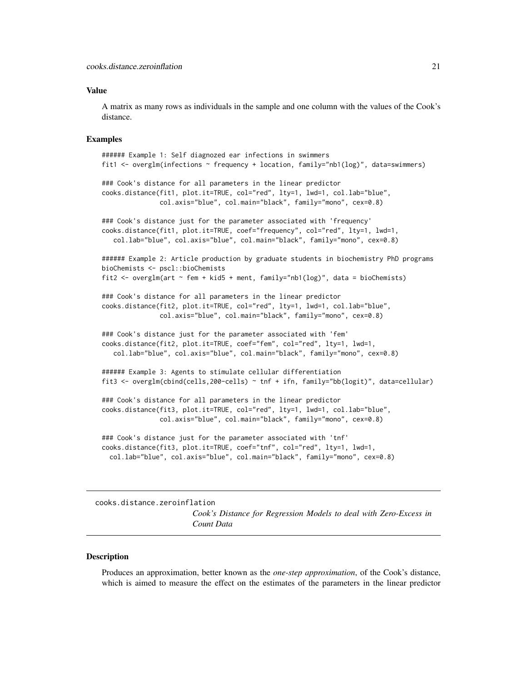#### <span id="page-20-0"></span>Value

A matrix as many rows as individuals in the sample and one column with the values of the Cook's distance.

#### Examples

```
###### Example 1: Self diagnozed ear infections in swimmers
fit1 <- overglm(infections ~ frequency + location, family="nb1(log)", data=swimmers)
### Cook's distance for all parameters in the linear predictor
cooks.distance(fit1, plot.it=TRUE, col="red", lty=1, lwd=1, col.lab="blue",
               col.axis="blue", col.main="black", family="mono", cex=0.8)
### Cook's distance just for the parameter associated with 'frequency'
cooks.distance(fit1, plot.it=TRUE, coef="frequency", col="red", lty=1, lwd=1,
   col.lab="blue", col.axis="blue", col.main="black", family="mono", cex=0.8)
###### Example 2: Article production by graduate students in biochemistry PhD programs
bioChemists <- pscl::bioChemists
fit2 <- overglm(art \sim fem + kid5 + ment, family="nb1(log)", data = bioChemists)
### Cook's distance for all parameters in the linear predictor
cooks.distance(fit2, plot.it=TRUE, col="red", lty=1, lwd=1, col.lab="blue",
               col.axis="blue", col.main="black", family="mono", cex=0.8)
### Cook's distance just for the parameter associated with 'fem'
cooks.distance(fit2, plot.it=TRUE, coef="fem", col="red", lty=1, lwd=1,
   col.lab="blue", col.axis="blue", col.main="black", family="mono", cex=0.8)
###### Example 3: Agents to stimulate cellular differentiation
fit3 <- overglm(cbind(cells,200-cells) ~ tnf + ifn, family="bb(logit)", data=cellular)
### Cook's distance for all parameters in the linear predictor
cooks.distance(fit3, plot.it=TRUE, col="red", lty=1, lwd=1, col.lab="blue",
               col.axis="blue", col.main="black", family="mono", cex=0.8)
### Cook's distance just for the parameter associated with 'tnf'
cooks.distance(fit3, plot.it=TRUE, coef="tnf", col="red", lty=1, lwd=1,
 col.lab="blue", col.axis="blue", col.main="black", family="mono", cex=0.8)
```
cooks.distance.zeroinflation

*Cook's Distance for Regression Models to deal with Zero-Excess in Count Data*

#### **Description**

Produces an approximation, better known as the *one-step approximation*, of the Cook's distance, which is aimed to measure the effect on the estimates of the parameters in the linear predictor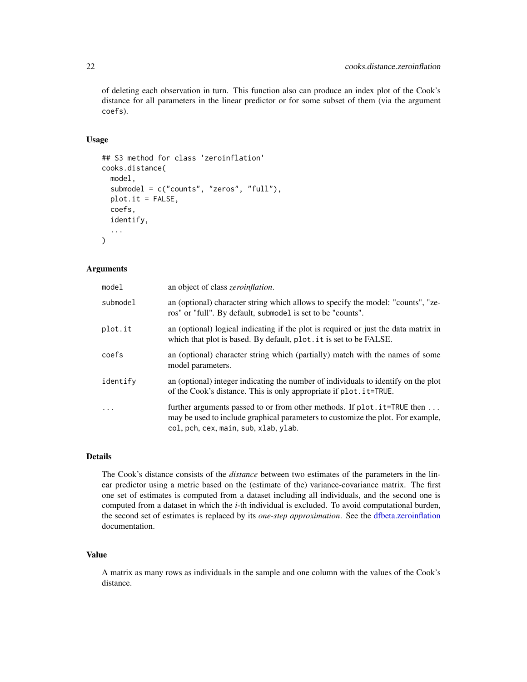of deleting each observation in turn. This function also can produce an index plot of the Cook's distance for all parameters in the linear predictor or for some subset of them (via the argument coefs).

#### Usage

```
## S3 method for class 'zeroinflation'
cooks.distance(
 model,
  submodel = c("counts", "zeros", "full"),
 plot.it = FALSE,coefs,
  identify,
  ...
)
```
# Arguments

| model    | an object of class <i>zeroinflation</i> .                                                                                                                                                             |
|----------|-------------------------------------------------------------------------------------------------------------------------------------------------------------------------------------------------------|
| submodel | an (optional) character string which allows to specify the model: "counts", "ze-<br>ros" or "full". By default, submodel is set to be "counts".                                                       |
| plot.it  | an (optional) logical indicating if the plot is required or just the data matrix in<br>which that plot is based. By default, plot . it is set to be FALSE.                                            |
| coefs    | an (optional) character string which (partially) match with the names of some<br>model parameters.                                                                                                    |
| identify | an (optional) integer indicating the number of individuals to identify on the plot<br>of the Cook's distance. This is only appropriate if plot. it=TRUE.                                              |
| $\ddots$ | further arguments passed to or from other methods. If plot . it=TRUE then<br>may be used to include graphical parameters to customize the plot. For example,<br>col, pch, cex, main, sub, xlab, ylab. |

#### Details

The Cook's distance consists of the *distance* between two estimates of the parameters in the linear predictor using a metric based on the (estimate of the) variance-covariance matrix. The first one set of estimates is computed from a dataset including all individuals, and the second one is computed from a dataset in which the *i*-th individual is excluded. To avoid computational burden, the second set of estimates is replaced by its *one-step approximation*. See the [dfbeta.zeroinflation](#page-26-1) documentation.

#### Value

A matrix as many rows as individuals in the sample and one column with the values of the Cook's distance.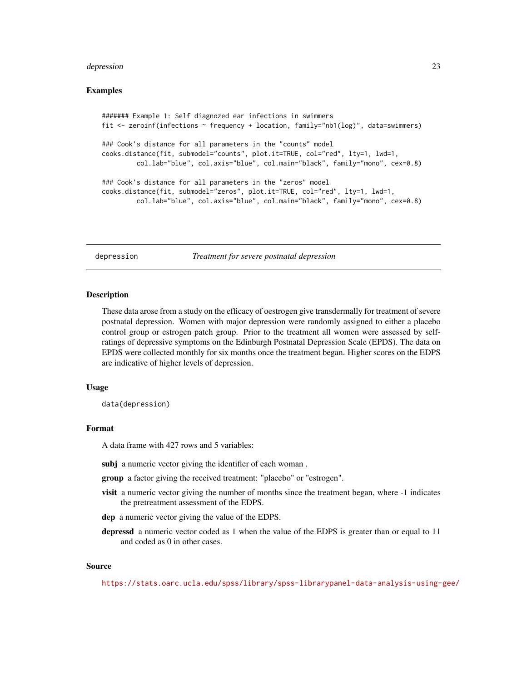#### <span id="page-22-0"></span>depression 23

#### Examples

```
####### Example 1: Self diagnozed ear infections in swimmers
fit <- zeroinf(infections ~ frequency + location, family="nb1(log)", data=swimmers)
### Cook's distance for all parameters in the "counts" model
cooks.distance(fit, submodel="counts", plot.it=TRUE, col="red", lty=1, lwd=1,
         col.lab="blue", col.axis="blue", col.main="black", family="mono", cex=0.8)
### Cook's distance for all parameters in the "zeros" model
cooks.distance(fit, submodel="zeros", plot.it=TRUE, col="red", lty=1, lwd=1,
        col.lab="blue", col.axis="blue", col.main="black", family="mono", cex=0.8)
```
depression *Treatment for severe postnatal depression*

#### Description

These data arose from a study on the efficacy of oestrogen give transdermally for treatment of severe postnatal depression. Women with major depression were randomly assigned to either a placebo control group or estrogen patch group. Prior to the treatment all women were assessed by selfratings of depressive symptoms on the Edinburgh Postnatal Depression Scale (EPDS). The data on EPDS were collected monthly for six months once the treatment began. Higher scores on the EDPS are indicative of higher levels of depression.

#### Usage

data(depression)

#### Format

A data frame with 427 rows and 5 variables:

subj a numeric vector giving the identifier of each woman.

group a factor giving the received treatment: "placebo" or "estrogen".

- visit a numeric vector giving the number of months since the treatment began, where -1 indicates the pretreatment assessment of the EDPS.
- dep a numeric vector giving the value of the EDPS.
- depressd a numeric vector coded as 1 when the value of the EDPS is greater than or equal to 11 and coded as 0 in other cases.

#### Source

<https://stats.oarc.ucla.edu/spss/library/spss-librarypanel-data-analysis-using-gee/>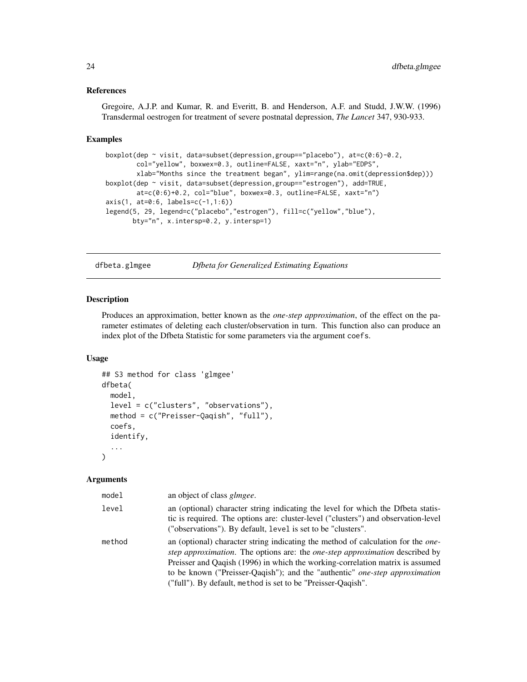#### <span id="page-23-0"></span>References

Gregoire, A.J.P. and Kumar, R. and Everitt, B. and Henderson, A.F. and Studd, J.W.W. (1996) Transdermal oestrogen for treatment of severe postnatal depression, *The Lancet* 347, 930-933.

#### Examples

```
boxplot(dep ~ visit, data=subset(depression,group=="placebo"), at=c(0:6)-0.2,
        col="yellow", boxwex=0.3, outline=FALSE, xaxt="n", ylab="EDPS",
       xlab="Months since the treatment began", ylim=range(na.omit(depression$dep)))
boxplot(dep ~ visit, data=subset(depression,group=="estrogen"), add=TRUE,
       at=c(0:6)+0.2, col="blue", boxwex=0.3, outline=FALSE, xaxt="n")
axis(1, at=0:6, labels=c(-1,1:6))legend(5, 29, legend=c("placebo","estrogen"), fill=c("yellow","blue"),
      bty="n", x.intersp=0.2, y.intersp=1)
```
<span id="page-23-1"></span>dfbeta.glmgee *Dfbeta for Generalized Estimating Equations*

#### Description

Produces an approximation, better known as the *one-step approximation*, of the effect on the parameter estimates of deleting each cluster/observation in turn. This function also can produce an index plot of the Dfbeta Statistic for some parameters via the argument coefs.

#### Usage

```
## S3 method for class 'glmgee'
dfbeta(
  model,
  level = c("clusters", "observations"),
  method = c("Preisser-Qaqish", "full"),
  coefs,
  identify,
  ...
\mathcal{L}
```

| model  | an object of class <i>glmgee</i> .                                                                                                                                                                                                                                                                                                                                                                                            |
|--------|-------------------------------------------------------------------------------------------------------------------------------------------------------------------------------------------------------------------------------------------------------------------------------------------------------------------------------------------------------------------------------------------------------------------------------|
| level  | an (optional) character string indicating the level for which the Dfbeta statis-<br>tic is required. The options are: cluster-level ("clusters") and observation-level<br>("observations"). By default, level is set to be "clusters".                                                                                                                                                                                        |
| method | an (optional) character string indicating the method of calculation for the <i>one</i> -<br><i>step approximation.</i> The options are: the <i>one-step approximation</i> described by<br>Preisser and Qaqish (1996) in which the working-correlation matrix is assumed<br>to be known ("Preisser-Qaqish"); and the "authentic" <i>one-step approximation</i><br>("full"). By default, method is set to be "Preisser-Qaqish". |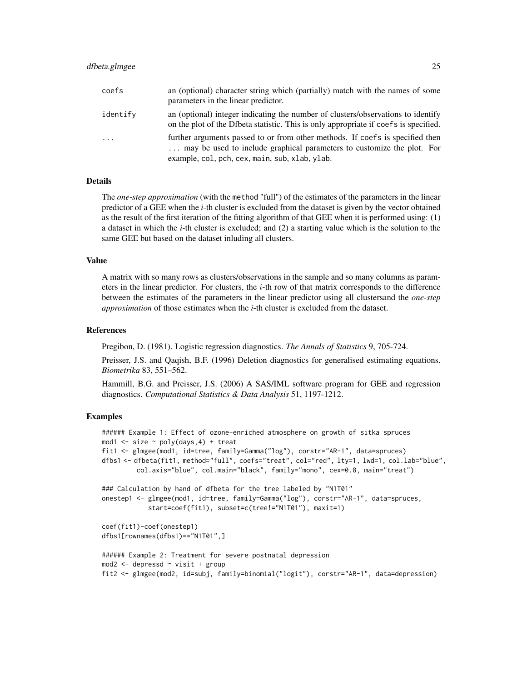#### dfbeta.glmgee 25

| coefs      | an (optional) character string which (partially) match with the names of some<br>parameters in the linear predictor.                                                                                      |
|------------|-----------------------------------------------------------------------------------------------------------------------------------------------------------------------------------------------------------|
| identify   | an (optional) integer indicating the number of clusters/observations to identify<br>on the plot of the Dfbeta statistic. This is only appropriate if coefs is specified.                                  |
| $\ddots$ . | further arguments passed to or from other methods. If coefs is specified then<br>may be used to include graphical parameters to customize the plot. For<br>example, col, pch, cex, main, sub, xlab, ylab. |

# Details

The *one-step approximation* (with the method "full") of the estimates of the parameters in the linear predictor of a GEE when the *i*-th cluster is excluded from the dataset is given by the vector obtained as the result of the first iteration of the fitting algorithm of that GEE when it is performed using: (1) a dataset in which the *i*-th cluster is excluded; and (2) a starting value which is the solution to the same GEE but based on the dataset inluding all clusters.

# Value

A matrix with so many rows as clusters/observations in the sample and so many columns as parameters in the linear predictor. For clusters, the  $i$ -th row of that matrix corresponds to the difference between the estimates of the parameters in the linear predictor using all clustersand the *one-step approximation* of those estimates when the *i*-th cluster is excluded from the dataset.

#### References

Pregibon, D. (1981). Logistic regression diagnostics. *The Annals of Statistics* 9, 705-724.

Preisser, J.S. and Qaqish, B.F. (1996) Deletion diagnostics for generalised estimating equations. *Biometrika* 83, 551–562.

Hammill, B.G. and Preisser, J.S. (2006) A SAS/IML software program for GEE and regression diagnostics. *Computational Statistics & Data Analysis* 51, 1197-1212.

```
###### Example 1: Effect of ozone-enriched atmosphere on growth of sitka spruces
mod1 \le size \sim poly(days, 4) + treat
fit1 <- glmgee(mod1, id=tree, family=Gamma("log"), corstr="AR-1", data=spruces)
dfbs1 <- dfbeta(fit1, method="full", coefs="treat", col="red", lty=1, lwd=1, col.lab="blue",
         col.axis="blue", col.main="black", family="mono", cex=0.8, main="treat")
### Calculation by hand of dfbeta for the tree labeled by "N1T01"
onestep1 <- glmgee(mod1, id=tree, family=Gamma("log"), corstr="AR-1", data=spruces,
            start=coef(fit1), subset=c(tree!="N1T01"), maxit=1)
coef(fit1)-coef(onestep1)
dfbs1[rownames(dfbs1)=="N1T01",]
###### Example 2: Treatment for severe postnatal depression
mod2 <- depressd ~ visit + group
fit2 <- glmgee(mod2, id=subj, family=binomial("logit"), corstr="AR-1", data=depression)
```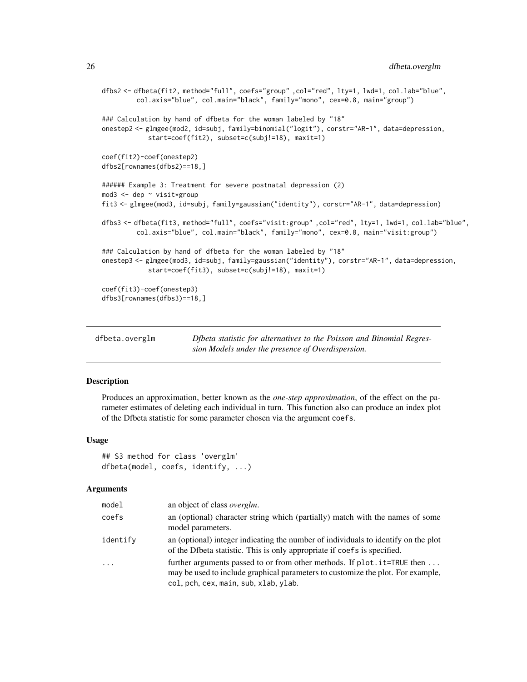```
dfbs2 <- dfbeta(fit2, method="full", coefs="group" ,col="red", lty=1, lwd=1, col.lab="blue",
         col.axis="blue", col.main="black", family="mono", cex=0.8, main="group")
### Calculation by hand of dfbeta for the woman labeled by "18"
onestep2 <- glmgee(mod2, id=subj, family=binomial("logit"), corstr="AR-1", data=depression,
            start=coef(fit2), subset=c(subj!=18), maxit=1)
coef(fit2)-coef(onestep2)
dfbs2[rownames(dfbs2)==18,]
###### Example 3: Treatment for severe postnatal depression (2)
mod3 <- dep ~ visit*group
fit3 <- glmgee(mod3, id=subj, family=gaussian("identity"), corstr="AR-1", data=depression)
dfbs3 <- dfbeta(fit3, method="full", coefs="visit:group" ,col="red", lty=1, lwd=1, col.lab="blue",
         col.axis="blue", col.main="black", family="mono", cex=0.8, main="visit:group")
### Calculation by hand of dfbeta for the woman labeled by "18"
onestep3 <- glmgee(mod3, id=subj, family=gaussian("identity"), corstr="AR-1", data=depression,
            start=coef(fit3), subset=c(subj!=18), maxit=1)
coef(fit3)-coef(onestep3)
dfbs3[rownames(dfbs3)==18,]
```
<span id="page-25-1"></span>

| dfbeta.overglm | Dipeta statistic for alternatives to the Poisson and Binomial Regres- |
|----------------|-----------------------------------------------------------------------|
|                | sion Models under the presence of Overdispersion.                     |

Produces an approximation, better known as the *one-step approximation*, of the effect on the parameter estimates of deleting each individual in turn. This function also can produce an index plot of the Dfbeta statistic for some parameter chosen via the argument coefs.

#### Usage

```
## S3 method for class 'overglm'
dfbeta(model, coefs, identify, ...)
```

| model    | an object of class <i>overglm</i> .                                                                                                                                                                   |
|----------|-------------------------------------------------------------------------------------------------------------------------------------------------------------------------------------------------------|
| coefs    | an (optional) character string which (partially) match with the names of some<br>model parameters.                                                                                                    |
| identify | an (optional) integer indicating the number of individuals to identify on the plot<br>of the Dfbeta statistic. This is only appropriate if coefs is specified.                                        |
| $\cdots$ | further arguments passed to or from other methods. If plot . it=TRUE then<br>may be used to include graphical parameters to customize the plot. For example,<br>col, pch, cex, main, sub, xlab, ylab. |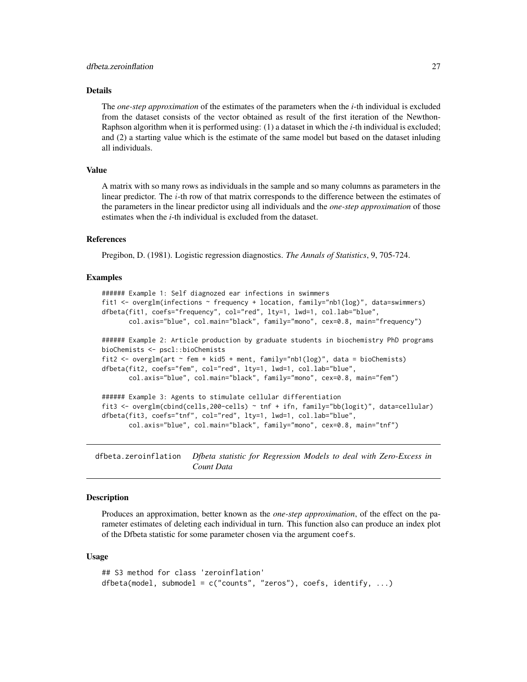# <span id="page-26-0"></span>Details

The *one-step approximation* of the estimates of the parameters when the *i*-th individual is excluded from the dataset consists of the vector obtained as result of the first iteration of the Newthon-Raphson algorithm when it is performed using: (1) a dataset in which the *i*-th individual is excluded; and (2) a starting value which is the estimate of the same model but based on the dataset inluding all individuals.

#### Value

A matrix with so many rows as individuals in the sample and so many columns as parameters in the linear predictor. The  $i$ -th row of that matrix corresponds to the difference between the estimates of the parameters in the linear predictor using all individuals and the *one-step approximation* of those estimates when the *i*-th individual is excluded from the dataset.

#### References

Pregibon, D. (1981). Logistic regression diagnostics. *The Annals of Statistics*, 9, 705-724.

#### Examples

```
###### Example 1: Self diagnozed ear infections in swimmers
fit1 <- overglm(infections ~ frequency + location, family="nb1(log)", data=swimmers)
dfbeta(fit1, coefs="frequency", col="red", lty=1, lwd=1, col.lab="blue",
      col.axis="blue", col.main="black", family="mono", cex=0.8, main="frequency")
###### Example 2: Article production by graduate students in biochemistry PhD programs
bioChemists <- pscl::bioChemists
fit2 <- overglm(art ~ fem + kid5 + ment, family="nb1(log)", data = bioChemists)
dfbeta(fit2, coefs="fem", col="red", lty=1, lwd=1, col.lab="blue",
      col.axis="blue", col.main="black", family="mono", cex=0.8, main="fem")
###### Example 3: Agents to stimulate cellular differentiation
fit3 <- overglm(cbind(cells,200-cells) ~ tnf + ifn, family="bb(logit)", data=cellular)
dfbeta(fit3, coefs="tnf", col="red", lty=1, lwd=1, col.lab="blue",
      col.axis="blue", col.main="black", family="mono", cex=0.8, main="tnf")
```
<span id="page-26-1"></span>dfbeta.zeroinflation *Dfbeta statistic for Regression Models to deal with Zero-Excess in Count Data*

# Description

Produces an approximation, better known as the *one-step approximation*, of the effect on the parameter estimates of deleting each individual in turn. This function also can produce an index plot of the Dfbeta statistic for some parameter chosen via the argument coefs.

#### Usage

```
## S3 method for class 'zeroinflation'
dfbeta(model, submodel = c("counts", "zeros"), coefs, identify, ...)
```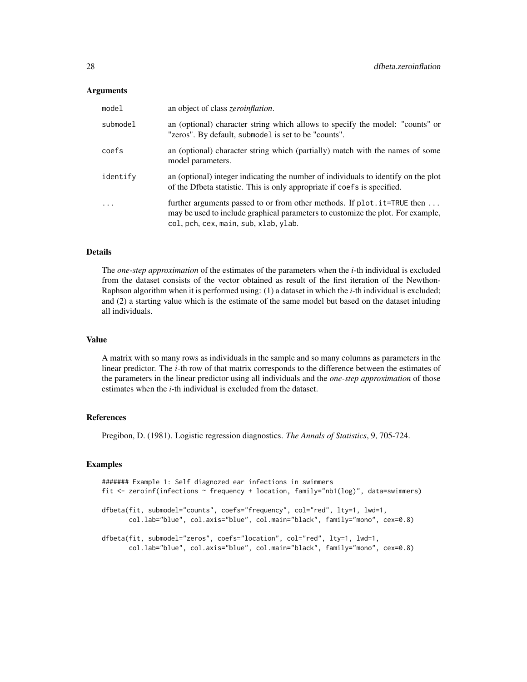#### **Arguments**

| mode1    | an object of class <i>zeroinflation</i> .                                                                                                                                                               |
|----------|---------------------------------------------------------------------------------------------------------------------------------------------------------------------------------------------------------|
| submodel | an (optional) character string which allows to specify the model: "counts" or<br>"zeros". By default, submodel is set to be "counts".                                                                   |
| coefs    | an (optional) character string which (partially) match with the names of some<br>model parameters.                                                                                                      |
| identify | an (optional) integer indicating the number of individuals to identify on the plot<br>of the Dfbeta statistic. This is only appropriate if coefs is specified.                                          |
| $\cdot$  | further arguments passed to or from other methods. If $plot.it = TRUE$ then<br>may be used to include graphical parameters to customize the plot. For example,<br>col, pch, cex, main, sub, xlab, ylab. |

#### Details

The *one-step approximation* of the estimates of the parameters when the *i*-th individual is excluded from the dataset consists of the vector obtained as result of the first iteration of the Newthon-Raphson algorithm when it is performed using: (1) a dataset in which the *i*-th individual is excluded; and (2) a starting value which is the estimate of the same model but based on the dataset inluding all individuals.

#### Value

A matrix with so many rows as individuals in the sample and so many columns as parameters in the linear predictor. The  $i$ -th row of that matrix corresponds to the difference between the estimates of the parameters in the linear predictor using all individuals and the *one-step approximation* of those estimates when the *i*-th individual is excluded from the dataset.

#### References

Pregibon, D. (1981). Logistic regression diagnostics. *The Annals of Statistics*, 9, 705-724.

```
####### Example 1: Self diagnozed ear infections in swimmers
fit <- zeroinf(infections ~ frequency + location, family="nb1(log)", data=swimmers)
dfbeta(fit, submodel="counts", coefs="frequency", col="red", lty=1, lwd=1,
      col.lab="blue", col.axis="blue", col.main="black", family="mono", cex=0.8)
dfbeta(fit, submodel="zeros", coefs="location", col="red", lty=1, lwd=1,
      col.lab="blue", col.axis="blue", col.main="black", family="mono", cex=0.8)
```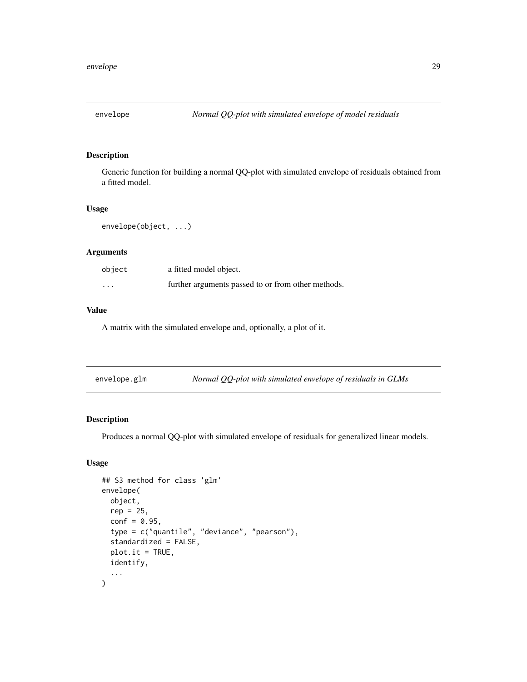<span id="page-28-0"></span>

Generic function for building a normal QQ-plot with simulated envelope of residuals obtained from a fitted model.

# Usage

envelope(object, ...)

# Arguments

| object   | a fitted model object.                             |
|----------|----------------------------------------------------|
| $\cdots$ | further arguments passed to or from other methods. |

# Value

A matrix with the simulated envelope and, optionally, a plot of it.

<span id="page-28-1"></span>

| envelope.glm | Normal $QQ$ -plot with simulated envelope of residuals in GLMs |
|--------------|----------------------------------------------------------------|

# Description

Produces a normal QQ-plot with simulated envelope of residuals for generalized linear models.

# Usage

```
## S3 method for class 'glm'
envelope(
 object,
  rep = 25,
  conf = 0.95,type = c("quantile", "deviance", "pearson"),
  standardized = FALSE,
  plot.it = TRUE,identify,
  ...
\mathcal{L}
```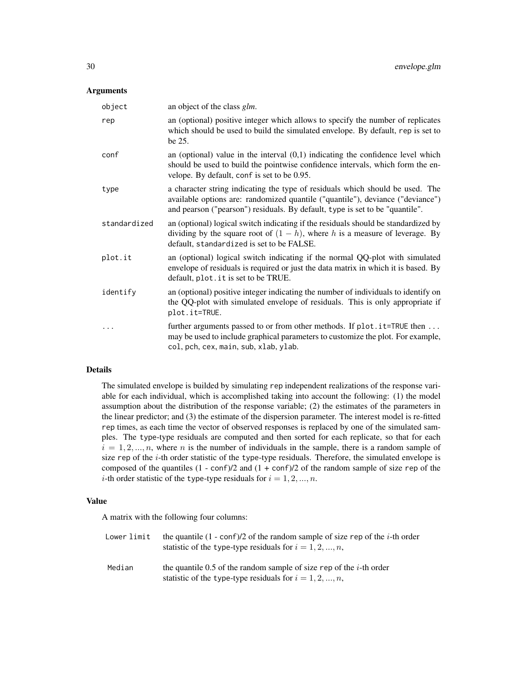#### **Arguments**

| object       | an object of the class <i>glm</i> .                                                                                                                                                                                                             |
|--------------|-------------------------------------------------------------------------------------------------------------------------------------------------------------------------------------------------------------------------------------------------|
| rep          | an (optional) positive integer which allows to specify the number of replicates<br>which should be used to build the simulated envelope. By default, rep is set to<br>be 25.                                                                    |
| conf         | an (optional) value in the interval $(0,1)$ indicating the confidence level which<br>should be used to build the pointwise confidence intervals, which form the en-<br>velope. By default, conf is set to be 0.95.                              |
| type         | a character string indicating the type of residuals which should be used. The<br>available options are: randomized quantile ("quantile"), deviance ("deviance")<br>and pearson ("pearson") residuals. By default, type is set to be "quantile". |
| standardized | an (optional) logical switch indicating if the residuals should be standardized by<br>dividing by the square root of $(1 - h)$ , where h is a measure of leverage. By<br>default, standardized is set to be FALSE.                              |
| plot.it      | an (optional) logical switch indicating if the normal QQ-plot with simulated<br>envelope of residuals is required or just the data matrix in which it is based. By<br>default, plot. it is set to be TRUE.                                      |
| identify     | an (optional) positive integer indicating the number of individuals to identify on<br>the QQ-plot with simulated envelope of residuals. This is only appropriate if<br>plot.it=TRUE.                                                            |
|              | further arguments passed to or from other methods. If plot.it=TRUE then<br>may be used to include graphical parameters to customize the plot. For example,<br>col, pch, cex, main, sub, xlab, ylab.                                             |

# Details

The simulated envelope is builded by simulating rep independent realizations of the response variable for each individual, which is accomplished taking into account the following: (1) the model assumption about the distribution of the response variable; (2) the estimates of the parameters in the linear predictor; and (3) the estimate of the dispersion parameter. The interest model is re-fitted rep times, as each time the vector of observed responses is replaced by one of the simulated samples. The type-type residuals are computed and then sorted for each replicate, so that for each  $i = 1, 2, ..., n$ , where n is the number of individuals in the sample, there is a random sample of size rep of the  $i$ -th order statistic of the type-type residuals. Therefore, the simulated envelope is composed of the quantiles  $(1 - \text{conf})/2$  and  $(1 + \text{conf})/2$  of the random sample of size rep of the *i*-th order statistic of the type-type residuals for  $i = 1, 2, ..., n$ .

#### Value

A matrix with the following four columns:

| Lower limit | the quantile $(1 - \text{conf})/2$ of the random sample of size rep of the <i>i</i> -th order<br>statistic of the type-type residuals for $i = 1, 2, , n$ , |
|-------------|-------------------------------------------------------------------------------------------------------------------------------------------------------------|
| Median      | the quantile 0.5 of the random sample of size rep of the <i>i</i> -th order<br>statistic of the type-type residuals for $i = 1, 2, , n$ ,                   |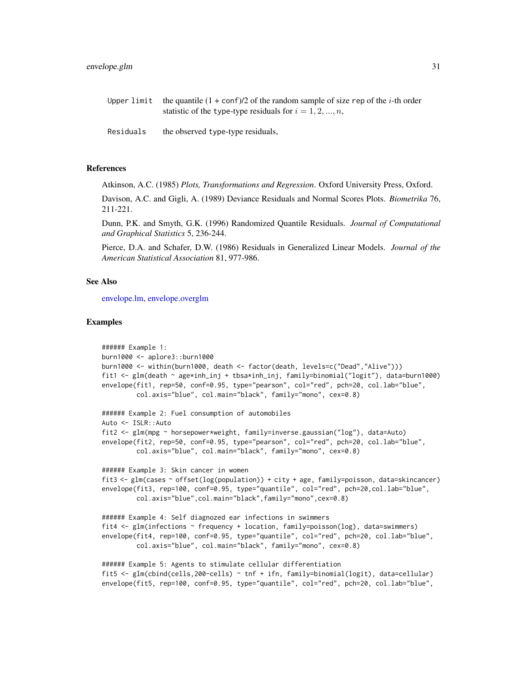| Upper limit the quantile $(1 + \text{conf})/2$ of the random sample of size rep of the <i>i</i> -th order |
|-----------------------------------------------------------------------------------------------------------|
| statistic of the type-type residuals for $i = 1, 2, , n$ ,                                                |

Residuals the observed type-type residuals,

# References

Atkinson, A.C. (1985) *Plots, Transformations and Regression*. Oxford University Press, Oxford.

Davison, A.C. and Gigli, A. (1989) Deviance Residuals and Normal Scores Plots. *Biometrika* 76, 211-221.

Dunn, P.K. and Smyth, G.K. (1996) Randomized Quantile Residuals. *Journal of Computational and Graphical Statistics* 5, 236-244.

Pierce, D.A. and Schafer, D.W. (1986) Residuals in Generalized Linear Models. *Journal of the American Statistical Association* 81, 977-986.

# See Also

[envelope.lm,](#page-31-1) [envelope.overglm](#page-33-1)

```
###### Example 1:
burn1000 <- aplore3::burn1000
burn1000 <- within(burn1000, death <- factor(death, levels=c("Dead","Alive")))
fit1 <- glm(death ~ age*inh_inj + tbsa*inh_inj, family=binomial("logit"), data=burn1000)
envelope(fit1, rep=50, conf=0.95, type="pearson", col="red", pch=20, col.lab="blue",
         col.axis="blue", col.main="black", family="mono", cex=0.8)
###### Example 2: Fuel consumption of automobiles
Auto <- ISLR::Auto
fit2 <- glm(mpg ~ horsepower*weight, family=inverse.gaussian("log"), data=Auto)
envelope(fit2, rep=50, conf=0.95, type="pearson", col="red", pch=20, col.lab="blue",
         col.axis="blue", col.main="black", family="mono", cex=0.8)
###### Example 3: Skin cancer in women
fit3 <- glm(cases ~ offset(log(population)) + city + age, family=poisson, data=skincancer)
envelope(fit3, rep=100, conf=0.95, type="quantile", col="red", pch=20,col.lab="blue",
         col.axis="blue",col.main="black",family="mono",cex=0.8)
###### Example 4: Self diagnozed ear infections in swimmers
fit4 <- glm(infections ~ frequency + location, family=poisson(log), data=swimmers)
envelope(fit4, rep=100, conf=0.95, type="quantile", col="red", pch=20, col.lab="blue",
         col.axis="blue", col.main="black", family="mono", cex=0.8)
###### Example 5: Agents to stimulate cellular differentiation
fit5 <- glm(clind(cells, 200-cells) \sim tnf + ifn, family=binomial(logit), data=cellular)
envelope(fit5, rep=100, conf=0.95, type="quantile", col="red", pch=20, col.lab="blue",
```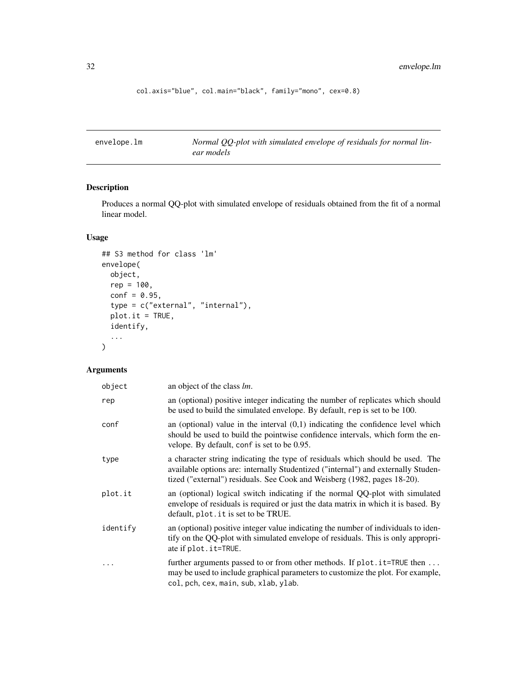```
col.axis="blue", col.main="black", family="mono", cex=0.8)
```
<span id="page-31-1"></span>

| envelope.lm | Normal QQ-plot with simulated envelope of residuals for normal lin- |
|-------------|---------------------------------------------------------------------|
|             | ear models                                                          |

Produces a normal QQ-plot with simulated envelope of residuals obtained from the fit of a normal linear model.

# Usage

```
## S3 method for class 'lm'
envelope(
 object,
 rep = 100,conf = 0.95,type = c("external", "internal"),
 plot.it = TRUE,identify,
  ...
\mathcal{L}
```

| object    | an object of the class <i>lm</i> .                                                                                                                                                                                                             |
|-----------|------------------------------------------------------------------------------------------------------------------------------------------------------------------------------------------------------------------------------------------------|
| rep       | an (optional) positive integer indicating the number of replicates which should<br>be used to build the simulated envelope. By default, rep is set to be 100.                                                                                  |
| conf      | an (optional) value in the interval $(0,1)$ indicating the confidence level which<br>should be used to build the pointwise confidence intervals, which form the en-<br>velope. By default, conf is set to be 0.95.                             |
| type      | a character string indicating the type of residuals which should be used. The<br>available options are: internally Studentized ("internal") and externally Studen-<br>tized ("external") residuals. See Cook and Weisberg (1982, pages 18-20). |
| plot.it   | an (optional) logical switch indicating if the normal QQ-plot with simulated<br>envelope of residuals is required or just the data matrix in which it is based. By<br>default, plot. it is set to be TRUE.                                     |
| identify  | an (optional) positive integer value indicating the number of individuals to iden-<br>tify on the QQ-plot with simulated envelope of residuals. This is only appropri-<br>ate if plot. it=TRUE.                                                |
| $\ddotsc$ | further arguments passed to or from other methods. If plot. it=TRUE then<br>may be used to include graphical parameters to customize the plot. For example,<br>col, pch, cex, main, sub, xlab, ylab.                                           |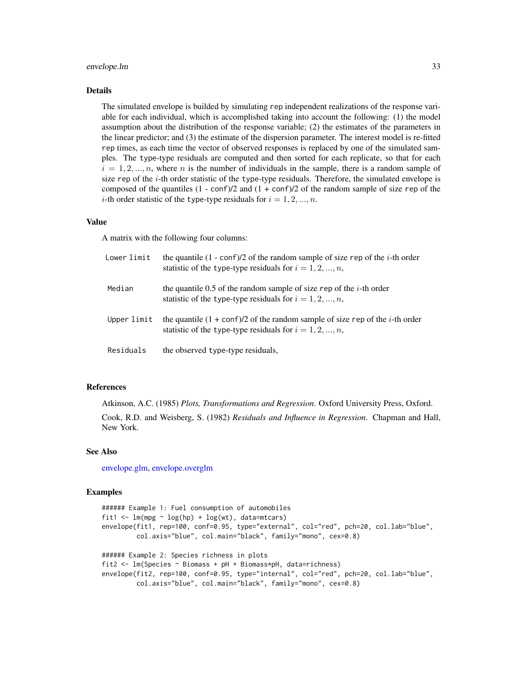#### envelope.lm 33

#### Details

The simulated envelope is builded by simulating rep independent realizations of the response variable for each individual, which is accomplished taking into account the following: (1) the model assumption about the distribution of the response variable; (2) the estimates of the parameters in the linear predictor; and (3) the estimate of the dispersion parameter. The interest model is re-fitted rep times, as each time the vector of observed responses is replaced by one of the simulated samples. The type-type residuals are computed and then sorted for each replicate, so that for each  $i = 1, 2, ..., n$ , where n is the number of individuals in the sample, there is a random sample of size rep of the  $i$ -th order statistic of the type-type residuals. Therefore, the simulated envelope is composed of the quantiles  $(1 - \text{conf})/2$  and  $(1 + \text{conf})/2$  of the random sample of size rep of the *i*-th order statistic of the type-type residuals for  $i = 1, 2, ..., n$ .

#### Value

A matrix with the following four columns:

| Lower limit | the quantile $(1 - \text{conf})/2$ of the random sample of size rep of the <i>i</i> -th order<br>statistic of the type-type residuals for $i = 1, 2, , n$ , |
|-------------|-------------------------------------------------------------------------------------------------------------------------------------------------------------|
| Median      | the quantile 0.5 of the random sample of size rep of the <i>i</i> -th order<br>statistic of the type-type residuals for $i = 1, 2, , n$ ,                   |
| Upper limit | the quantile $(1 + \text{conf})/2$ of the random sample of size rep of the <i>i</i> -th order<br>statistic of the type-type residuals for $i = 1, 2, , n$ , |
| Residuals   | the observed type-type residuals,                                                                                                                           |

#### References

Atkinson, A.C. (1985) *Plots, Transformations and Regression*. Oxford University Press, Oxford.

Cook, R.D. and Weisberg, S. (1982) *Residuals and Influence in Regression*. Chapman and Hall, New York.

# See Also

[envelope.glm,](#page-28-1) [envelope.overglm](#page-33-1)

```
###### Example 1: Fuel consumption of automobiles
fit1 <- lm(mpg \sim log(hp) + log(wt)), data=mtcars)
envelope(fit1, rep=100, conf=0.95, type="external", col="red", pch=20, col.lab="blue",
         col.axis="blue", col.main="black", family="mono", cex=0.8)
###### Example 2: Species richness in plots
fit2 <- lm(Species ~ Biomass + pH + Biomass*pH, data=richness)
envelope(fit2, rep=100, conf=0.95, type="internal", col="red", pch=20, col.lab="blue",
         col.axis="blue", col.main="black", family="mono", cex=0.8)
```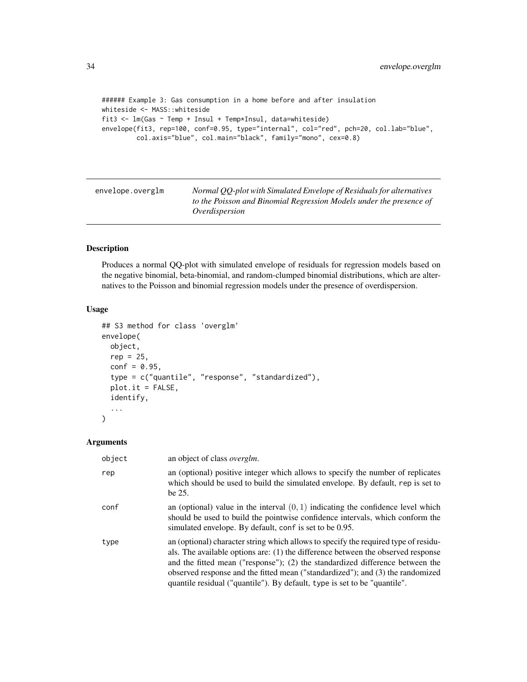```
###### Example 3: Gas consumption in a home before and after insulation
whiteside <- MASS::whiteside
fit3 <- lm(Gas ~ Temp + Insul + Temp*Insul, data=whiteside)
envelope(fit3, rep=100, conf=0.95, type="internal", col="red", pch=20, col.lab="blue",
        col.axis="blue", col.main="black", family="mono", cex=0.8)
```
<span id="page-33-1"></span>

| envelope.overglm | Normal QQ-plot with Simulated Envelope of Residuals for alternatives |
|------------------|----------------------------------------------------------------------|
|                  | to the Poisson and Binomial Regression Models under the presence of  |
|                  | Overdispersion                                                       |

Produces a normal QQ-plot with simulated envelope of residuals for regression models based on the negative binomial, beta-binomial, and random-clumped binomial distributions, which are alternatives to the Poisson and binomial regression models under the presence of overdispersion.

#### Usage

```
## S3 method for class 'overglm'
envelope(
 object,
  rep = 25,
  conf = 0.95,
  type = c("quantile", "response", "standardized"),
  plot.it = FALSE,identify,
  ...
)
```

| object | an object of class <i>overglm</i> .                                                                                                                                                                                                                                                                                                                                                                                     |
|--------|-------------------------------------------------------------------------------------------------------------------------------------------------------------------------------------------------------------------------------------------------------------------------------------------------------------------------------------------------------------------------------------------------------------------------|
| rep    | an (optional) positive integer which allows to specify the number of replicates<br>which should be used to build the simulated envelope. By default, rep is set to<br>be 25.                                                                                                                                                                                                                                            |
| conf   | an (optional) value in the interval $(0, 1)$ indicating the confidence level which<br>should be used to build the pointwise confidence intervals, which conform the<br>simulated envelope. By default, conf is set to be 0.95.                                                                                                                                                                                          |
| type   | an (optional) character string which allows to specify the required type of residu-<br>als. The available options are: (1) the difference between the observed response<br>and the fitted mean ("response"); (2) the standardized difference between the<br>observed response and the fitted mean ("standardized"); and (3) the randomized<br>quantile residual ("quantile"). By default, type is set to be "quantile". |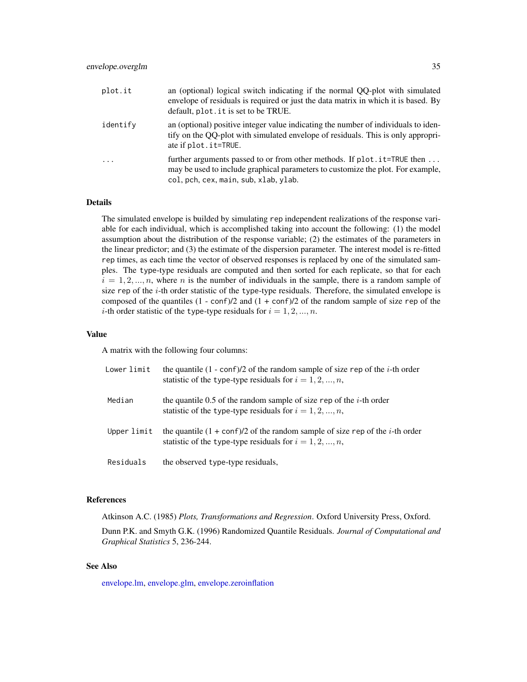| plot.it    | an (optional) logical switch indicating if the normal QQ-plot with simulated<br>envelope of residuals is required or just the data matrix in which it is based. By<br>default, plot. it is set to be TRUE. |
|------------|------------------------------------------------------------------------------------------------------------------------------------------------------------------------------------------------------------|
| identify   | an (optional) positive integer value indicating the number of individuals to iden-<br>tify on the QQ-plot with simulated envelope of residuals. This is only appropri-<br>ate if plot. it=TRUE.            |
| $\ddots$ . | further arguments passed to or from other methods. If plot. it=TRUE then<br>may be used to include graphical parameters to customize the plot. For example,<br>col, pch, cex, main, sub, xlab, ylab.       |

#### Details

The simulated envelope is builded by simulating rep independent realizations of the response variable for each individual, which is accomplished taking into account the following: (1) the model assumption about the distribution of the response variable; (2) the estimates of the parameters in the linear predictor; and (3) the estimate of the dispersion parameter. The interest model is re-fitted rep times, as each time the vector of observed responses is replaced by one of the simulated samples. The type-type residuals are computed and then sorted for each replicate, so that for each  $i = 1, 2, ..., n$ , where n is the number of individuals in the sample, there is a random sample of size rep of the  $i$ -th order statistic of the type-type residuals. Therefore, the simulated envelope is composed of the quantiles  $(1 - \text{conf})/2$  and  $(1 + \text{conf})/2$  of the random sample of size rep of the *i*-th order statistic of the type-type residuals for  $i = 1, 2, ..., n$ .

#### Value

A matrix with the following four columns:

| Lower limit | the quantile $(1 - \text{conf})/2$ of the random sample of size rep of the <i>i</i> -th order<br>statistic of the type-type residuals for $i = 1, 2, , n$ , |
|-------------|-------------------------------------------------------------------------------------------------------------------------------------------------------------|
| Median      | the quantile 0.5 of the random sample of size rep of the <i>i</i> -th order<br>statistic of the type-type residuals for $i = 1, 2, , n$ ,                   |
| Upper limit | the quantile $(1 + \text{conf})/2$ of the random sample of size rep of the <i>i</i> -th order<br>statistic of the type-type residuals for $i = 1, 2, , n$ , |
| Residuals   | the observed type-type residuals,                                                                                                                           |

#### References

Atkinson A.C. (1985) *Plots, Transformations and Regression*. Oxford University Press, Oxford.

Dunn P.K. and Smyth G.K. (1996) Randomized Quantile Residuals. *Journal of Computational and Graphical Statistics* 5, 236-244.

# See Also

[envelope.lm,](#page-31-1) [envelope.glm,](#page-28-1) [envelope.zeroinflation](#page-35-1)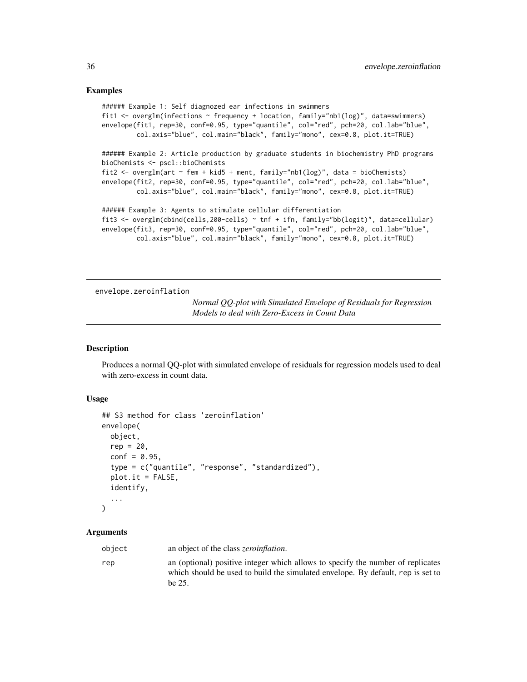#### Examples

```
###### Example 1: Self diagnozed ear infections in swimmers
fit1 <- overglm(infections ~ frequency + location, family="nb1(log)", data=swimmers)
envelope(fit1, rep=30, conf=0.95, type="quantile", col="red", pch=20, col.lab="blue",
        col.axis="blue", col.main="black", family="mono", cex=0.8, plot.it=TRUE)
###### Example 2: Article production by graduate students in biochemistry PhD programs
bioChemists <- pscl::bioChemists
fit2 <- overglm(art ~ fem + kid5 + ment, family="nb1(log)", data = bioChemists)
envelope(fit2, rep=30, conf=0.95, type="quantile", col="red", pch=20, col.lab="blue",
         col.axis="blue", col.main="black", family="mono", cex=0.8, plot.it=TRUE)
###### Example 3: Agents to stimulate cellular differentiation
fit3 <- overglm(cbind(cells,200-cells) ~ tnf + ifn, family="bb(logit)", data=cellular)
envelope(fit3, rep=30, conf=0.95, type="quantile", col="red", pch=20, col.lab="blue",
         col.axis="blue", col.main="black", family="mono", cex=0.8, plot.it=TRUE)
```
<span id="page-35-1"></span>envelope.zeroinflation

*Normal QQ-plot with Simulated Envelope of Residuals for Regression Models to deal with Zero-Excess in Count Data*

#### Description

Produces a normal QQ-plot with simulated envelope of residuals for regression models used to deal with zero-excess in count data.

#### Usage

```
## S3 method for class 'zeroinflation'
envelope(
 object,
 rep = 20,
  conf = 0.95,
  type = c("quantile", "response", "standardized"),
  plot.it = FALSE,identify,
  ...
\lambda
```

| object | an object of the class <i>zeroinflation</i> .                                                                                                                                |
|--------|------------------------------------------------------------------------------------------------------------------------------------------------------------------------------|
| rep    | an (optional) positive integer which allows to specify the number of replicates<br>which should be used to build the simulated envelope. By default, rep is set to<br>he 25. |

<span id="page-35-0"></span>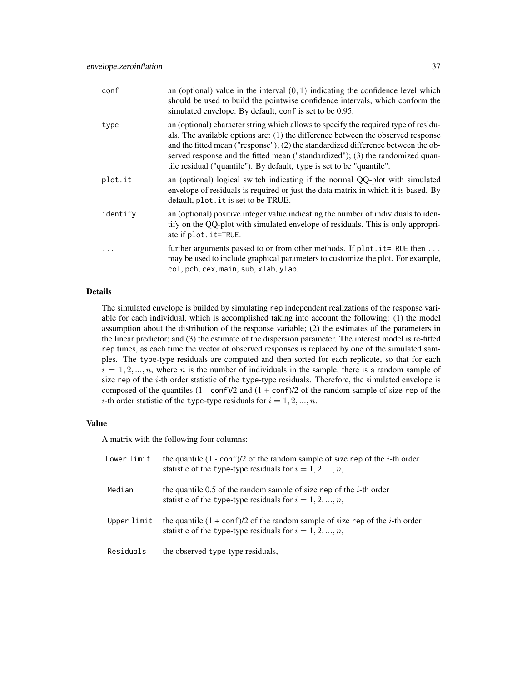| conf     | an (optional) value in the interval $(0, 1)$ indicating the confidence level which<br>should be used to build the pointwise confidence intervals, which conform the<br>simulated envelope. By default, conf is set to be 0.95.                                                                                                                                                                                          |
|----------|-------------------------------------------------------------------------------------------------------------------------------------------------------------------------------------------------------------------------------------------------------------------------------------------------------------------------------------------------------------------------------------------------------------------------|
| type     | an (optional) character string which allows to specify the required type of residu-<br>als. The available options are: (1) the difference between the observed response<br>and the fitted mean ("response"); (2) the standardized difference between the ob-<br>served response and the fitted mean ("standardized"); (3) the randomized quan-<br>tile residual ("quantile"). By default, type is set to be "quantile". |
| plot.it  | an (optional) logical switch indicating if the normal QQ-plot with simulated<br>envelope of residuals is required or just the data matrix in which it is based. By<br>default, plot. it is set to be TRUE.                                                                                                                                                                                                              |
| identify | an (optional) positive integer value indicating the number of individuals to iden-<br>tify on the QQ-plot with simulated envelope of residuals. This is only appropri-<br>ate if plot. it=TRUE.                                                                                                                                                                                                                         |
|          | further arguments passed to or from other methods. If plot. it=TRUE then<br>may be used to include graphical parameters to customize the plot. For example,<br>col, pch, cex, main, sub, xlab, ylab.                                                                                                                                                                                                                    |

# Details

The simulated envelope is builded by simulating rep independent realizations of the response variable for each individual, which is accomplished taking into account the following: (1) the model assumption about the distribution of the response variable; (2) the estimates of the parameters in the linear predictor; and (3) the estimate of the dispersion parameter. The interest model is re-fitted rep times, as each time the vector of observed responses is replaced by one of the simulated samples. The type-type residuals are computed and then sorted for each replicate, so that for each  $i = 1, 2, ..., n$ , where n is the number of individuals in the sample, there is a random sample of size rep of the  $i$ -th order statistic of the type-type residuals. Therefore, the simulated envelope is composed of the quantiles  $(1 - \text{conf})/2$  and  $(1 + \text{conf})/2$  of the random sample of size rep of the *i*-th order statistic of the type-type residuals for  $i = 1, 2, ..., n$ .

# Value

A matrix with the following four columns:

| Lower limit | the quantile $(1 - \text{conf})/2$ of the random sample of size rep of the <i>i</i> -th order<br>statistic of the type-type residuals for $i = 1, 2, , n$ , |
|-------------|-------------------------------------------------------------------------------------------------------------------------------------------------------------|
| Median      | the quantile 0.5 of the random sample of size rep of the <i>i</i> -th order<br>statistic of the type-type residuals for $i = 1, 2, , n$ ,                   |
| Upper limit | the quantile $(1 + \text{conf})/2$ of the random sample of size rep of the <i>i</i> -th order<br>statistic of the type-type residuals for $i = 1, 2, , n$ , |
| Residuals   | the observed type-type residuals,                                                                                                                           |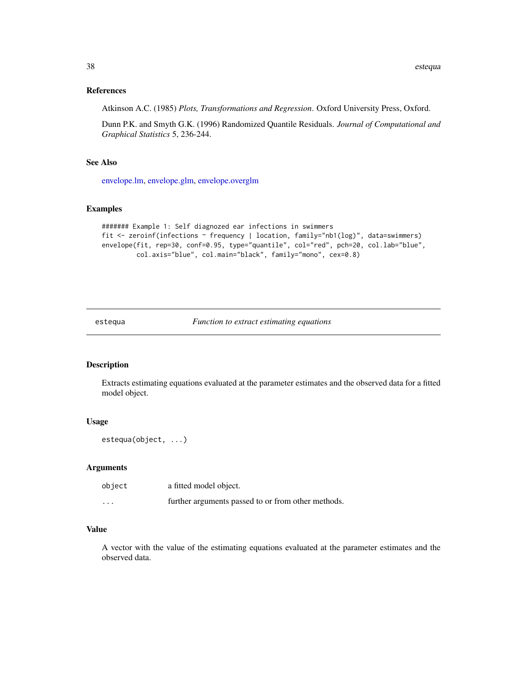# References

Atkinson A.C. (1985) *Plots, Transformations and Regression*. Oxford University Press, Oxford.

Dunn P.K. and Smyth G.K. (1996) Randomized Quantile Residuals. *Journal of Computational and Graphical Statistics* 5, 236-244.

# See Also

[envelope.lm,](#page-31-0) [envelope.glm,](#page-28-0) [envelope.overglm](#page-33-0)

# Examples

```
####### Example 1: Self diagnozed ear infections in swimmers
fit <- zeroinf(infections ~ frequency | location, family="nb1(log)", data=swimmers)
envelope(fit, rep=30, conf=0.95, type="quantile", col="red", pch=20, col.lab="blue",
        col.axis="blue", col.main="black", family="mono", cex=0.8)
```
estequa *Function to extract estimating equations*

# Description

Extracts estimating equations evaluated at the parameter estimates and the observed data for a fitted model object.

# Usage

```
estequa(object, ...)
```
#### Arguments

| object               | a fitted model object.                             |
|----------------------|----------------------------------------------------|
| $\ddot{\phantom{0}}$ | further arguments passed to or from other methods. |

#### Value

A vector with the value of the estimating equations evaluated at the parameter estimates and the observed data.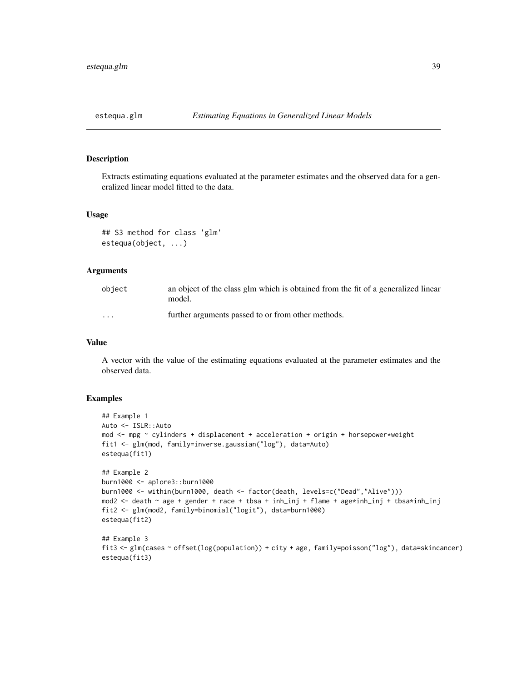#### Description

Extracts estimating equations evaluated at the parameter estimates and the observed data for a generalized linear model fitted to the data.

# Usage

```
## S3 method for class 'glm'
estequa(object, ...)
```
# **Arguments**

| obiect  | an object of the class glm which is obtained from the fit of a generalized linear<br>model. |
|---------|---------------------------------------------------------------------------------------------|
| $\cdot$ | further arguments passed to or from other methods.                                          |

#### Value

A vector with the value of the estimating equations evaluated at the parameter estimates and the observed data.

# Examples

estequa(fit3)

```
## Example 1
Auto <- ISLR::Auto
mod <- mpg ~ cylinders + displacement + acceleration + origin + horsepower*weight
fit1 <- glm(mod, family=inverse.gaussian("log"), data=Auto)
estequa(fit1)
## Example 2
burn1000 <- aplore3::burn1000
burn1000 <- within(burn1000, death <- factor(death, levels=c("Dead","Alive")))
mod2 <- death ~ age + gender + race + tbsa + inh_inj + flame + age*inh_inj + tbsa*inh_inj
fit2 <- glm(mod2, family=binomial("logit"), data=burn1000)
estequa(fit2)
## Example 3
fit3 <- glm(cases ~ offset(log(population)) + city + age, family=poisson("log"), data=skincancer)
```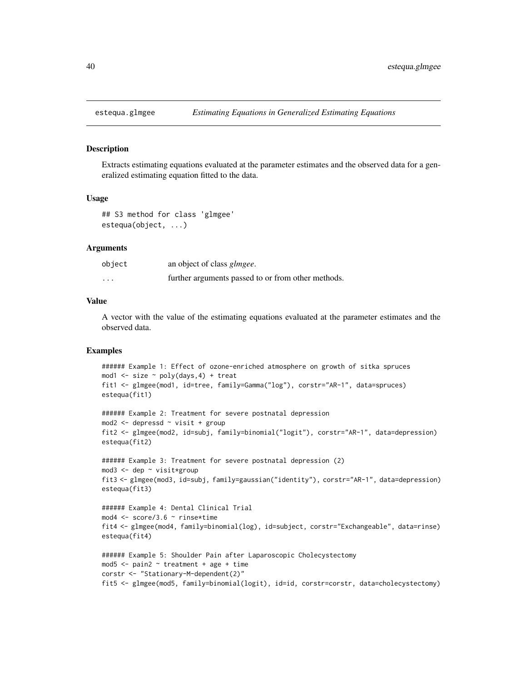#### Description

Extracts estimating equations evaluated at the parameter estimates and the observed data for a generalized estimating equation fitted to the data.

#### Usage

```
## S3 method for class 'glmgee'
estequa(object, ...)
```
#### Arguments

| object   | an object of class <i>glmgee</i> .                 |
|----------|----------------------------------------------------|
| $\cdots$ | further arguments passed to or from other methods. |

# Value

A vector with the value of the estimating equations evaluated at the parameter estimates and the observed data.

# Examples

```
###### Example 1: Effect of ozone-enriched atmosphere on growth of sitka spruces
mod1 <- size ~ poly(days,4) + treat
fit1 <- glmgee(mod1, id=tree, family=Gamma("log"), corstr="AR-1", data=spruces)
estequa(fit1)
```

```
###### Example 2: Treatment for severe postnatal depression
mod2 <- depressd ~ visit + group
fit2 <- glmgee(mod2, id=subj, family=binomial("logit"), corstr="AR-1", data=depression)
estequa(fit2)
```

```
###### Example 3: Treatment for severe postnatal depression (2)
mod3 <- dep ~ visit*group
fit3 <- glmgee(mod3, id=subj, family=gaussian("identity"), corstr="AR-1", data=depression)
estequa(fit3)
```

```
###### Example 4: Dental Clinical Trial
mod4 <- score/3.6 ~ rinse*time
fit4 <- glmgee(mod4, family=binomial(log), id=subject, corstr="Exchangeable", data=rinse)
estequa(fit4)
```

```
###### Example 5: Shoulder Pain after Laparoscopic Cholecystectomy
mod5 \le - pain2 \sim treatment + age + time
corstr <- "Stationary-M-dependent(2)"
fit5 <- glmgee(mod5, family=binomial(logit), id=id, corstr=corstr, data=cholecystectomy)
```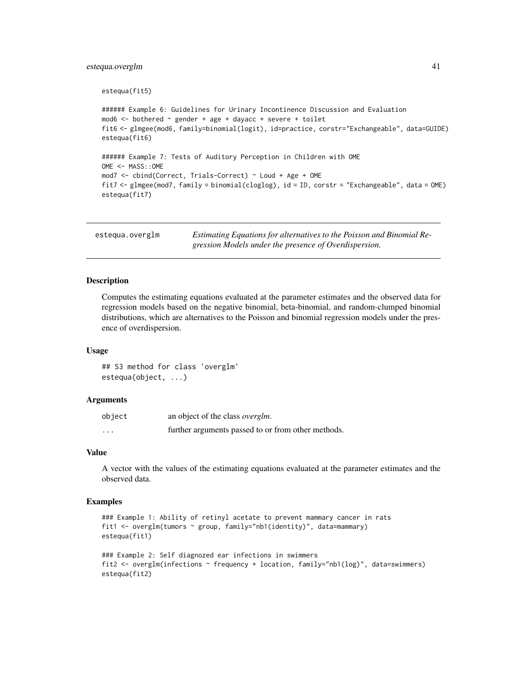# estequa.overglm 41

```
estequa(fit5)
###### Example 6: Guidelines for Urinary Incontinence Discussion and Evaluation
mod6 \le bothered \sim gender + age + dayacc + severe + toilet
fit6 <- glmgee(mod6, family=binomial(logit), id=practice, corstr="Exchangeable", data=GUIDE)
estequa(fit6)
###### Example 7: Tests of Auditory Perception in Children with OME
OME <- MASS::OME
mod7 <- cbind(Correct, Trials-Correct) ~ Loud + Age + OME
fit7 <- glmgee(mod7, family = binomial(cloglog), id = ID, corstr = "Exchangeable", data = OME)
estequa(fit7)
```

| estegua.overglm | Estimating Equations for alternatives to the Poisson and Binomial Re- |
|-----------------|-----------------------------------------------------------------------|
|                 | gression Models under the presence of Overdispersion.                 |

#### Description

Computes the estimating equations evaluated at the parameter estimates and the observed data for regression models based on the negative binomial, beta-binomial, and random-clumped binomial distributions, which are alternatives to the Poisson and binomial regression models under the presence of overdispersion.

#### Usage

## S3 method for class 'overglm' estequa(object, ...)

## Arguments

| object   | an object of the class <i>overglm</i> .            |
|----------|----------------------------------------------------|
| $\cdots$ | further arguments passed to or from other methods. |

### Value

A vector with the values of the estimating equations evaluated at the parameter estimates and the observed data.

# Examples

```
### Example 1: Ability of retinyl acetate to prevent mammary cancer in rats
fit1 <- overglm(tumors ~ group, family="nb1(identity)", data=mammary)
estequa(fit1)
### Example 2: Self diagnozed ear infections in swimmers
fit2 <- overglm(infections ~ frequency + location, family="nb1(log)", data=swimmers)
```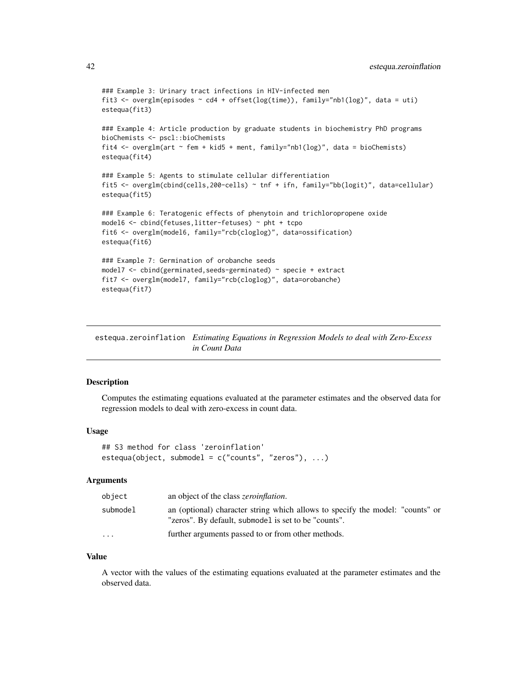```
### Example 3: Urinary tract infections in HIV-infected men
fit3 <- overglm(episodes ~ cd4 + offset(log(time)), family="nb1(log)", data = uti)
estequa(fit3)
### Example 4: Article production by graduate students in biochemistry PhD programs
bioChemists <- pscl::bioChemists
fit4 <- overglm(art \sim fem + kid5 + ment, family="nb1(log)", data = bioChemists)
estequa(fit4)
### Example 5: Agents to stimulate cellular differentiation
fit5 <- overglm(cbind(cells,200-cells) ~ tnf + ifn, family="bb(logit)", data=cellular)
estequa(fit5)
### Example 6: Teratogenic effects of phenytoin and trichloropropene oxide
model6 <- cbind(fetuses,litter-fetuses) ~ pht + tcpo
fit6 <- overglm(model6, family="rcb(cloglog)", data=ossification)
estequa(fit6)
### Example 7: Germination of orobanche seeds
model7 <- cbind(germinated, seeds-germinated) ~ specie + extract
fit7 <- overglm(model7, family="rcb(cloglog)", data=orobanche)
estequa(fit7)
```
estequa.zeroinflation *Estimating Equations in Regression Models to deal with Zero-Excess in Count Data*

# Description

Computes the estimating equations evaluated at the parameter estimates and the observed data for regression models to deal with zero-excess in count data.

#### Usage

```
## S3 method for class 'zeroinflation'
estequa(object, submodel = c("counts", "zeros"), ...)
```
#### Arguments

| object   | an object of the class <i>zeroinflation</i> .                                                                                         |
|----------|---------------------------------------------------------------------------------------------------------------------------------------|
| submodel | an (optional) character string which allows to specify the model: "counts" or<br>"zeros". By default, submodel is set to be "counts". |
| $\cdots$ | further arguments passed to or from other methods.                                                                                    |

#### Value

A vector with the values of the estimating equations evaluated at the parameter estimates and the observed data.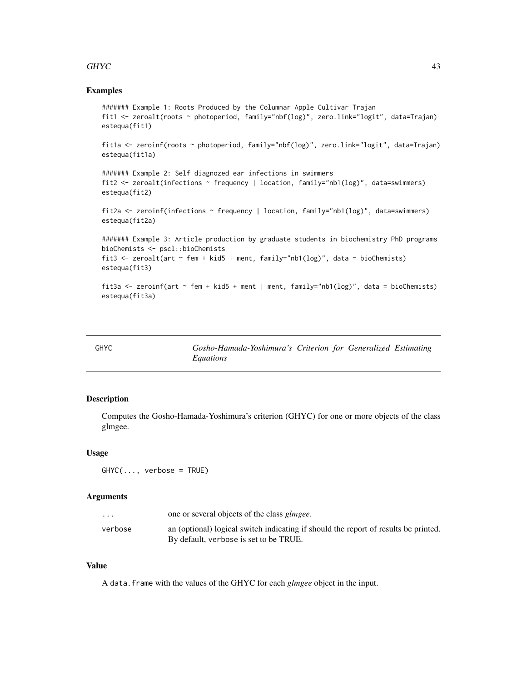# GHYC 43

### Examples

```
####### Example 1: Roots Produced by the Columnar Apple Cultivar Trajan
fit1 <- zeroalt(roots ~ photoperiod, family="nbf(log)", zero.link="logit", data=Trajan)
estequa(fit1)
fit1a <- zeroinf(roots ~ photoperiod, family="nbf(log)", zero.link="logit", data=Trajan)
estequa(fit1a)
####### Example 2: Self diagnozed ear infections in swimmers
fit2 <- zeroalt(infections ~ frequency | location, family="nb1(log)", data=swimmers)
estequa(fit2)
fit2a <- zeroinf(infections ~ frequency | location, family="nb1(log)", data=swimmers)
estequa(fit2a)
####### Example 3: Article production by graduate students in biochemistry PhD programs
bioChemists <- pscl::bioChemists
fit3 <- zeroalt(art \sim fem + kid5 + ment, family="nb1(log)", data = bioChemists)
estequa(fit3)
fit3a <- zeroinf(art ~ fem + kid5 + ment | ment, family="nb1(log)", data = bioChemists)
estequa(fit3a)
```
<span id="page-42-0"></span>

| GHYC | Gosho-Hamada-Yoshimura's Criterion for Generalized Estimating |  |  |
|------|---------------------------------------------------------------|--|--|
|      | Equations                                                     |  |  |

### Description

Computes the Gosho-Hamada-Yoshimura's criterion (GHYC) for one or more objects of the class glmgee.

## Usage

 $GHYC$ (..., verbose = TRUE)

# Arguments

| $\cdots$ | one or several objects of the class <i>glmgee</i> .                                 |
|----------|-------------------------------------------------------------------------------------|
| verbose  | an (optional) logical switch indicating if should the report of results be printed. |
|          | By default, verbose is set to be TRUE.                                              |

#### Value

A data.frame with the values of the GHYC for each *glmgee* object in the input.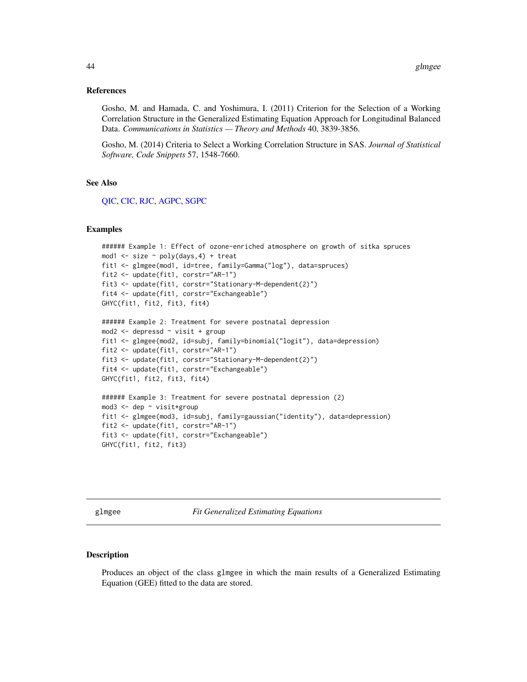#### References

Gosho, M. and Hamada, C. and Yoshimura, I. (2011) Criterion for the Selection of a Working Correlation Structure in the Generalized Estimating Equation Approach for Longitudinal Balanced Data. *Communications in Statistics — Theory and Methods* 40, 3839-3856.

Gosho, M. (2014) Criteria to Select a Working Correlation Structure in SAS. *Journal of Statistical Software, Code Snippets* 57, 1548-7660.

#### See Also

[QIC,](#page-70-0) [CIC,](#page-14-0) [RJC,](#page-79-0) [AGPC,](#page-2-0) [SGPC](#page-82-0)

#### Examples

```
###### Example 1: Effect of ozone-enriched atmosphere on growth of sitka spruces
mod1 <- size ~ poly(days,4) + treat
fit1 <- glmgee(mod1, id=tree, family=Gamma("log"), data=spruces)
fit2 <- update(fit1, corstr="AR-1")
fit3 <- update(fit1, corstr="Stationary-M-dependent(2)")
fit4 <- update(fit1, corstr="Exchangeable")
GHYC(fit1, fit2, fit3, fit4)
```

```
###### Example 2: Treatment for severe postnatal depression
mod2 <- depressd ~ visit + group
fit1 <- glmgee(mod2, id=subj, family=binomial("logit"), data=depression)
fit2 <- update(fit1, corstr="AR-1")
fit3 <- update(fit1, corstr="Stationary-M-dependent(2)")
fit4 <- update(fit1, corstr="Exchangeable")
GHYC(fit1, fit2, fit3, fit4)
```

```
###### Example 3: Treatment for severe postnatal depression (2)
mod3 <- dep ~ visit*group
fit1 <- glmgee(mod3, id=subj, family=gaussian("identity"), data=depression)
fit2 <- update(fit1, corstr="AR-1")
fit3 <- update(fit1, corstr="Exchangeable")
GHYC(fit1, fit2, fit3)
```
glmgee *Fit Generalized Estimating Equations*

#### Description

Produces an object of the class glmgee in which the main results of a Generalized Estimating Equation (GEE) fitted to the data are stored.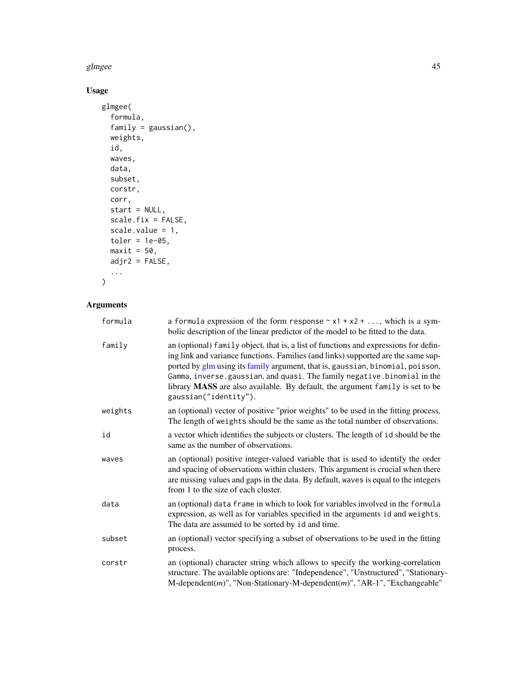#### glmgee **45**

# Usage

```
glmgee(
  formula,
  family = gaussian(),
  weights,
  id,
  waves,
  data,
  subset,
  corstr,
  corr,
  start = NULL,
  scale.fix = FALSE,
  scale.value = 1,
  toler = 1e-05,
  maxit = 50,
  adjr2 = FALSE,
  ...
```
# $\,$

# Arguments

| formula | a formula expression of the form response $\sim x1 + x2 + $ , which is a sym-<br>bolic description of the linear predictor of the model to be fitted to the data.                                                                                                                                                                                                                                                                                |
|---------|--------------------------------------------------------------------------------------------------------------------------------------------------------------------------------------------------------------------------------------------------------------------------------------------------------------------------------------------------------------------------------------------------------------------------------------------------|
| family  | an (optional) family object, that is, a list of functions and expressions for defin-<br>ing link and variance functions. Families (and links) supported are the same sup-<br>ported by glm using its family argument, that is, gaussian, binomial, poisson,<br>Gamma, inverse.gaussian, and quasi. The family negative.binomial in the<br>library MASS are also available. By default, the argument family is set to be<br>gaussian("identity"). |
| weights | an (optional) vector of positive "prior weights" to be used in the fitting process.<br>The length of weights should be the same as the total number of observations.                                                                                                                                                                                                                                                                             |
| id      | a vector which identifies the subjects or clusters. The length of id should be the<br>same as the number of observations.                                                                                                                                                                                                                                                                                                                        |
| waves   | an (optional) positive integer-valued variable that is used to identify the order<br>and spacing of observations within clusters. This argument is crucial when there<br>are missing values and gaps in the data. By default, waves is equal to the integers<br>from 1 to the size of each cluster.                                                                                                                                              |
| data    | an (optional) data frame in which to look for variables involved in the formula<br>expression, as well as for variables specified in the arguments id and weights.<br>The data are assumed to be sorted by id and time.                                                                                                                                                                                                                          |
| subset  | an (optional) vector specifying a subset of observations to be used in the fitting<br>process.                                                                                                                                                                                                                                                                                                                                                   |
| corstr  | an (optional) character string which allows to specify the working-correlation<br>structure. The available options are: "Independence", "Unstructured", "Stationary-<br>$M$ -dependent $(m)$ ", "Non-Stationary-M-dependent $(m)$ ", "AR-1", "Exchangeable"                                                                                                                                                                                      |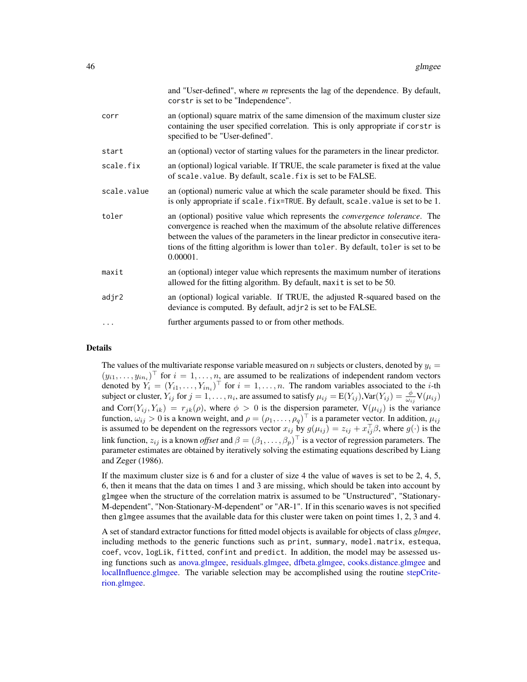|             | and "User-defined", where <i>m</i> represents the lag of the dependence. By default,<br>corstr is set to be "Independence".                                                                                                                                                                                                                                  |
|-------------|--------------------------------------------------------------------------------------------------------------------------------------------------------------------------------------------------------------------------------------------------------------------------------------------------------------------------------------------------------------|
| corr        | an (optional) square matrix of the same dimension of the maximum cluster size<br>containing the user specified correlation. This is only appropriate if corstr is<br>specified to be "User-defined".                                                                                                                                                         |
| start       | an (optional) vector of starting values for the parameters in the linear predictor.                                                                                                                                                                                                                                                                          |
| scale.fix   | an (optional) logical variable. If TRUE, the scale parameter is fixed at the value<br>of scale. value. By default, scale. fix is set to be FALSE.                                                                                                                                                                                                            |
| scale.value | an (optional) numeric value at which the scale parameter should be fixed. This<br>is only appropriate if scale. fix=TRUE. By default, scale. value is set to be 1.                                                                                                                                                                                           |
| toler       | an (optional) positive value which represents the <i>convergence tolerance</i> . The<br>convergence is reached when the maximum of the absolute relative differences<br>between the values of the parameters in the linear predictor in consecutive itera-<br>tions of the fitting algorithm is lower than toler. By default, toler is set to be<br>0.00001. |
| maxit       | an (optional) integer value which represents the maximum number of iterations<br>allowed for the fitting algorithm. By default, maxit is set to be 50.                                                                                                                                                                                                       |
| adjr2       | an (optional) logical variable. If TRUE, the adjusted R-squared based on the<br>deviance is computed. By default, adjr2 is set to be FALSE.                                                                                                                                                                                                                  |
| $\cdots$    | further arguments passed to or from other methods.                                                                                                                                                                                                                                                                                                           |

#### Details

The values of the multivariate response variable measured on n subjects or clusters, denoted by  $y_i =$  $(y_{i1},...,y_{in_i})^{\top}$  for  $i=1,...,n$ , are assumed to be realizations of independent random vectors denoted by  $Y_i = (Y_{i1}, \ldots, Y_{in_i})^\top$  for  $i = 1, \ldots, n$ . The random variables associated to the *i*-th subject or cluster,  $Y_{ij}$  for  $j = 1, \ldots, n_i$ , are assumed to satisfy  $\mu_{ij} = E(Y_{ij})$ ,  $Var(Y_{ij}) = \frac{\phi}{\omega_{ij}} V(\mu_{ij})$ and Corr $(Y_{ij}, Y_{ik}) = r_{jk}(\rho)$ , where  $\phi > 0$  is the dispersion parameter,  $V(\mu_{ij})$  is the variance function,  $\omega_{ij} > 0$  is a known weight, and  $\rho = (\rho_1, \dots, \rho_q)^\top$  is a parameter vector. In addition,  $\mu_{ij}$ is assumed to be dependent on the regressors vector  $x_{ij}$  by  $g(\mu_{ij}) = z_{ij} + x_{ij}^{\top} \beta$ , where  $g(\cdot)$  is the link function,  $z_{ij}$  is a known *offset* and  $\beta = (\beta_1, \dots, \beta_p)^\top$  is a vector of regression parameters. The parameter estimates are obtained by iteratively solving the estimating equations described by Liang and Zeger (1986).

If the maximum cluster size is 6 and for a cluster of size 4 the value of waves is set to be 2, 4, 5, 6, then it means that the data on times 1 and 3 are missing, which should be taken into account by glmgee when the structure of the correlation matrix is assumed to be "Unstructured", "Stationary-M-dependent", "Non-Stationary-M-dependent" or "AR-1". If in this scenario waves is not specified then glmgee assumes that the available data for this cluster were taken on point times 1, 2, 3 and 4.

A set of standard extractor functions for fitted model objects is available for objects of class *glmgee*, including methods to the generic functions such as print, summary, model.matrix, estequa, coef, vcov, logLik, fitted, confint and predict. In addition, the model may be assessed using functions such as [anova.glmgee,](#page-4-0) [residuals.glmgee,](#page-72-0) [dfbeta.glmgee,](#page-23-0) [cooks.distance.glmgee](#page-17-0) and [localInfluence.glmgee.](#page-59-0) The variable selection may be accomplished using the routine [stepCrite](#page-87-0)[rion.glmgee.](#page-87-0)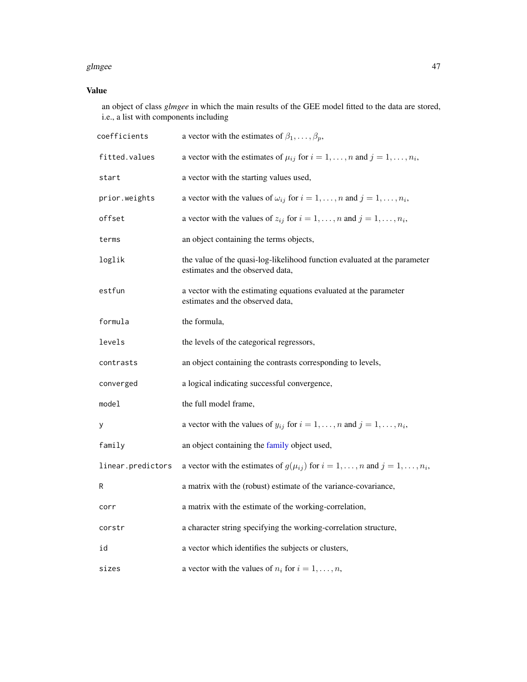#### glmgee aangeste van die 147de eeu n.C. In 1918 van die 147de eeu n.C. 147de eeu n.C. 147de eeu n.C. 147de eeu n.C. 147de eeu n.C. 147de eeu n.C. 147de eeu n.C. 147de eeu n.C. 147de eeu n.C. 147de eeu n.C. 147de eeu n.C. 14

# Value

an object of class *glmgee* in which the main results of the GEE model fitted to the data are stored, i.e., a list with components including

| coefficients      | a vector with the estimates of $\beta_1, \ldots, \beta_p$ ,                                                   |
|-------------------|---------------------------------------------------------------------------------------------------------------|
| fitted.values     | a vector with the estimates of $\mu_{ij}$ for $i = 1, , n$ and $j = 1, , n_i$ ,                               |
| start             | a vector with the starting values used,                                                                       |
| prior.weights     | a vector with the values of $\omega_{ij}$ for $i = 1, , n$ and $j = 1, , n_i$ ,                               |
| offset            | a vector with the values of $z_{ij}$ for $i = 1, , n$ and $j = 1, , n_i$ ,                                    |
| terms             | an object containing the terms objects,                                                                       |
| loglik            | the value of the quasi-log-likelihood function evaluated at the parameter<br>estimates and the observed data, |
| estfun            | a vector with the estimating equations evaluated at the parameter<br>estimates and the observed data,         |
| formula           | the formula,                                                                                                  |
| levels            | the levels of the categorical regressors,                                                                     |
| contrasts         | an object containing the contrasts corresponding to levels,                                                   |
| converged         | a logical indicating successful convergence,                                                                  |
| model             | the full model frame,                                                                                         |
| у                 | a vector with the values of $y_{ij}$ for $i = 1, , n$ and $j = 1, , n_i$ ,                                    |
| family            | an object containing the family object used,                                                                  |
| linear.predictors | a vector with the estimates of $g(\mu_{ij})$ for $i = 1, , n$ and $j = 1, , n_i$ ,                            |
| R                 | a matrix with the (robust) estimate of the variance-covariance,                                               |
| corr              | a matrix with the estimate of the working-correlation,                                                        |
| corstr            | a character string specifying the working-correlation structure,                                              |
| id                | a vector which identifies the subjects or clusters,                                                           |
| sizes             | a vector with the values of $n_i$ for $i = 1, , n$ ,                                                          |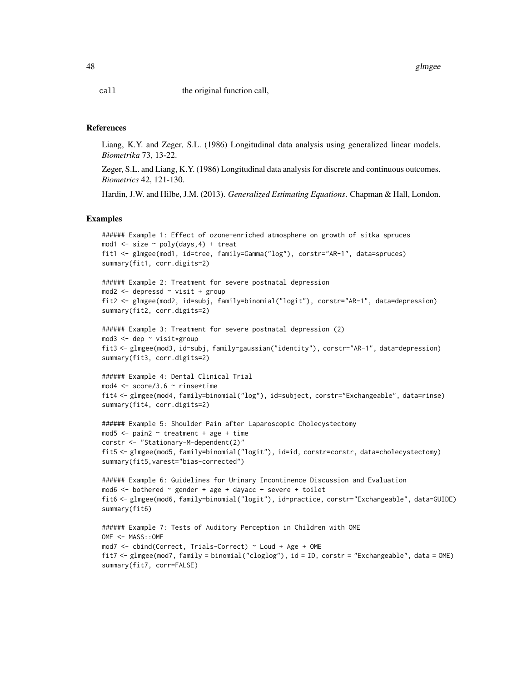48 glmgee

call the original function call,

#### References

Liang, K.Y. and Zeger, S.L. (1986) Longitudinal data analysis using generalized linear models. *Biometrika* 73, 13-22.

Zeger, S.L. and Liang, K.Y. (1986) Longitudinal data analysis for discrete and continuous outcomes. *Biometrics* 42, 121-130.

Hardin, J.W. and Hilbe, J.M. (2013). *Generalized Estimating Equations*. Chapman & Hall, London.

#### Examples

```
###### Example 1: Effect of ozone-enriched atmosphere on growth of sitka spruces
mod1 \le size \sim poly(days, 4) + treat
fit1 <- glmgee(mod1, id=tree, family=Gamma("log"), corstr="AR-1", data=spruces)
summary(fit1, corr.digits=2)
```

```
###### Example 2: Treatment for severe postnatal depression
mod2 <- depressd ~ visit + group
fit2 <- glmgee(mod2, id=subj, family=binomial("logit"), corstr="AR-1", data=depression)
summary(fit2, corr.digits=2)
```

```
###### Example 3: Treatment for severe postnatal depression (2)
mod3 <- dep ~ visit*group
fit3 <- glmgee(mod3, id=subj, family=gaussian("identity"), corstr="AR-1", data=depression)
summary(fit3, corr.digits=2)
```

```
###### Example 4: Dental Clinical Trial
mod4 <- score/3.6 ~ rinse*time
fit4 <- glmgee(mod4, family=binomial("log"), id=subject, corstr="Exchangeable", data=rinse)
summary(fit4, corr.digits=2)
```

```
###### Example 5: Shoulder Pain after Laparoscopic Cholecystectomy
mod5 \le - pain2 \sim treatment + age + time
corstr <- "Stationary-M-dependent(2)"
fit5 <- glmgee(mod5, family=binomial("logit"), id=id, corstr=corstr, data=cholecystectomy)
summary(fit5,varest="bias-corrected")
```

```
###### Example 6: Guidelines for Urinary Incontinence Discussion and Evaluation
mod6 <- bothered ~ gender + age + dayacc + severe + toilet
fit6 <- glmgee(mod6, family=binomial("logit"), id=practice, corstr="Exchangeable", data=GUIDE)
summary(fit6)
```

```
###### Example 7: Tests of Auditory Perception in Children with OME
OME <- MASS::OME
mod7 <- cbind(Correct, Trials-Correct) ~ Loud + Age + OME
fit7 <- glmgee(mod7, family = binomial("cloglog"), id = ID, corstr = "Exchangeable", data = OME)
summary(fit7, corr=FALSE)
```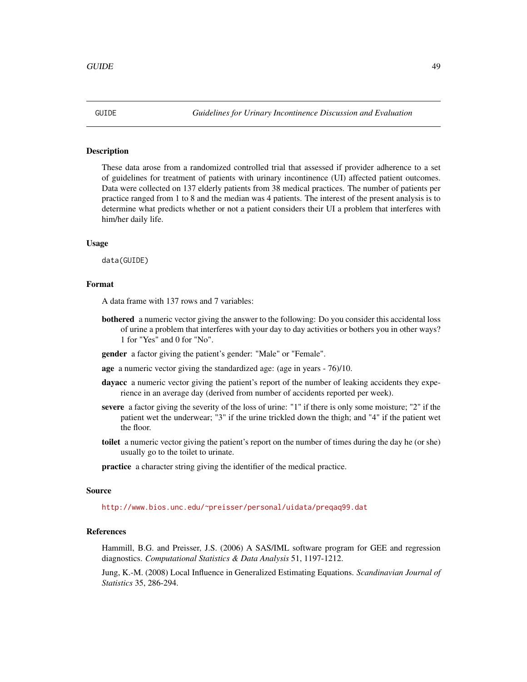# Description

These data arose from a randomized controlled trial that assessed if provider adherence to a set of guidelines for treatment of patients with urinary incontinence (UI) affected patient outcomes. Data were collected on 137 elderly patients from 38 medical practices. The number of patients per practice ranged from 1 to 8 and the median was 4 patients. The interest of the present analysis is to determine what predicts whether or not a patient considers their UI a problem that interferes with him/her daily life.

### Usage

data(GUIDE)

# Format

A data frame with 137 rows and 7 variables:

bothered a numeric vector giving the answer to the following: Do you consider this accidental loss of urine a problem that interferes with your day to day activities or bothers you in other ways? 1 for "Yes" and 0 for "No".

gender a factor giving the patient's gender: "Male" or "Female".

age a numeric vector giving the standardized age: (age in years - 76)/10.

- dayacc a numeric vector giving the patient's report of the number of leaking accidents they experience in an average day (derived from number of accidents reported per week).
- severe a factor giving the severity of the loss of urine: "1" if there is only some moisture; "2" if the patient wet the underwear; "3" if the urine trickled down the thigh; and "4" if the patient wet the floor.
- toilet a numeric vector giving the patient's report on the number of times during the day he (or she) usually go to the toilet to urinate.

practice a character string giving the identifier of the medical practice.

#### Source

<http://www.bios.unc.edu/~preisser/personal/uidata/preqaq99.dat>

#### References

Hammill, B.G. and Preisser, J.S. (2006) A SAS/IML software program for GEE and regression diagnostics. *Computational Statistics & Data Analysis* 51, 1197-1212.

Jung, K.-M. (2008) Local Influence in Generalized Estimating Equations. *Scandinavian Journal of Statistics* 35, 286-294.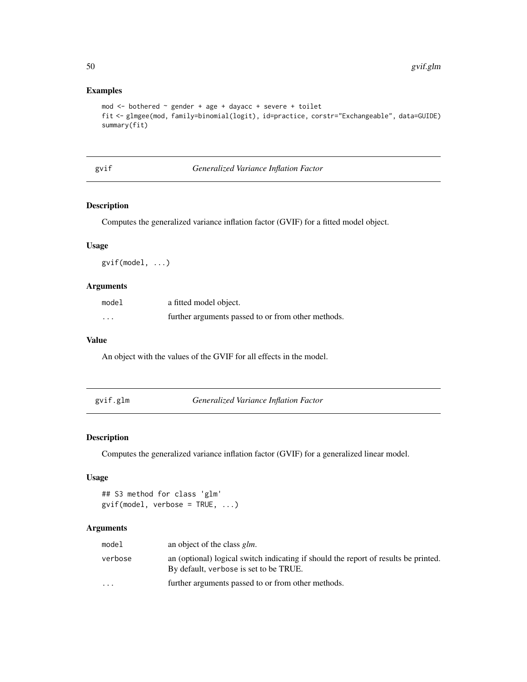# Examples

```
mod <- bothered ~ gender + age + dayacc + severe + toilet
fit <- glmgee(mod, family=binomial(logit), id=practice, corstr="Exchangeable", data=GUIDE)
summary(fit)
```
gvif *Generalized Variance Inflation Factor*

# Description

Computes the generalized variance inflation factor (GVIF) for a fitted model object.

# Usage

gvif(model, ...)

#### Arguments

| model    | a fitted model object.                             |
|----------|----------------------------------------------------|
| $\cdots$ | further arguments passed to or from other methods. |

# Value

An object with the values of the GVIF for all effects in the model.

<span id="page-49-0"></span>

| gvif.glm | Generalized Variance Inflation Factor |  |
|----------|---------------------------------------|--|
|----------|---------------------------------------|--|

# Description

Computes the generalized variance inflation factor (GVIF) for a generalized linear model.

# Usage

```
## S3 method for class 'glm'
gvif(model, verbose = TRUE, ...)
```
# Arguments

| model    | an object of the class <i>glm</i> .                                                                                           |
|----------|-------------------------------------------------------------------------------------------------------------------------------|
| verbose  | an (optional) logical switch indicating if should the report of results be printed.<br>By default, verbose is set to be TRUE. |
| $\cdots$ | further arguments passed to or from other methods.                                                                            |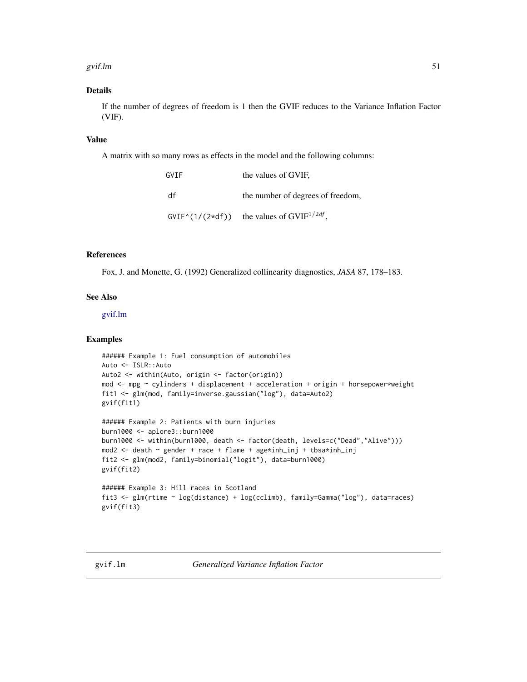#### gvif.lm 51

# Details

If the number of degrees of freedom is 1 then the GVIF reduces to the Variance Inflation Factor (VIF).

### Value

A matrix with so many rows as effects in the model and the following columns:

| GVTF               | the values of GVIF.               |
|--------------------|-----------------------------------|
| df                 | the number of degrees of freedom, |
| $GVIF^*(1/(2*df))$ | the values of $GVIF^{1/2df}$ .    |

# References

Fox, J. and Monette, G. (1992) Generalized collinearity diagnostics, *JASA* 87, 178–183.

# See Also

[gvif.lm](#page-50-0)

#### Examples

```
###### Example 1: Fuel consumption of automobiles
Auto <- ISLR::Auto
Auto2 <- within(Auto, origin <- factor(origin))
mod <- mpg ~ cylinders + displacement + acceleration + origin + horsepower*weight
fit1 <- glm(mod, family=inverse.gaussian("log"), data=Auto2)
gvif(fit1)
###### Example 2: Patients with burn injuries
burn1000 <- aplore3::burn1000
burn1000 <- within(burn1000, death <- factor(death, levels=c("Dead","Alive")))
mod2 <- death ~ gender + race + flame + age*inh_inj + tbsa*inh_inj
```

```
###### Example 3: Hill races in Scotland
fit3 <- glm(rtime ~ log(distance) + log(cclimb), family=Gamma("log"), data=races)
gvif(fit3)
```
fit2 <- glm(mod2, family=binomial("logit"), data=burn1000)

<span id="page-50-0"></span>

gvif(fit2)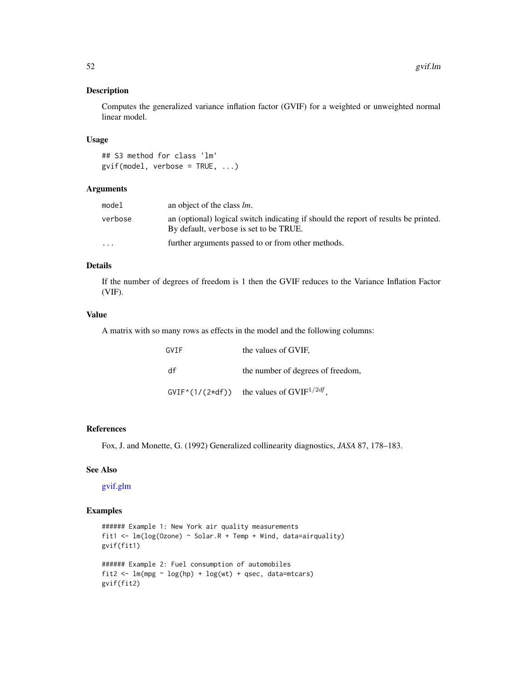#### Description

Computes the generalized variance inflation factor (GVIF) for a weighted or unweighted normal linear model.

#### Usage

```
## S3 method for class 'lm'
gvi f (model, verbose = TRUE, ...)
```
# Arguments

| model     | an object of the class <i>lm</i> .                                                                                            |
|-----------|-------------------------------------------------------------------------------------------------------------------------------|
| verbose   | an (optional) logical switch indicating if should the report of results be printed.<br>By default, verbose is set to be TRUE. |
| $\ddotsc$ | further arguments passed to or from other methods.                                                                            |

# Details

If the number of degrees of freedom is 1 then the GVIF reduces to the Variance Inflation Factor (VIF).

# Value

A matrix with so many rows as effects in the model and the following columns:

| GVTF | the values of GVIF.                                      |
|------|----------------------------------------------------------|
| df   | the number of degrees of freedom,                        |
|      | $GVIF^{\wedge}(1/(2*df))$ the values of $GVIF^{1/2df}$ . |

#### References

Fox, J. and Monette, G. (1992) Generalized collinearity diagnostics, *JASA* 87, 178–183.

# See Also

[gvif.glm](#page-49-0)

# Examples

```
###### Example 1: New York air quality measurements
fit1 <- lm(log(Ozone) ~ Solar.R + Temp + Wind, data=airquality)
gvif(fit1)
###### Example 2: Fuel consumption of automobiles
fit2 <- lm(mpg \sim log(hp) + log(wt) + qsec, data=mtcars)gvif(fit2)
```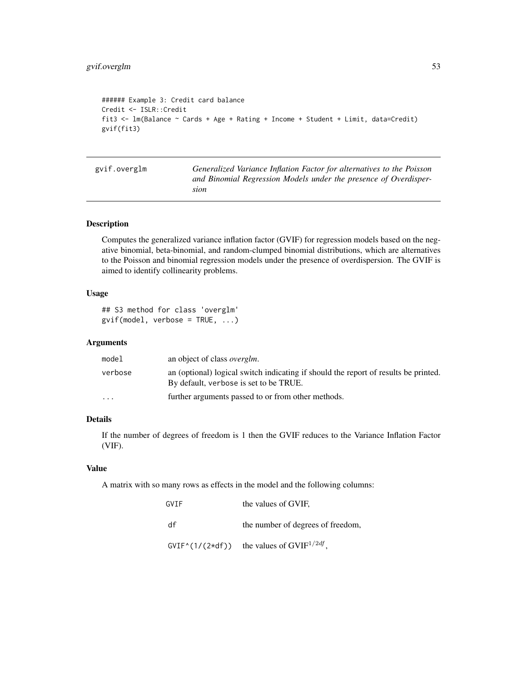```
###### Example 3: Credit card balance
Credit <- ISLR::Credit
fit3 <- lm(Balance ~ Cards + Age + Rating + Income + Student + Limit, data=Credit)
gvif(fit3)
```
<span id="page-52-0"></span>gvif.overglm *Generalized Variance Inflation Factor for alternatives to the Poisson and Binomial Regression Models under the presence of Overdispersion*

# Description

Computes the generalized variance inflation factor (GVIF) for regression models based on the negative binomial, beta-binomial, and random-clumped binomial distributions, which are alternatives to the Poisson and binomial regression models under the presence of overdispersion. The GVIF is aimed to identify collinearity problems.

# Usage

```
## S3 method for class 'overglm'
gvi f (model, verbose = TRUE, ...)
```
#### Arguments

| model                   | an object of class <i>overglm</i> .                                                                                           |
|-------------------------|-------------------------------------------------------------------------------------------------------------------------------|
| verbose                 | an (optional) logical switch indicating if should the report of results be printed.<br>By default, verbose is set to be TRUE. |
| $\cdot$ $\cdot$ $\cdot$ | further arguments passed to or from other methods.                                                                            |

### Details

If the number of degrees of freedom is 1 then the GVIF reduces to the Variance Inflation Factor (VIF).

# Value

A matrix with so many rows as effects in the model and the following columns:

| GVTF               | the values of GVIF.               |
|--------------------|-----------------------------------|
| df                 | the number of degrees of freedom, |
| $GVIF^*(1/(2*df))$ | the values of $GVIF^{1/2df}$ .    |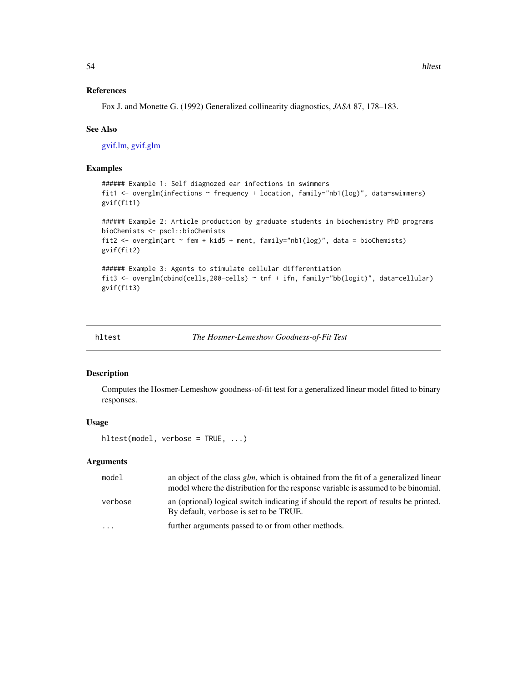#### References

Fox J. and Monette G. (1992) Generalized collinearity diagnostics, *JASA* 87, 178–183.

#### See Also

[gvif.lm,](#page-50-0) [gvif.glm](#page-49-0)

## Examples

```
###### Example 1: Self diagnozed ear infections in swimmers
fit1 <- overglm(infections ~ frequency + location, family="nb1(log)", data=swimmers)
gvif(fit1)
###### Example 2: Article production by graduate students in biochemistry PhD programs
bioChemists <- pscl::bioChemists
fit2 <- overglm(art ~ fem + kid5 + ment, family="nb1(log)", data = bioChemists)
gvif(fit2)
###### Example 3: Agents to stimulate cellular differentiation
fit3 <- overglm(cbind(cells,200-cells) ~ tnf + ifn, family="bb(logit)", data=cellular)
gvif(fit3)
```
hltest *The Hosmer-Lemeshow Goodness-of-Fit Test*

# Description

Computes the Hosmer-Lemeshow goodness-of-fit test for a generalized linear model fitted to binary responses.

## Usage

```
hltest(model, verbose = TRUE, ...)
```
### Arguments

| model     | an object of the class $g/m$ , which is obtained from the fit of a generalized linear<br>model where the distribution for the response variable is assumed to be binomial. |
|-----------|----------------------------------------------------------------------------------------------------------------------------------------------------------------------------|
| verbose   | an (optional) logical switch indicating if should the report of results be printed.<br>By default, verbose is set to be TRUE.                                              |
| $\ddotsc$ | further arguments passed to or from other methods.                                                                                                                         |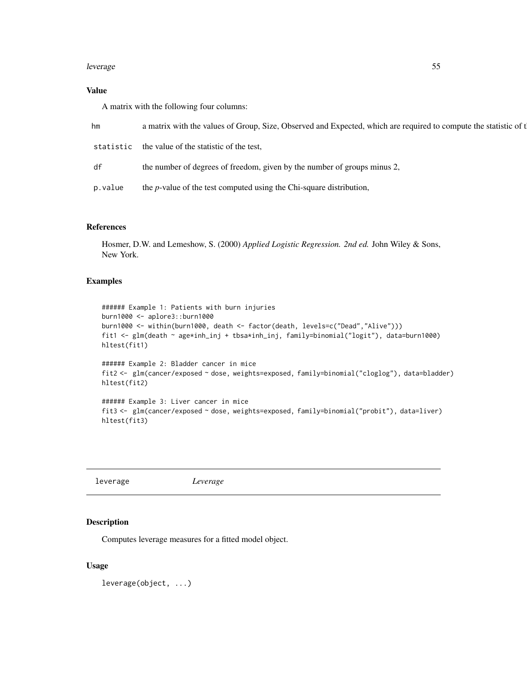#### leverage 55

# Value

A matrix with the following four columns:

| hm        | a matrix with the values of Group, Size, Observed and Expected, which are required to compute the statistic of t |
|-----------|------------------------------------------------------------------------------------------------------------------|
| statistic | the value of the statistic of the test.                                                                          |
| df        | the number of degrees of freedom, given by the number of groups minus 2,                                         |
| p.value   | the <i>p</i> -value of the test computed using the Chi-square distribution,                                      |

# References

Hosmer, D.W. and Lemeshow, S. (2000) *Applied Logistic Regression. 2nd ed.* John Wiley & Sons, New York.

# Examples

```
###### Example 1: Patients with burn injuries
burn1000 <- aplore3::burn1000
burn1000 <- within(burn1000, death <- factor(death, levels=c("Dead","Alive")))
fit1 <- glm(death ~ age*inh_inj + tbsa*inh_inj, family=binomial("logit"), data=burn1000)
hltest(fit1)
###### Example 2: Bladder cancer in mice
fit2 <- glm(cancer/exposed ~ dose, weights=exposed, family=binomial("cloglog"), data=bladder)
hltest(fit2)
###### Example 3: Liver cancer in mice
```

```
fit3 <- glm(cancer/exposed ~ dose, weights=exposed, family=binomial("probit"), data=liver)
hltest(fit3)
```

| leverage | Leverage |
|----------|----------|
|          |          |

# Description

Computes leverage measures for a fitted model object.

#### Usage

leverage(object, ...)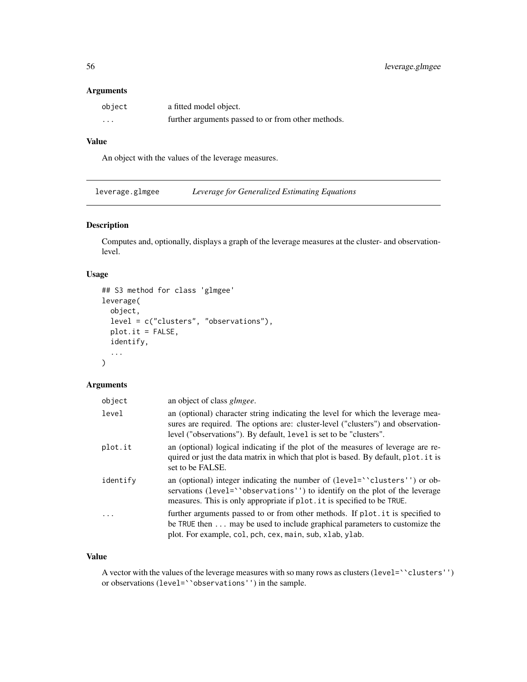# Arguments

| object   | a fitted model object.                             |
|----------|----------------------------------------------------|
| $\cdots$ | further arguments passed to or from other methods. |

# Value

An object with the values of the leverage measures.

leverage.glmgee *Leverage for Generalized Estimating Equations*

# Description

Computes and, optionally, displays a graph of the leverage measures at the cluster- and observationlevel.

# Usage

```
## S3 method for class 'glmgee'
leverage(
 object,
 level = c("clusters", "observations"),
 plot.it = FALSE,identify,
  ...
\mathcal{L}
```
# Arguments

| object   | an object of class <i>glmgee</i> .                                                                                                                                                                                                        |
|----------|-------------------------------------------------------------------------------------------------------------------------------------------------------------------------------------------------------------------------------------------|
| level    | an (optional) character string indicating the level for which the leverage mea-<br>sures are required. The options are: cluster-level ("clusters") and observation-<br>level ("observations"). By default, level is set to be "clusters". |
| plot.it  | an (optional) logical indicating if the plot of the measures of leverage are re-<br>quired or just the data matrix in which that plot is based. By default, plot it is<br>set to be FALSE.                                                |
| identify | an (optional) integer indicating the number of (level="clusters") or ob-<br>servations (level="observations") to identify on the plot of the leverage<br>measures. This is only appropriate if plot. it is specified to be TRUE.          |
| $\cdots$ | further arguments passed to or from other methods. If plot it is specified to<br>be TRUE then may be used to include graphical parameters to customize the<br>plot. For example, col, pch, cex, main, sub, xlab, ylab.                    |

#### Value

A vector with the values of the leverage measures with so many rows as clusters (level=``clusters'') or observations (level=``observations'') in the sample.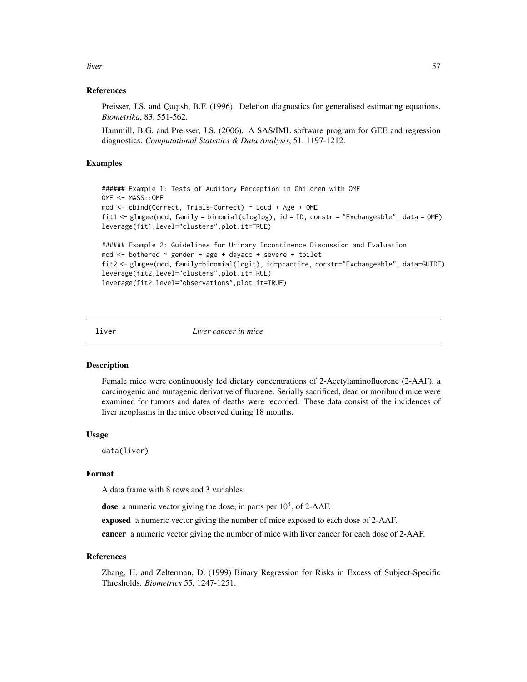liver 57

### References

Preisser, J.S. and Qaqish, B.F. (1996). Deletion diagnostics for generalised estimating equations. *Biometrika*, 83, 551-562.

Hammill, B.G. and Preisser, J.S. (2006). A SAS/IML software program for GEE and regression diagnostics. *Computational Statistics & Data Analysis*, 51, 1197-1212.

# Examples

```
###### Example 1: Tests of Auditory Perception in Children with OME
OME <- MASS::OME
mod <- cbind(Correct, Trials-Correct) ~ Loud + Age + OME
fit1 <- glmgee(mod, family = binomial(cloglog), id = ID, corstr = "Exchangeable", data = OME)
leverage(fit1,level="clusters",plot.it=TRUE)
###### Example 2: Guidelines for Urinary Incontinence Discussion and Evaluation
mod \le bothered \sim gender + age + dayacc + severe + toilet
fit2 <- glmgee(mod, family=binomial(logit), id=practice, corstr="Exchangeable", data=GUIDE)
leverage(fit2,level="clusters",plot.it=TRUE)
leverage(fit2,level="observations",plot.it=TRUE)
```
liver *Liver cancer in mice*

# Description

Female mice were continuously fed dietary concentrations of 2-Acetylaminofluorene (2-AAF), a carcinogenic and mutagenic derivative of fluorene. Serially sacrificed, dead or moribund mice were examined for tumors and dates of deaths were recorded. These data consist of the incidences of liver neoplasms in the mice observed during 18 months.

#### Usage

data(liver)

# Format

A data frame with 8 rows and 3 variables:

dose a numeric vector giving the dose, in parts per  $10^4$ , of 2-AAF.

exposed a numeric vector giving the number of mice exposed to each dose of 2-AAF.

cancer a numeric vector giving the number of mice with liver cancer for each dose of 2-AAF.

#### References

Zhang, H. and Zelterman, D. (1999) Binary Regression for Risks in Excess of Subject-Specific Thresholds. *Biometrics* 55, 1247-1251.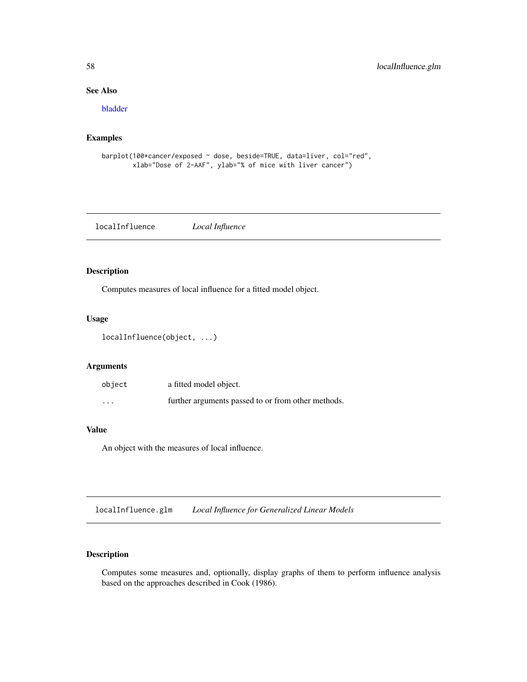# See Also

[bladder](#page-10-0)

# Examples

```
barplot(100*cancer/exposed ~ dose, beside=TRUE, data=liver, col="red",
       xlab="Dose of 2-AAF", ylab="% of mice with liver cancer")
```
localInfluence *Local Influence*

# Description

Computes measures of local influence for a fitted model object.

# Usage

```
localInfluence(object, ...)
```
# Arguments

| object   | a fitted model object.                             |
|----------|----------------------------------------------------|
| $\cdots$ | further arguments passed to or from other methods. |

### Value

An object with the measures of local influence.

localInfluence.glm *Local Influence for Generalized Linear Models*

# Description

Computes some measures and, optionally, display graphs of them to perform influence analysis based on the approaches described in Cook (1986).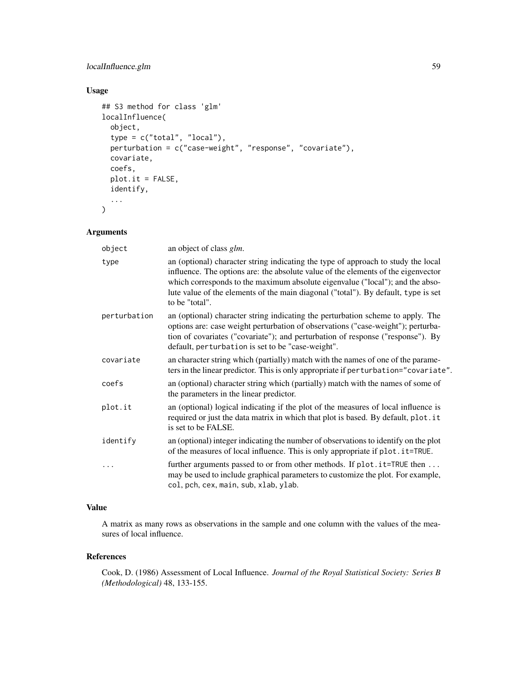# localInfluence.glm 59

# Usage

```
## S3 method for class 'glm'
localInfluence(
  object,
  type = c("total", "local"),
 perturbation = c("case-weight", "response", "covariate"),
  covariate,
  coefs,
 plot.it = FALSE,identify,
  ...
)
```
# Arguments

| object       | an object of class <i>glm</i> .                                                                                                                                                                                                                                                                                                                                 |
|--------------|-----------------------------------------------------------------------------------------------------------------------------------------------------------------------------------------------------------------------------------------------------------------------------------------------------------------------------------------------------------------|
| type         | an (optional) character string indicating the type of approach to study the local<br>influence. The options are: the absolute value of the elements of the eigenvector<br>which corresponds to the maximum absolute eigenvalue ("local"); and the abso-<br>lute value of the elements of the main diagonal ("total"). By default, type is set<br>to be "total". |
| perturbation | an (optional) character string indicating the perturbation scheme to apply. The<br>options are: case weight perturbation of observations ("case-weight"); perturba-<br>tion of covariates ("covariate"); and perturbation of response ("response"). By<br>default, perturbation is set to be "case-weight".                                                     |
| covariate    | an character string which (partially) match with the names of one of the parame-<br>ters in the linear predictor. This is only appropriate if perturbation="covariate".                                                                                                                                                                                         |
| coefs        | an (optional) character string which (partially) match with the names of some of<br>the parameters in the linear predictor.                                                                                                                                                                                                                                     |
| plot.it      | an (optional) logical indicating if the plot of the measures of local influence is<br>required or just the data matrix in which that plot is based. By default, plot. it<br>is set to be FALSE.                                                                                                                                                                 |
| identify     | an (optional) integer indicating the number of observations to identify on the plot<br>of the measures of local influence. This is only appropriate if plot. it=TRUE.                                                                                                                                                                                           |
|              | further arguments passed to or from other methods. If plot.it=TRUE then<br>may be used to include graphical parameters to customize the plot. For example,<br>col, pch, cex, main, sub, xlab, ylab.                                                                                                                                                             |

# Value

A matrix as many rows as observations in the sample and one column with the values of the measures of local influence.

#### References

Cook, D. (1986) Assessment of Local Influence. *Journal of the Royal Statistical Society: Series B (Methodological)* 48, 133-155.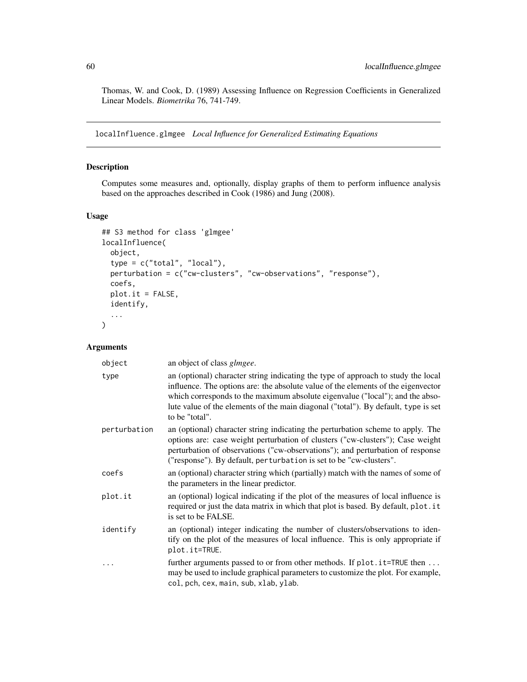Thomas, W. and Cook, D. (1989) Assessing Influence on Regression Coefficients in Generalized Linear Models. *Biometrika* 76, 741-749.

<span id="page-59-0"></span>localInfluence.glmgee *Local Influence for Generalized Estimating Equations*

# Description

Computes some measures and, optionally, display graphs of them to perform influence analysis based on the approaches described in Cook (1986) and Jung (2008).

#### Usage

```
## S3 method for class 'glmgee'
localInfluence(
  object,
  type = c("total", "local"),perturbation = c("cw-clusters", "cw-observations", "response"),
  coefs,
 plot.it = FALSE,
  identify,
  ...
)
```
# Arguments

| object       | an object of class <i>glmgee</i> .                                                                                                                                                                                                                                                                                                                              |
|--------------|-----------------------------------------------------------------------------------------------------------------------------------------------------------------------------------------------------------------------------------------------------------------------------------------------------------------------------------------------------------------|
| type         | an (optional) character string indicating the type of approach to study the local<br>influence. The options are: the absolute value of the elements of the eigenvector<br>which corresponds to the maximum absolute eigenvalue ("local"); and the abso-<br>lute value of the elements of the main diagonal ("total"). By default, type is set<br>to be "total". |
| perturbation | an (optional) character string indicating the perturbation scheme to apply. The<br>options are: case weight perturbation of clusters ("cw-clusters"); Case weight<br>perturbation of observations ("cw-observations"); and perturbation of response<br>("response"). By default, perturbation is set to be "cw-clusters".                                       |
| coefs        | an (optional) character string which (partially) match with the names of some of<br>the parameters in the linear predictor.                                                                                                                                                                                                                                     |
| plot.it      | an (optional) logical indicating if the plot of the measures of local influence is<br>required or just the data matrix in which that plot is based. By default, plot. it<br>is set to be FALSE.                                                                                                                                                                 |
| identify     | an (optional) integer indicating the number of clusters/observations to iden-<br>tify on the plot of the measures of local influence. This is only appropriate if<br>plot.it=TRUE.                                                                                                                                                                              |
| .            | further arguments passed to or from other methods. If $plot.it = TRUE$ then<br>may be used to include graphical parameters to customize the plot. For example,<br>col, pch, cex, main, sub, xlab, ylab.                                                                                                                                                         |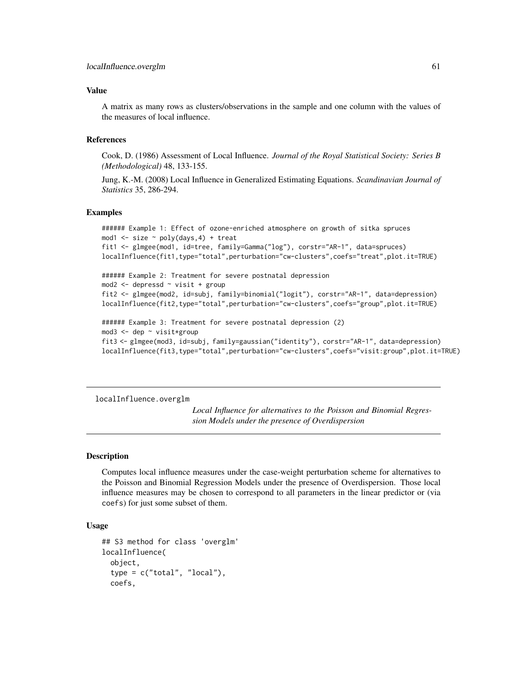#### Value

A matrix as many rows as clusters/observations in the sample and one column with the values of the measures of local influence.

#### References

Cook, D. (1986) Assessment of Local Influence. *Journal of the Royal Statistical Society: Series B (Methodological)* 48, 133-155.

Jung, K.-M. (2008) Local Influence in Generalized Estimating Equations. *Scandinavian Journal of Statistics* 35, 286-294.

### Examples

```
###### Example 1: Effect of ozone-enriched atmosphere on growth of sitka spruces
mod1 <- size ~ poly(days,4) + treat
fit1 <- glmgee(mod1, id=tree, family=Gamma("log"), corstr="AR-1", data=spruces)
localInfluence(fit1,type="total",perturbation="cw-clusters",coefs="treat",plot.it=TRUE)
###### Example 2: Treatment for severe postnatal depression
mod2 <- depressd ~ visit + group
fit2 <- glmgee(mod2, id=subj, family=binomial("logit"), corstr="AR-1", data=depression)
localInfluence(fit2,type="total",perturbation="cw-clusters",coefs="group",plot.it=TRUE)
###### Example 3: Treatment for severe postnatal depression (2)
mod3 <- dep ~ visit*group
fit3 <- glmgee(mod3, id=subj, family=gaussian("identity"), corstr="AR-1", data=depression)
```
localInfluence(fit3,type="total",perturbation="cw-clusters",coefs="visit:group",plot.it=TRUE)

<span id="page-60-0"></span>localInfluence.overglm

*Local Influence for alternatives to the Poisson and Binomial Regression Models under the presence of Overdispersion*

#### Description

Computes local influence measures under the case-weight perturbation scheme for alternatives to the Poisson and Binomial Regression Models under the presence of Overdispersion. Those local influence measures may be chosen to correspond to all parameters in the linear predictor or (via coefs) for just some subset of them.

### Usage

```
## S3 method for class 'overglm'
localInfluence(
  object,
  type = c("total", "local"),
  coefs,
```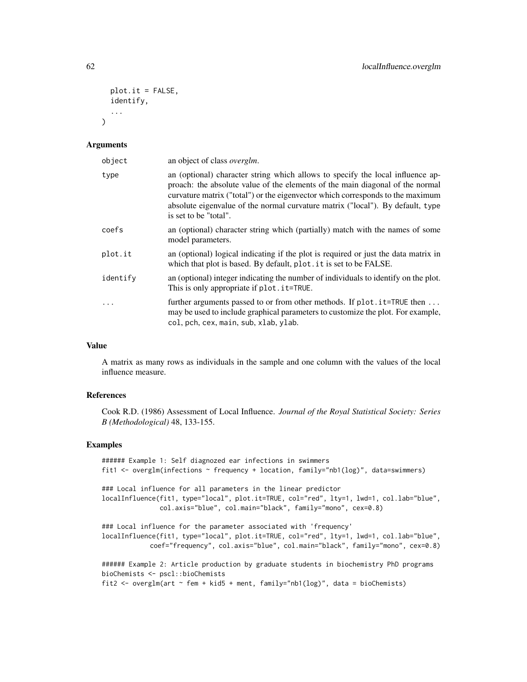```
plot.it = FALSE,
  identify,
  ...
\lambda
```
#### Arguments

| object   | an object of class <i>overglm</i> .                                                                                                                                                                                                                                                                                                                          |
|----------|--------------------------------------------------------------------------------------------------------------------------------------------------------------------------------------------------------------------------------------------------------------------------------------------------------------------------------------------------------------|
| type     | an (optional) character string which allows to specify the local influence ap-<br>proach: the absolute value of the elements of the main diagonal of the normal<br>curvature matrix ("total") or the eigenvector which corresponds to the maximum<br>absolute eigenvalue of the normal curvature matrix ("local"). By default, type<br>is set to be "total". |
| coefs    | an (optional) character string which (partially) match with the names of some<br>model parameters.                                                                                                                                                                                                                                                           |
| plot.it  | an (optional) logical indicating if the plot is required or just the data matrix in<br>which that plot is based. By default, plot . it is set to be FALSE.                                                                                                                                                                                                   |
| identify | an (optional) integer indicating the number of individuals to identify on the plot.<br>This is only appropriate if plot. it=TRUE.                                                                                                                                                                                                                            |
|          | further arguments passed to or from other methods. If plot. it=TRUE then<br>may be used to include graphical parameters to customize the plot. For example,<br>col, pch, cex, main, sub, xlab, ylab.                                                                                                                                                         |

# Value

A matrix as many rows as individuals in the sample and one column with the values of the local influence measure.

# References

Cook R.D. (1986) Assessment of Local Influence. *Journal of the Royal Statistical Society: Series B (Methodological)* 48, 133-155.

# Examples

```
###### Example 1: Self diagnozed ear infections in swimmers
fit1 <- overglm(infections ~ frequency + location, family="nb1(log)", data=swimmers)
### Local influence for all parameters in the linear predictor
localInfluence(fit1, type="local", plot.it=TRUE, col="red", lty=1, lwd=1, col.lab="blue",
               col.axis="blue", col.main="black", family="mono", cex=0.8)
### Local influence for the parameter associated with 'frequency'
localInfluence(fit1, type="local", plot.it=TRUE, col="red", lty=1, lwd=1, col.lab="blue",
            coef="frequency", col.axis="blue", col.main="black", family="mono", cex=0.8)
###### Example 2: Article production by graduate students in biochemistry PhD programs
bioChemists <- pscl::bioChemists
fit2 <- overglm(art ~ fem + kid5 + ment, family="nb1(log)", data = bioChemists)
```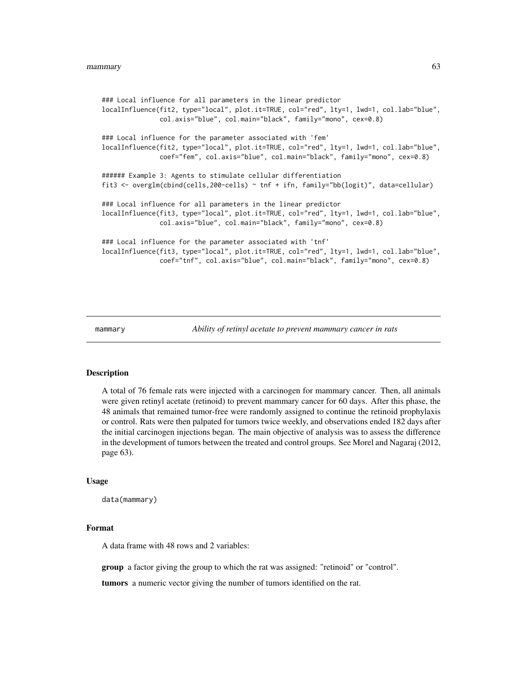```
### Local influence for all parameters in the linear predictor
localInfluence(fit2, type="local", plot.it=TRUE, col="red", lty=1, lwd=1, col.lab="blue",
               col.axis="blue", col.main="black", family="mono", cex=0.8)
### Local influence for the parameter associated with 'fem'
localInfluence(fit2, type="local", plot.it=TRUE, col="red", lty=1, lwd=1, col.lab="blue",
               coef="fem", col.axis="blue", col.main="black", family="mono", cex=0.8)
###### Example 3: Agents to stimulate cellular differentiation
fit3 <- overglm(cbind(cells,200-cells) ~ tnf + ifn, family="bb(logit)", data=cellular)
### Local influence for all parameters in the linear predictor
localInfluence(fit3, type="local", plot.it=TRUE, col="red", lty=1, lwd=1, col.lab="blue",
               col.axis="blue", col.main="black", family="mono", cex=0.8)
### Local influence for the parameter associated with 'tnf'
localInfluence(fit3, type="local", plot.it=TRUE, col="red", lty=1, lwd=1, col.lab="blue",
               coef="tnf", col.axis="blue", col.main="black", family="mono", cex=0.8)
```
mammary *Ability of retinyl acetate to prevent mammary cancer in rats*

#### Description

A total of 76 female rats were injected with a carcinogen for mammary cancer. Then, all animals were given retinyl acetate (retinoid) to prevent mammary cancer for 60 days. After this phase, the 48 animals that remained tumor-free were randomly assigned to continue the retinoid prophylaxis or control. Rats were then palpated for tumors twice weekly, and observations ended 182 days after the initial carcinogen injections began. The main objective of analysis was to assess the difference in the development of tumors between the treated and control groups. See Morel and Nagaraj (2012, page 63).

#### Usage

```
data(mammary)
```
#### Format

A data frame with 48 rows and 2 variables:

group a factor giving the group to which the rat was assigned: "retinoid" or "control".

tumors a numeric vector giving the number of tumors identified on the rat.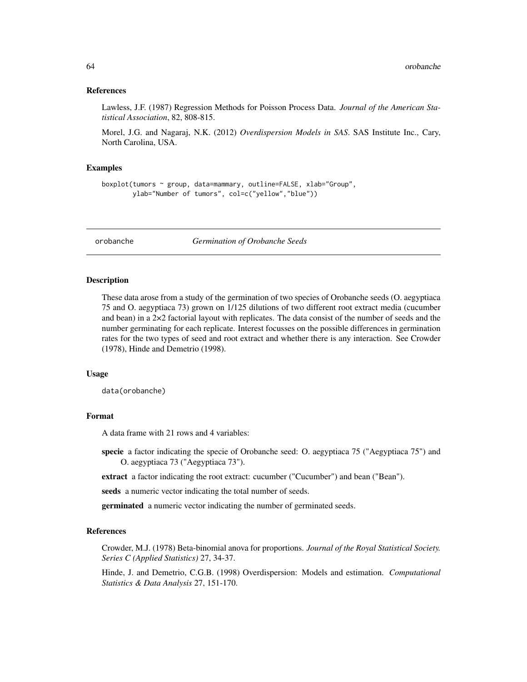#### References

Lawless, J.F. (1987) Regression Methods for Poisson Process Data. *Journal of the American Statistical Association*, 82, 808-815.

Morel, J.G. and Nagaraj, N.K. (2012) *Overdispersion Models in SAS*. SAS Institute Inc., Cary, North Carolina, USA.

#### Examples

```
boxplot(tumors ~ group, data=mammary, outline=FALSE, xlab="Group",
       ylab="Number of tumors", col=c("yellow","blue"))
```
orobanche *Germination of Orobanche Seeds*

#### Description

These data arose from a study of the germination of two species of Orobanche seeds (O. aegyptiaca 75 and O. aegyptiaca 73) grown on 1/125 dilutions of two different root extract media (cucumber and bean) in a  $2\times2$  factorial layout with replicates. The data consist of the number of seeds and the number germinating for each replicate. Interest focusses on the possible differences in germination rates for the two types of seed and root extract and whether there is any interaction. See Crowder (1978), Hinde and Demetrio (1998).

#### Usage

data(orobanche)

# Format

A data frame with 21 rows and 4 variables:

specie a factor indicating the specie of Orobanche seed: O. aegyptiaca 75 ("Aegyptiaca 75") and O. aegyptiaca 73 ("Aegyptiaca 73").

extract a factor indicating the root extract: cucumber ("Cucumber") and bean ("Bean").

seeds a numeric vector indicating the total number of seeds.

germinated a numeric vector indicating the number of germinated seeds.

# References

Crowder, M.J. (1978) Beta-binomial anova for proportions. *Journal of the Royal Statistical Society. Series C (Applied Statistics)* 27, 34-37.

Hinde, J. and Demetrio, C.G.B. (1998) Overdispersion: Models and estimation. *Computational Statistics & Data Analysis* 27, 151-170.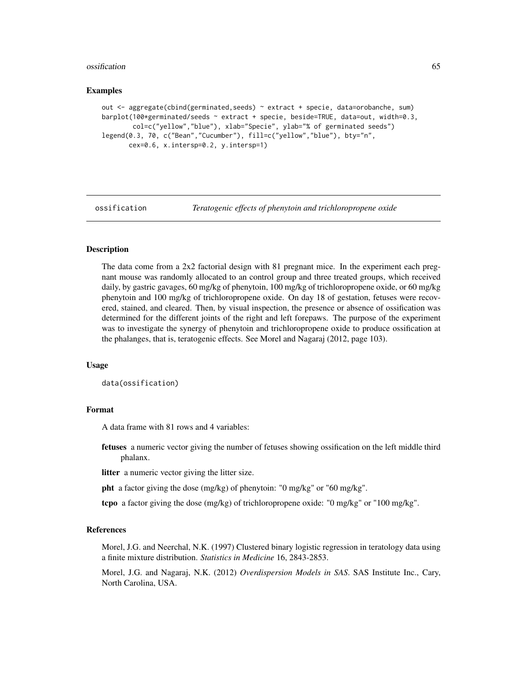#### ossification 65

#### Examples

```
out <- aggregate(cbind(germinated,seeds) ~ extract + specie, data=orobanche, sum)
barplot(100*germinated/seeds ~ extract + specie, beside=TRUE, data=out, width=0.3,
       col=c("yellow","blue"), xlab="Specie", ylab="% of germinated seeds")
legend(0.3, 70, c("Bean","Cucumber"), fill=c("yellow","blue"), bty="n",
      cex=0.6, x.intersp=0.2, y.intersp=1)
```
ossification *Teratogenic effects of phenytoin and trichloropropene oxide*

# Description

The data come from a 2x2 factorial design with 81 pregnant mice. In the experiment each pregnant mouse was randomly allocated to an control group and three treated groups, which received daily, by gastric gavages, 60 mg/kg of phenytoin, 100 mg/kg of trichloropropene oxide, or 60 mg/kg phenytoin and 100 mg/kg of trichloropropene oxide. On day 18 of gestation, fetuses were recovered, stained, and cleared. Then, by visual inspection, the presence or absence of ossification was determined for the different joints of the right and left forepaws. The purpose of the experiment was to investigate the synergy of phenytoin and trichloropropene oxide to produce ossification at the phalanges, that is, teratogenic effects. See Morel and Nagaraj (2012, page 103).

#### Usage

data(ossification)

### Format

A data frame with 81 rows and 4 variables:

fetuses a numeric vector giving the number of fetuses showing ossification on the left middle third phalanx.

litter a numeric vector giving the litter size.

- pht a factor giving the dose (mg/kg) of phenytoin: "0 mg/kg" or "60 mg/kg".
- tcpo a factor giving the dose (mg/kg) of trichloropropene oxide: "0 mg/kg" or "100 mg/kg".

# References

Morel, J.G. and Neerchal, N.K. (1997) Clustered binary logistic regression in teratology data using a finite mixture distribution. *Statistics in Medicine* 16, 2843-2853.

Morel, J.G. and Nagaraj, N.K. (2012) *Overdispersion Models in SAS*. SAS Institute Inc., Cary, North Carolina, USA.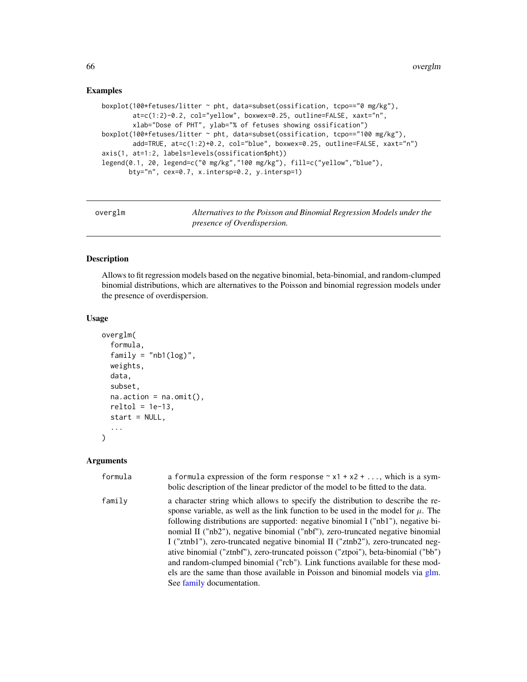### Examples

```
boxplot(100*fetuses/litter ~ pht, data=subset(ossification, tcpo=="0 mg/kg"),
       at=c(1:2)-0.2, col="yellow", boxwex=0.25, outline=FALSE, xaxt="n",
       xlab="Dose of PHT", ylab="% of fetuses showing ossification")
boxplot(100*fetuses/litter ~ pht, data=subset(ossification, tcpo=="100 mg/kg"),
       add=TRUE, at=c(1:2)+0.2, col="blue", boxwex=0.25, outline=FALSE, xaxt="n")
axis(1, at=1:2, labels=levels(ossification$pht))
legend(0.1, 20, legend=c("0 mg/kg","100 mg/kg"), fill=c("yellow","blue"),
      bty="n", cex=0.7, x.intersp=0.2, y.intersp=1)
```

| overglm | Alternatives to the Poisson and Binomial Regression Models under the |
|---------|----------------------------------------------------------------------|
|         | presence of Overdispersion.                                          |

#### Description

Allows to fit regression models based on the negative binomial, beta-binomial, and random-clumped binomial distributions, which are alternatives to the Poisson and binomial regression models under the presence of overdispersion.

## Usage

```
overglm(
  formula,
  family = "nb1(log)",
 weights,
  data,
  subset,
  na. action = na. omit(),reltol = 1e-13,start = NULL,
  ...
)
```
# Arguments

| formula | a formula expression of the form response $\sim x1 + x2 + $ , which is a sym-<br>bolic description of the linear predictor of the model to be fitted to the data.                                                                                                                                                                                                                                                                                                                                                                                                                                                                                                                                                   |
|---------|---------------------------------------------------------------------------------------------------------------------------------------------------------------------------------------------------------------------------------------------------------------------------------------------------------------------------------------------------------------------------------------------------------------------------------------------------------------------------------------------------------------------------------------------------------------------------------------------------------------------------------------------------------------------------------------------------------------------|
| family  | a character string which allows to specify the distribution to describe the re-<br>sponse variable, as well as the link function to be used in the model for $\mu$ . The<br>following distributions are supported: negative binomial I ("nb1"), negative bi-<br>nomial II ("nb2"), negative binomial ("nbf"), zero-truncated negative binomial<br>I ("ztnb1"), zero-truncated negative binomial II ("ztnb2"), zero-truncated neg-<br>ative binomial ("ztnbf"), zero-truncated poisson ("ztpoi"), beta-binomial ("bb")<br>and random-clumped binomial ("rcb"). Link functions available for these mod-<br>els are the same than those available in Poisson and binomial models via glm.<br>See family documentation. |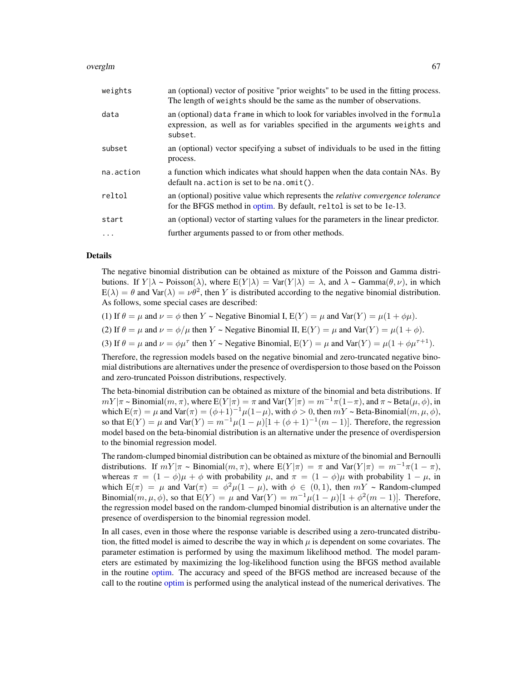#### overglm 67

| weights   | an (optional) vector of positive "prior weights" to be used in the fitting process.<br>The length of weights should be the same as the number of observations.            |
|-----------|---------------------------------------------------------------------------------------------------------------------------------------------------------------------------|
| data      | an (optional) data frame in which to look for variables involved in the formula<br>expression, as well as for variables specified in the arguments weights and<br>subset. |
| subset    | an (optional) vector specifying a subset of individuals to be used in the fitting<br>process.                                                                             |
| na.action | a function which indicates what should happen when the data contain NAs. By<br>default na. $\arctan$ is set to be na. $\text{omit}()$ .                                   |
| reltol    | an (optional) positive value which represents the <i>relative convergence tolerance</i><br>for the BFGS method in optim. By default, reltol is set to be 1e-13.           |
| start     | an (optional) vector of starting values for the parameters in the linear predictor.                                                                                       |
| $\cdots$  | further arguments passed to or from other methods.                                                                                                                        |

# Details

The negative binomial distribution can be obtained as mixture of the Poisson and Gamma distributions. If  $Y|\lambda \sim \text{Poisson}(\lambda)$ , where  $E(Y|\lambda) = \text{Var}(Y|\lambda) = \lambda$ , and  $\lambda \sim \text{Gamma}(\theta, \nu)$ , in which  $E(\lambda) = \theta$  and Var $(\lambda) = \nu \theta^2$ , then Y is distributed according to the negative binomial distribution. As follows, some special cases are described:

- (1) If  $\theta = \mu$  and  $\nu = \phi$  then Y ~ Negative Binomial I,  $E(Y) = \mu$  and  $Var(Y) = \mu(1 + \phi\mu)$ .
- (2) If  $\theta = \mu$  and  $\nu = \phi/\mu$  then Y ~ Negative Binomial II,  $E(Y) = \mu$  and Var $(Y) = \mu(1 + \phi)$ .

(3) If  $\theta = \mu$  and  $\nu = \phi \mu^{\tau}$  then  $Y \sim$  Negative Binomial,  $E(Y) = \mu$  and  $Var(Y) = \mu(1 + \phi \mu^{\tau+1})$ .

Therefore, the regression models based on the negative binomial and zero-truncated negative binomial distributions are alternatives under the presence of overdispersion to those based on the Poisson and zero-truncated Poisson distributions, respectively.

The beta-binomial distribution can be obtained as mixture of the binomial and beta distributions. If  $mY|\pi \sim \text{Binomial}(m, \pi)$ , where  $E(Y|\pi) = \pi$  and  $\text{Var}(Y|\pi) = m^{-1}\pi(1-\pi)$ , and  $\pi \sim \text{Beta}(\mu, \phi)$ , in which  $E(\pi) = \mu$  and  $Var(\pi) = (\phi+1)^{-1}\mu(1-\mu)$ , with  $\phi > 0$ , then  $mY \sim \text{Beta-Binomial}(m, \mu, \phi)$ , so that  $E(Y) = \mu$  and  $Var(Y) = m^{-1}\mu(1-\mu)[1+(\phi+1)^{-1}(m-1)]$ . Therefore, the regression model based on the beta-binomial distribution is an alternative under the presence of overdispersion to the binomial regression model.

The random-clumped binomial distribution can be obtained as mixture of the binomial and Bernoulli distributions. If  $mY/\pi \sim \text{Binomial}(m, \pi)$ , where  $E(Y|\pi) = \pi$  and  $\text{Var}(Y|\pi) = m^{-1}\pi(1-\pi)$ , whereas  $\pi = (1 - \phi)\mu + \phi$  with probability  $\mu$ , and  $\pi = (1 - \phi)\mu$  with probability  $1 - \mu$ , in which  $E(\pi) = \mu$  and  $Var(\pi) = \phi^2 \mu (1 - \mu)$ , with  $\phi \in (0, 1)$ , then  $mY \sim$  Random-clumped Binomial $(m, \mu, \phi)$ , so that  $E(Y) = \mu$  and  $Var(Y) = m^{-1}\mu(1-\mu)[1+\phi^2(m-1)]$ . Therefore, the regression model based on the random-clumped binomial distribution is an alternative under the presence of overdispersion to the binomial regression model.

In all cases, even in those where the response variable is described using a zero-truncated distribution, the fitted model is aimed to describe the way in which  $\mu$  is dependent on some covariates. The parameter estimation is performed by using the maximum likelihood method. The model parameters are estimated by maximizing the log-likelihood function using the BFGS method available in the routine [optim.](#page-0-0) The accuracy and speed of the BFGS method are increased because of the call to the routine [optim](#page-0-0) is performed using the analytical instead of the numerical derivatives. The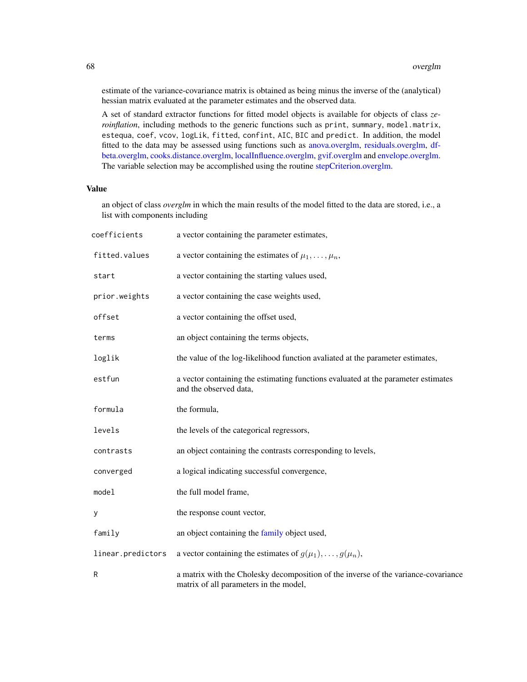estimate of the variance-covariance matrix is obtained as being minus the inverse of the (analytical) hessian matrix evaluated at the parameter estimates and the observed data.

A set of standard extractor functions for fitted model objects is available for objects of class *zeroinflation*, including methods to the generic functions such as print, summary, model.matrix, estequa, coef, vcov, logLik, fitted, confint, AIC, BIC and predict. In addition, the model fitted to the data may be assessed using functions such as [anova.overglm,](#page-5-0) [residuals.overglm,](#page-74-0) [df](#page-25-0)[beta.overglm,](#page-25-0) [cooks.distance.overglm,](#page-19-0) [localInfluence.overglm,](#page-60-0) [gvif.overglm](#page-52-0) and [envelope.overglm.](#page-33-0) The variable selection may be accomplished using the routine [stepCriterion.overglm.](#page-92-0)

# Value

an object of class *overglm* in which the main results of the model fitted to the data are stored, i.e., a list with components including

| coefficients      | a vector containing the parameter estimates,                                                                                 |
|-------------------|------------------------------------------------------------------------------------------------------------------------------|
| fitted.values     | a vector containing the estimates of $\mu_1, \ldots, \mu_n$ ,                                                                |
| start             | a vector containing the starting values used,                                                                                |
| prior.weights     | a vector containing the case weights used,                                                                                   |
| offset            | a vector containing the offset used,                                                                                         |
| terms             | an object containing the terms objects,                                                                                      |
| loglik            | the value of the log-likelihood function avaliated at the parameter estimates,                                               |
| estfun            | a vector containing the estimating functions evaluated at the parameter estimates<br>and the observed data,                  |
| formula           | the formula,                                                                                                                 |
| levels            | the levels of the categorical regressors,                                                                                    |
| contrasts         | an object containing the contrasts corresponding to levels,                                                                  |
| converged         | a logical indicating successful convergence,                                                                                 |
| model             | the full model frame,                                                                                                        |
| y                 | the response count vector,                                                                                                   |
| family            | an object containing the family object used,                                                                                 |
| linear.predictors | a vector containing the estimates of $g(\mu_1), \ldots, g(\mu_n)$ ,                                                          |
| R                 | a matrix with the Cholesky decomposition of the inverse of the variance-covariance<br>matrix of all parameters in the model, |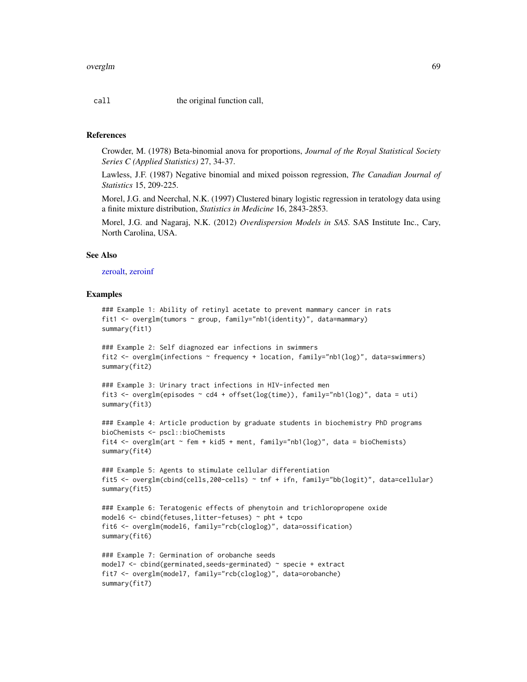call the original function call,

#### References

Crowder, M. (1978) Beta-binomial anova for proportions, *Journal of the Royal Statistical Society Series C (Applied Statistics)* 27, 34-37.

Lawless, J.F. (1987) Negative binomial and mixed poisson regression, *The Canadian Journal of Statistics* 15, 209-225.

Morel, J.G. and Neerchal, N.K. (1997) Clustered binary logistic regression in teratology data using a finite mixture distribution, *Statistics in Medicine* 16, 2843-2853.

Morel, J.G. and Nagaraj, N.K. (2012) *Overdispersion Models in SAS*. SAS Institute Inc., Cary, North Carolina, USA.

#### See Also

[zeroalt,](#page-102-0) [zeroinf](#page-105-0)

#### Examples

```
### Example 1: Ability of retinyl acetate to prevent mammary cancer in rats
fit1 <- overglm(tumors ~ group, family="nb1(identity)", data=mammary)
summary(fit1)
```

```
### Example 2: Self diagnozed ear infections in swimmers
fit2 <- overglm(infections \sim frequency + location, family="nb1(log)", data=swimmers)
summary(fit2)
```

```
### Example 3: Urinary tract infections in HIV-infected men
fit3 <- overglm(episodes ~ cd4 + offset(log(time)), family="nb1(log)", data = uti)
summary(fit3)
```

```
### Example 4: Article production by graduate students in biochemistry PhD programs
bioChemists <- pscl::bioChemists
fit4 <- overglm(art ~ fem + kid5 + ment, family="nb1(log)", data = bioChemists)
summary(fit4)
```

```
### Example 5: Agents to stimulate cellular differentiation
fit5 <- overglm(cbind(cells,200-cells) ~ tnf + ifn, family="bb(logit)", data=cellular)
summary(fit5)
```

```
### Example 6: Teratogenic effects of phenytoin and trichloropropene oxide
model6 <- cbind(fetuses,litter-fetuses) ~ pht + tcpo
fit6 <- overglm(model6, family="rcb(cloglog)", data=ossification)
summary(fit6)
```

```
### Example 7: Germination of orobanche seeds
model7 <- cbind(germinated, seeds-germinated) ~ specie + extract
fit7 <- overglm(model7, family="rcb(cloglog)", data=orobanche)
summary(fit7)
```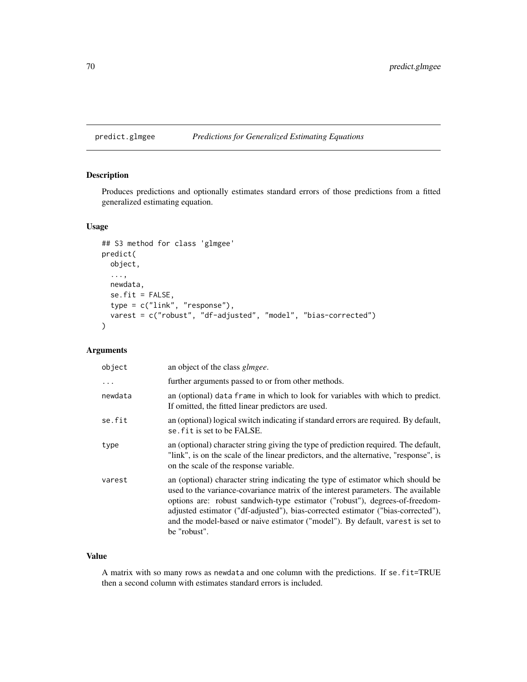predict.glmgee *Predictions for Generalized Estimating Equations*

# Description

Produces predictions and optionally estimates standard errors of those predictions from a fitted generalized estimating equation.

# Usage

```
## S3 method for class 'glmgee'
predict(
 object,
  ...,
 newdata,
  se.fit = FALSE,type = c("link", "response"),
 varest = c("robust", "df-adjusted", "model", "bias-corrected")
)
```
# Arguments

| object  | an object of the class <i>glmgee</i> .                                                                                                                                                                                                                                                                                                                                                                                                   |
|---------|------------------------------------------------------------------------------------------------------------------------------------------------------------------------------------------------------------------------------------------------------------------------------------------------------------------------------------------------------------------------------------------------------------------------------------------|
| .       | further arguments passed to or from other methods.                                                                                                                                                                                                                                                                                                                                                                                       |
| newdata | an (optional) data frame in which to look for variables with which to predict.<br>If omitted, the fitted linear predictors are used.                                                                                                                                                                                                                                                                                                     |
| se.fit  | an (optional) logical switch indicating if standard errors are required. By default,<br>se fit is set to be FALSE.                                                                                                                                                                                                                                                                                                                       |
| type    | an (optional) character string giving the type of prediction required. The default,<br>"link", is on the scale of the linear predictors, and the alternative, "response", is<br>on the scale of the response variable.                                                                                                                                                                                                                   |
| varest  | an (optional) character string indicating the type of estimator which should be<br>used to the variance-covariance matrix of the interest parameters. The available<br>options are: robust sandwich-type estimator ("robust"), degrees-of-freedom-<br>adjusted estimator ("df-adjusted"), bias-corrected estimator ("bias-corrected"),<br>and the model-based or naive estimator ("model"). By default, varest is set to<br>be "robust". |

# Value

A matrix with so many rows as newdata and one column with the predictions. If se.fit=TRUE then a second column with estimates standard errors is included.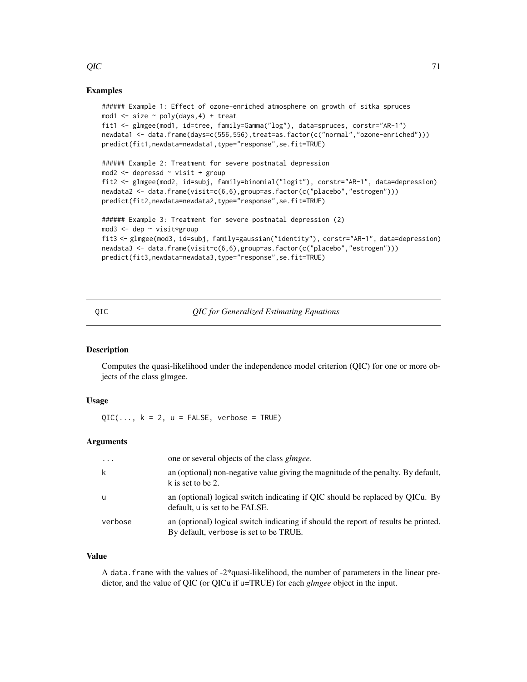# Examples

```
###### Example 1: Effect of ozone-enriched atmosphere on growth of sitka spruces
mod1 \le size \sim poly(days, 4) + treat
fit1 <- glmgee(mod1, id=tree, family=Gamma("log"), data=spruces, corstr="AR-1")
newdata1 <- data.frame(days=c(556,556),treat=as.factor(c("normal","ozone-enriched")))
predict(fit1,newdata=newdata1,type="response",se.fit=TRUE)
###### Example 2: Treatment for severe postnatal depression
mod2 <- depressd ~ visit + group
fit2 <- glmgee(mod2, id=subj, family=binomial("logit"), corstr="AR-1", data=depression)
newdata2 <- data.frame(visit=c(6,6),group=as.factor(c("placebo","estrogen")))
predict(fit2,newdata=newdata2,type="response",se.fit=TRUE)
###### Example 3: Treatment for severe postnatal depression (2)
mod3 <- dep ~ visit*group
fit3 <- glmgee(mod3, id=subj, family=gaussian("identity"), corstr="AR-1", data=depression)
newdata3 <- data.frame(visit=c(6,6),group=as.factor(c("placebo","estrogen")))
predict(fit3,newdata=newdata3,type="response",se.fit=TRUE)
```
<span id="page-70-0"></span>QIC *QIC for Generalized Estimating Equations*

# **Description**

Computes the quasi-likelihood under the independence model criterion (QIC) for one or more objects of the class glmgee.

# Usage

 $QIC(..., k = 2, u = FALSE, verbose = TRUE)$ 

### **Arguments**

| $\cdots$ | one or several objects of the class <i>glmgee</i> .                                                                           |
|----------|-------------------------------------------------------------------------------------------------------------------------------|
| k        | an (optional) non-negative value giving the magnitude of the penalty. By default,<br>k is set to be 2.                        |
| u        | an (optional) logical switch indicating if QIC should be replaced by QICu. By<br>default, u is set to be FALSE.               |
| verbose  | an (optional) logical switch indicating if should the report of results be printed.<br>By default, verbose is set to be TRUE. |

#### Value

A data.frame with the values of -2\*quasi-likelihood, the number of parameters in the linear predictor, and the value of QIC (or QICu if u=TRUE) for each *glmgee* object in the input.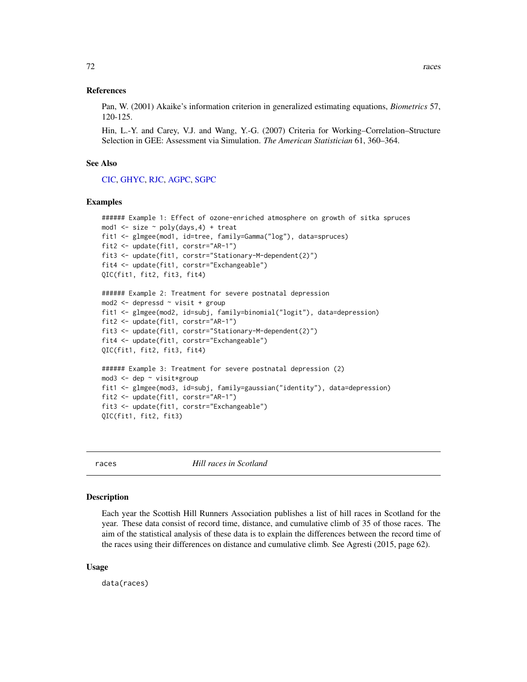#### References

Pan, W. (2001) Akaike's information criterion in generalized estimating equations, *Biometrics* 57, 120-125.

Hin, L.-Y. and Carey, V.J. and Wang, Y.-G. (2007) Criteria for Working–Correlation–Structure Selection in GEE: Assessment via Simulation. *The American Statistician* 61, 360–364.

#### See Also

[CIC,](#page-14-0) [GHYC,](#page-42-0) [RJC,](#page-79-0) [AGPC,](#page-2-0) [SGPC](#page-82-0)

#### Examples

```
###### Example 1: Effect of ozone-enriched atmosphere on growth of sitka spruces
mod1 \le size \sim poly(days, 4) + treat
fit1 <- glmgee(mod1, id=tree, family=Gamma("log"), data=spruces)
fit2 <- update(fit1, corstr="AR-1")
fit3 <- update(fit1, corstr="Stationary-M-dependent(2)")
fit4 <- update(fit1, corstr="Exchangeable")
QIC(fit1, fit2, fit3, fit4)
###### Example 2: Treatment for severe postnatal depression
mod2 <- depressd ~ visit + group
fit1 <- glmgee(mod2, id=subj, family=binomial("logit"), data=depression)
fit2 <- update(fit1, corstr="AR-1")
fit3 <- update(fit1, corstr="Stationary-M-dependent(2)")
fit4 <- update(fit1, corstr="Exchangeable")
QIC(fit1, fit2, fit3, fit4)
###### Example 3: Treatment for severe postnatal depression (2)
mod3 <- dep ~ visit*group
fit1 <- glmgee(mod3, id=subj, family=gaussian("identity"), data=depression)
fit2 <- update(fit1, corstr="AR-1")
fit3 <- update(fit1, corstr="Exchangeable")
QIC(fit1, fit2, fit3)
```
races *Hill races in Scotland*

#### Description

Each year the Scottish Hill Runners Association publishes a list of hill races in Scotland for the year. These data consist of record time, distance, and cumulative climb of 35 of those races. The aim of the statistical analysis of these data is to explain the differences between the record time of the races using their differences on distance and cumulative climb. See Agresti (2015, page 62).

#### Usage

data(races)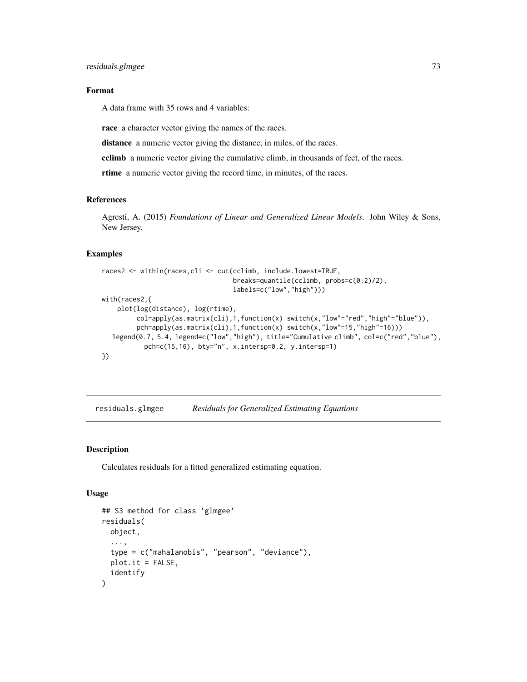## Format

A data frame with 35 rows and 4 variables:

race a character vector giving the names of the races.

distance a numeric vector giving the distance, in miles, of the races.

cclimb a numeric vector giving the cumulative climb, in thousands of feet, of the races.

rtime a numeric vector giving the record time, in minutes, of the races.

### References

Agresti, A. (2015) *Foundations of Linear and Generalized Linear Models*. John Wiley & Sons, New Jersey.

## Examples

```
races2 <- within(races,cli <- cut(cclimb, include.lowest=TRUE,
                                  breaks=quantile(cclimb, probs=c(0:2)/2),
                                  labels=c("low","high")))
with(races2,{
   plot(log(distance), log(rtime),
         col=apply(as.matrix(cli),1,function(x) switch(x,"low"="red","high"="blue")),
         pch=apply(as.matrix(cli),1,function(x) switch(x,"low"=15,"high"=16)))
  legend(0.7, 5.4, legend=c("low","high"), title="Cumulative climb", col=c("red","blue"),
           pch=c(15,16), bty="n", x.intersp=0.2, y.intersp=1)
})
```
residuals.glmgee *Residuals for Generalized Estimating Equations*

## Description

Calculates residuals for a fitted generalized estimating equation.

#### Usage

```
## S3 method for class 'glmgee'
residuals(
  object,
  ...,
  type = c("mahalanobis", "pearson", "deviance"),
 plot.it = FALSE,identify
)
```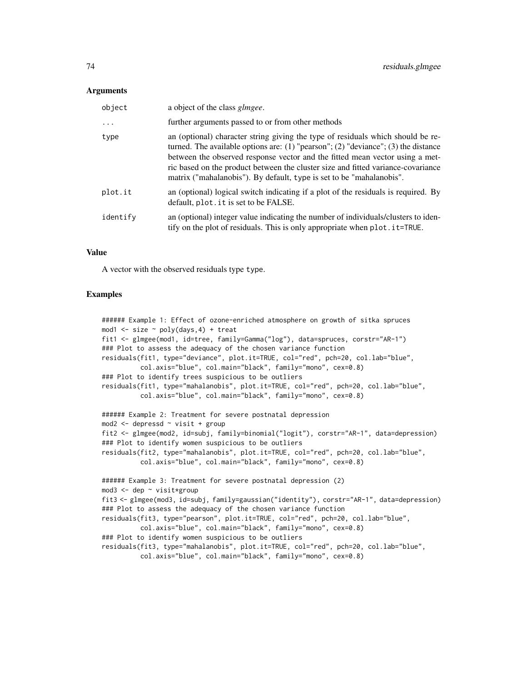### Arguments

| object   | a object of the class <i>glmgee</i> .                                                                                                                                                                                                                                                                                                                                                                             |
|----------|-------------------------------------------------------------------------------------------------------------------------------------------------------------------------------------------------------------------------------------------------------------------------------------------------------------------------------------------------------------------------------------------------------------------|
| .        | further arguments passed to or from other methods                                                                                                                                                                                                                                                                                                                                                                 |
| type     | an (optional) character string giving the type of residuals which should be re-<br>turned. The available options are: (1) "pearson"; (2) "deviance"; (3) the distance<br>between the observed response vector and the fitted mean vector using a met-<br>ric based on the product between the cluster size and fitted variance-covariance<br>matrix ("mahalanobis"). By default, type is set to be "mahalanobis". |
| plot.it  | an (optional) logical switch indicating if a plot of the residuals is required. By<br>default, plot. it is set to be FALSE.                                                                                                                                                                                                                                                                                       |
| identify | an (optional) integer value indicating the number of individuals/clusters to iden-<br>tify on the plot of residuals. This is only appropriate when plot. it=TRUE.                                                                                                                                                                                                                                                 |

## Value

A vector with the observed residuals type type.

```
###### Example 1: Effect of ozone-enriched atmosphere on growth of sitka spruces
mod1 \le size \sim poly(days, 4) + treat
fit1 <- glmgee(mod1, id=tree, family=Gamma("log"), data=spruces, corstr="AR-1")
### Plot to assess the adequacy of the chosen variance function
residuals(fit1, type="deviance", plot.it=TRUE, col="red", pch=20, col.lab="blue",
          col.axis="blue", col.main="black", family="mono", cex=0.8)
### Plot to identify trees suspicious to be outliers
residuals(fit1, type="mahalanobis", plot.it=TRUE, col="red", pch=20, col.lab="blue",
          col.axis="blue", col.main="black", family="mono", cex=0.8)
###### Example 2: Treatment for severe postnatal depression
mod2 <- depressd ~ visit + group
fit2 <- glmgee(mod2, id=subj, family=binomial("logit"), corstr="AR-1", data=depression)
### Plot to identify women suspicious to be outliers
residuals(fit2, type="mahalanobis", plot.it=TRUE, col="red", pch=20, col.lab="blue",
          col.axis="blue", col.main="black", family="mono", cex=0.8)
###### Example 3: Treatment for severe postnatal depression (2)
mod3 <- dep ~ visit*group
fit3 <- glmgee(mod3, id=subj, family=gaussian("identity"), corstr="AR-1", data=depression)
### Plot to assess the adequacy of the chosen variance function
residuals(fit3, type="pearson", plot.it=TRUE, col="red", pch=20, col.lab="blue",
          col.axis="blue", col.main="black", family="mono", cex=0.8)
### Plot to identify women suspicious to be outliers
residuals(fit3, type="mahalanobis", plot.it=TRUE, col="red", pch=20, col.lab="blue",
          col.axis="blue", col.main="black", family="mono", cex=0.8)
```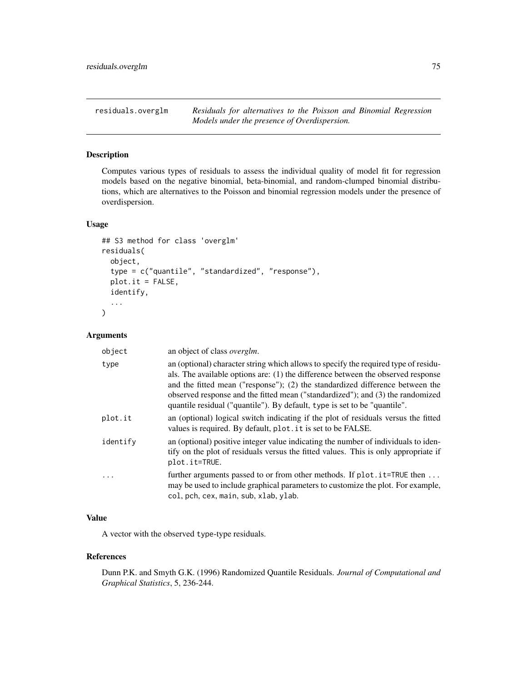residuals.overglm *Residuals for alternatives to the Poisson and Binomial Regression Models under the presence of Overdispersion.*

## Description

Computes various types of residuals to assess the individual quality of model fit for regression models based on the negative binomial, beta-binomial, and random-clumped binomial distributions, which are alternatives to the Poisson and binomial regression models under the presence of overdispersion.

### Usage

```
## S3 method for class 'overglm'
residuals(
  object,
  type = c("quantile", "standardized", "response"),
  plot.it = FALSE,
  identify,
  ...
\mathcal{L}
```
## Arguments

| object   | an object of class <i>overglm</i> .                                                                                                                                                                                                                                                                                                                                                                                     |
|----------|-------------------------------------------------------------------------------------------------------------------------------------------------------------------------------------------------------------------------------------------------------------------------------------------------------------------------------------------------------------------------------------------------------------------------|
| type     | an (optional) character string which allows to specify the required type of residu-<br>als. The available options are: (1) the difference between the observed response<br>and the fitted mean ("response"); (2) the standardized difference between the<br>observed response and the fitted mean ("standardized"); and (3) the randomized<br>quantile residual ("quantile"). By default, type is set to be "quantile". |
| plot.it  | an (optional) logical switch indicating if the plot of residuals versus the fitted<br>values is required. By default, plot. it is set to be FALSE.                                                                                                                                                                                                                                                                      |
| identify | an (optional) positive integer value indicating the number of individuals to iden-<br>tify on the plot of residuals versus the fitted values. This is only appropriate if<br>plot.it=TRUE.                                                                                                                                                                                                                              |
| $\cdot$  | further arguments passed to or from other methods. If plot.it=TRUE then<br>may be used to include graphical parameters to customize the plot. For example,<br>col, pch, cex, main, sub, xlab, ylab.                                                                                                                                                                                                                     |

## Value

A vector with the observed type-type residuals.

## References

Dunn P.K. and Smyth G.K. (1996) Randomized Quantile Residuals. *Journal of Computational and Graphical Statistics*, 5, 236-244.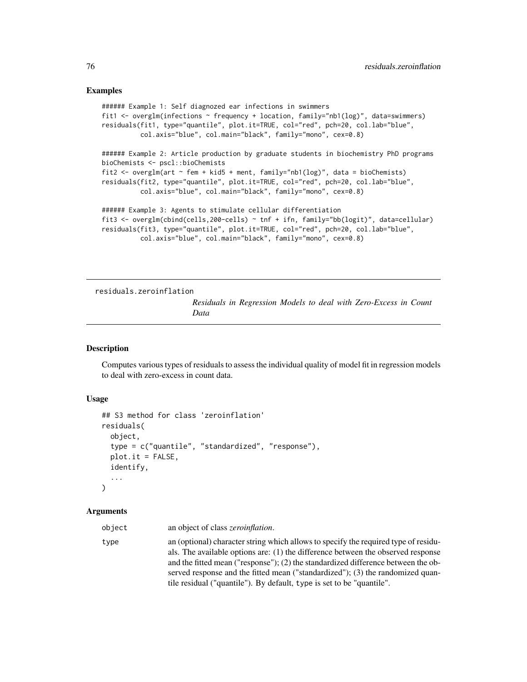```
###### Example 1: Self diagnozed ear infections in swimmers
fit1 <- overglm(infections ~ frequency + location, family="nb1(log)", data=swimmers)
residuals(fit1, type="quantile", plot.it=TRUE, col="red", pch=20, col.lab="blue",
          col.axis="blue", col.main="black", family="mono", cex=0.8)
###### Example 2: Article production by graduate students in biochemistry PhD programs
bioChemists <- pscl::bioChemists
fit2 <- overglm(art ~ fem + kid5 + ment, family="nb1(log)", data = bioChemists)
residuals(fit2, type="quantile", plot.it=TRUE, col="red", pch=20, col.lab="blue",
          col.axis="blue", col.main="black", family="mono", cex=0.8)
###### Example 3: Agents to stimulate cellular differentiation
fit3 <- overglm(cbind(cells,200-cells) ~ tnf + ifn, family="bb(logit)", data=cellular)
residuals(fit3, type="quantile", plot.it=TRUE, col="red", pch=20, col.lab="blue",
         col.axis="blue", col.main="black", family="mono", cex=0.8)
```
<span id="page-75-0"></span>residuals.zeroinflation

*Residuals in Regression Models to deal with Zero-Excess in Count Data*

### Description

Computes various types of residuals to assess the individual quality of model fit in regression models to deal with zero-excess in count data.

## Usage

```
## S3 method for class 'zeroinflation'
residuals(
  object,
  type = c("quantile", "standardized", "response"),
 plot.it = FALSE,identify,
  ...
)
```
## Arguments

| object | an object of class <i>zeroinflation</i> .                                                                                                                                                                                                                                                                                                                                                                               |
|--------|-------------------------------------------------------------------------------------------------------------------------------------------------------------------------------------------------------------------------------------------------------------------------------------------------------------------------------------------------------------------------------------------------------------------------|
| type   | an (optional) character string which allows to specify the required type of residu-<br>als. The available options are: (1) the difference between the observed response<br>and the fitted mean ("response"); (2) the standardized difference between the ob-<br>served response and the fitted mean ("standardized"); (3) the randomized quan-<br>tile residual ("quantile"). By default, type is set to be "quantile". |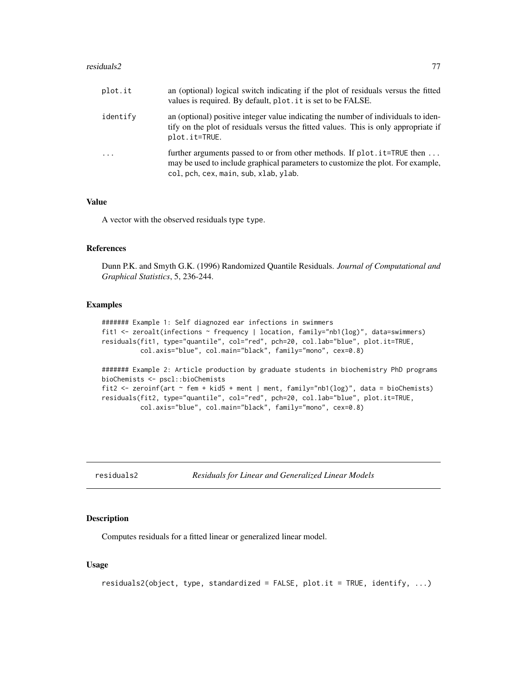### residuals2 77

| plot.it   | an (optional) logical switch indicating if the plot of residuals versus the fitted<br>values is required. By default, plot. it is set to be FALSE.                                                    |
|-----------|-------------------------------------------------------------------------------------------------------------------------------------------------------------------------------------------------------|
| identify  | an (optional) positive integer value indicating the number of individuals to iden-<br>tify on the plot of residuals versus the fitted values. This is only appropriate if<br>plot.it=TRUE.            |
| $\ddotsc$ | further arguments passed to or from other methods. If plot . it=TRUE then<br>may be used to include graphical parameters to customize the plot. For example,<br>col, pch, cex, main, sub, xlab, ylab. |

#### Value

A vector with the observed residuals type type.

## References

Dunn P.K. and Smyth G.K. (1996) Randomized Quantile Residuals. *Journal of Computational and Graphical Statistics*, 5, 236-244.

### Examples

```
####### Example 1: Self diagnozed ear infections in swimmers
fit1 <- zeroalt(infections ~ frequency | location, family="nb1(log)", data=swimmers)
residuals(fit1, type="quantile", col="red", pch=20, col.lab="blue", plot.it=TRUE,
          col.axis="blue", col.main="black", family="mono", cex=0.8)
####### Example 2: Article production by graduate students in biochemistry PhD programs
bioChemists <- pscl::bioChemists
fit2 \le zeroinf(art \sim fem + kid5 + ment | ment, family="nb1(log)", data = bioChemists)
residuals(fit2, type="quantile", col="red", pch=20, col.lab="blue", plot.it=TRUE,
          col.axis="blue", col.main="black", family="mono", cex=0.8)
```
residuals2 *Residuals for Linear and Generalized Linear Models*

### Description

Computes residuals for a fitted linear or generalized linear model.

### Usage

```
residuals2(object, type, standardized = FALSE, plot.it = TRUE, identify, ...)
```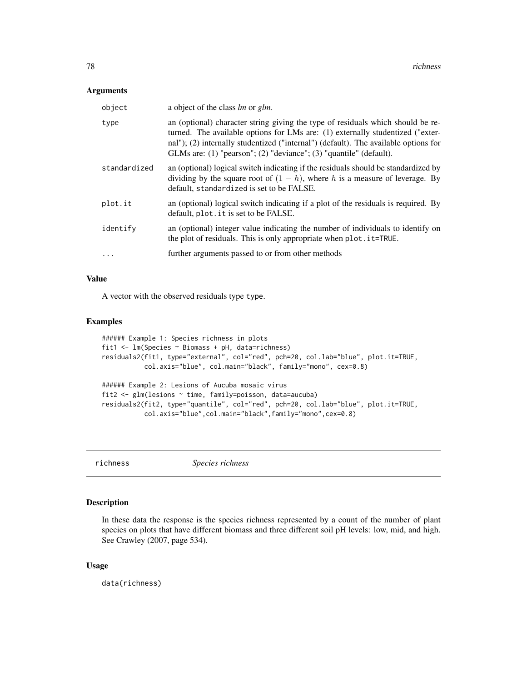### Arguments

| object       | a object of the class lm or glm.                                                                                                                                                                                                                                                                                               |
|--------------|--------------------------------------------------------------------------------------------------------------------------------------------------------------------------------------------------------------------------------------------------------------------------------------------------------------------------------|
| type         | an (optional) character string giving the type of residuals which should be re-<br>turned. The available options for LMs are: (1) externally studentized ("exter-<br>nal"); (2) internally studentized ("internal") (default). The available options for<br>GLMs are: (1) "pearson"; (2) "deviance"; (3) "quantile" (default). |
| standardized | an (optional) logical switch indicating if the residuals should be standardized by<br>dividing by the square root of $(1 - h)$ , where h is a measure of leverage. By<br>default, standardized is set to be FALSE.                                                                                                             |
| plot.it      | an (optional) logical switch indicating if a plot of the residuals is required. By<br>default, plot. it is set to be FALSE.                                                                                                                                                                                                    |
| identify     | an (optional) integer value indicating the number of individuals to identify on<br>the plot of residuals. This is only appropriate when plot . it=TRUE.                                                                                                                                                                        |
| .            | further arguments passed to or from other methods                                                                                                                                                                                                                                                                              |

## Value

A vector with the observed residuals type type.

## Examples

```
###### Example 1: Species richness in plots
fit1 <- lm(Species ~ Biomass + pH, data=richness)
residuals2(fit1, type="external", col="red", pch=20, col.lab="blue", plot.it=TRUE,
          col.axis="blue", col.main="black", family="mono", cex=0.8)
###### Example 2: Lesions of Aucuba mosaic virus
fit2 <- glm(lesions ~ time, family=poisson, data=aucuba)
residuals2(fit2, type="quantile", col="red", pch=20, col.lab="blue", plot.it=TRUE,
           col.axis="blue",col.main="black",family="mono",cex=0.8)
```
richness *Species richness*

## Description

In these data the response is the species richness represented by a count of the number of plant species on plots that have different biomass and three different soil pH levels: low, mid, and high. See Crawley (2007, page 534).

## Usage

data(richness)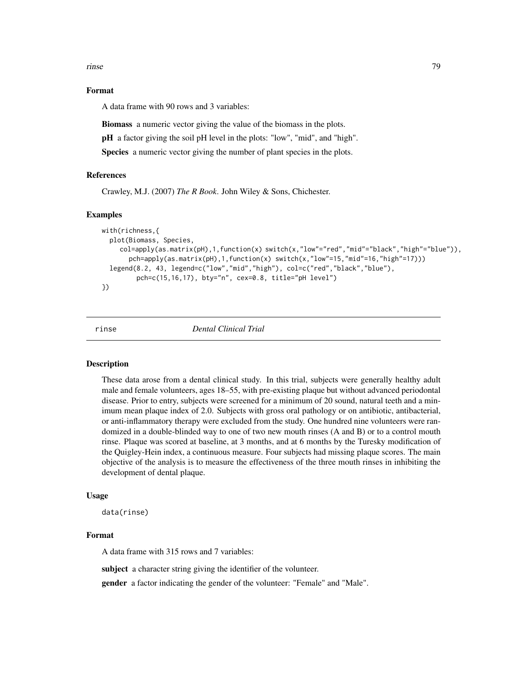rinse two and the contract of the contract of the contract of the contract of the contract of the contract of the contract of the contract of the contract of the contract of the contract of the contract of the contract of

## Format

A data frame with 90 rows and 3 variables:

Biomass a numeric vector giving the value of the biomass in the plots.

pH a factor giving the soil pH level in the plots: "low", "mid", and "high".

Species a numeric vector giving the number of plant species in the plots.

# References

Crawley, M.J. (2007) *The R Book*. John Wiley & Sons, Chichester.

### Examples

```
with(richness,{
 plot(Biomass, Species,
    col=apply(as.matrix(pH),1,function(x) switch(x,"low"="red","mid"="black","high"="blue")),
      pch=apply(as.matrix(pH),1,function(x) switch(x,"low"=15,"mid"=16,"high"=17)))
 legend(8.2, 43, legend=c("low","mid","high"), col=c("red","black","blue"),
         pch=c(15,16,17), bty="n", cex=0.8, title="pH level")
})
```
rinse *Dental Clinical Trial*

## Description

These data arose from a dental clinical study. In this trial, subjects were generally healthy adult male and female volunteers, ages 18–55, with pre-existing plaque but without advanced periodontal disease. Prior to entry, subjects were screened for a minimum of 20 sound, natural teeth and a minimum mean plaque index of 2.0. Subjects with gross oral pathology or on antibiotic, antibacterial, or anti-inflammatory therapy were excluded from the study. One hundred nine volunteers were randomized in a double-blinded way to one of two new mouth rinses (A and B) or to a control mouth rinse. Plaque was scored at baseline, at 3 months, and at 6 months by the Turesky modification of the Quigley-Hein index, a continuous measure. Four subjects had missing plaque scores. The main objective of the analysis is to measure the effectiveness of the three mouth rinses in inhibiting the development of dental plaque.

## Usage

data(rinse)

# Format

A data frame with 315 rows and 7 variables:

subject a character string giving the identifier of the volunteer.

gender a factor indicating the gender of the volunteer: "Female" and "Male".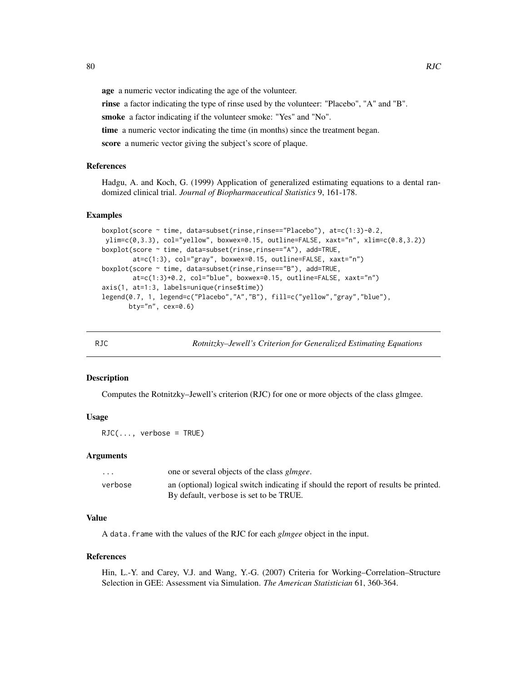age a numeric vector indicating the age of the volunteer.

rinse a factor indicating the type of rinse used by the volunteer: "Placebo", "A" and "B".

smoke a factor indicating if the volunteer smoke: "Yes" and "No".

time a numeric vector indicating the time (in months) since the treatment began.

score a numeric vector giving the subject's score of plaque.

## References

Hadgu, A. and Koch, G. (1999) Application of generalized estimating equations to a dental randomized clinical trial. *Journal of Biopharmaceutical Statistics* 9, 161-178.

#### Examples

```
boxplot(score ~ time, data=subset(rinse,rinse=="Placebo"), at=c(1:3)-0.2,
ylim=c(0,3.3), col="yellow", boxwex=0.15, outline=FALSE, xaxt="n", xlim=c(0.8,3.2))
boxplot(score ~ time, data=subset(rinse,rinse=="A"), add=TRUE,
        at=c(1:3), col="gray", boxwex=0.15, outline=FALSE, xaxt="n")
boxplot(score ~ time, data=subset(rinse,rinse=="B"), add=TRUE,
       at=c(1:3)+0.2, col="blue", boxwex=0.15, outline=FALSE, xaxt="n")
axis(1, at=1:3, labels=unique(rinse$time))
legend(0.7, 1, legend=c("Placebo","A","B"), fill=c("yellow","gray","blue"),
      bty="n", cex=0.6)
```
<span id="page-79-0"></span>

RJC *Rotnitzky–Jewell's Criterion for Generalized Estimating Equations*

## **Description**

Computes the Rotnitzky–Jewell's criterion (RJC) for one or more objects of the class glmgee.

## Usage

 $RJC(..., verbose = TRUE)$ 

#### Arguments

| $\cdots$ | one or several objects of the class <i>glmgee</i> .                                 |
|----------|-------------------------------------------------------------------------------------|
| verbose  | an (optional) logical switch indicating if should the report of results be printed. |
|          | By default, verbose is set to be TRUE.                                              |

### Value

A data.frame with the values of the RJC for each *glmgee* object in the input.

#### References

Hin, L.-Y. and Carey, V.J. and Wang, Y.-G. (2007) Criteria for Working–Correlation–Structure Selection in GEE: Assessment via Simulation. *The American Statistician* 61, 360-364.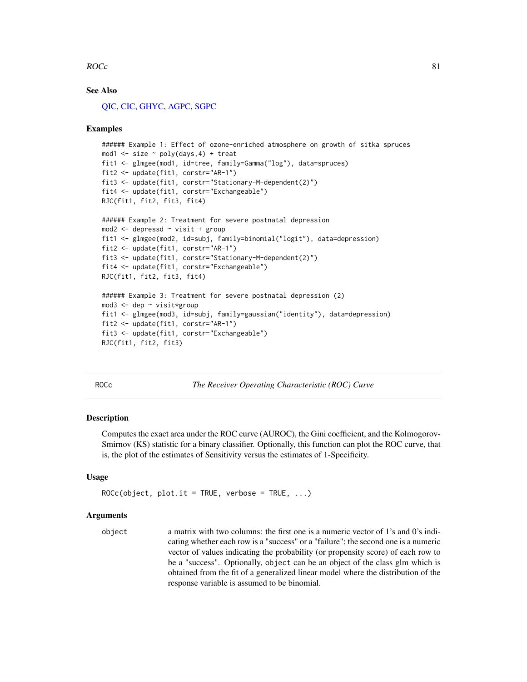### $ROCc$  81

## See Also

[QIC,](#page-70-0) [CIC,](#page-14-0) [GHYC,](#page-42-0) [AGPC,](#page-2-0) [SGPC](#page-82-0)

#### Examples

```
###### Example 1: Effect of ozone-enriched atmosphere on growth of sitka spruces
mod1 \le size \sim poly(days, 4) + treat
fit1 <- glmgee(mod1, id=tree, family=Gamma("log"), data=spruces)
fit2 <- update(fit1, corstr="AR-1")
fit3 <- update(fit1, corstr="Stationary-M-dependent(2)")
fit4 <- update(fit1, corstr="Exchangeable")
RJC(fit1, fit2, fit3, fit4)
###### Example 2: Treatment for severe postnatal depression
mod2 <- depressd ~ visit + group
fit1 <- glmgee(mod2, id=subj, family=binomial("logit"), data=depression)
fit2 <- update(fit1, corstr="AR-1")
fit3 <- update(fit1, corstr="Stationary-M-dependent(2)")
fit4 <- update(fit1, corstr="Exchangeable")
RJC(fit1, fit2, fit3, fit4)
###### Example 3: Treatment for severe postnatal depression (2)
mod3 <- dep ~ visit*group
fit1 <- glmgee(mod3, id=subj, family=gaussian("identity"), data=depression)
fit2 <- update(fit1, corstr="AR-1")
fit3 <- update(fit1, corstr="Exchangeable")
RJC(fit1, fit2, fit3)
```
ROCc *The Receiver Operating Characteristic (ROC) Curve*

## Description

Computes the exact area under the ROC curve (AUROC), the Gini coefficient, and the Kolmogorov-Smirnov (KS) statistic for a binary classifier. Optionally, this function can plot the ROC curve, that is, the plot of the estimates of Sensitivity versus the estimates of 1-Specificity.

### Usage

```
ROCc(object, plot.it = TRUE, verbose = TRUE, ...)
```
#### Arguments

object a matrix with two columns: the first one is a numeric vector of 1's and 0's indicating whether each row is a "success" or a "failure"; the second one is a numeric vector of values indicating the probability (or propensity score) of each row to be a "success". Optionally, object can be an object of the class glm which is obtained from the fit of a generalized linear model where the distribution of the response variable is assumed to be binomial.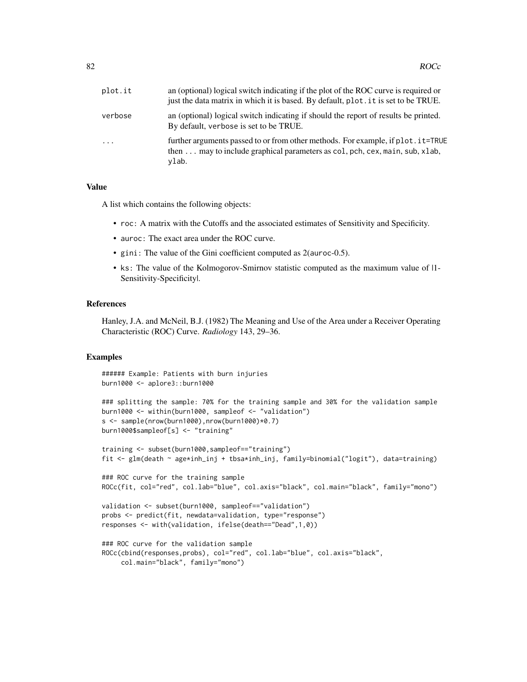| plot.it    | an (optional) logical switch indicating if the plot of the ROC curve is required or<br>just the data matrix in which it is based. By default, plot. it is set to be TRUE.  |
|------------|----------------------------------------------------------------------------------------------------------------------------------------------------------------------------|
| verbose    | an (optional) logical switch indicating if should the report of results be printed.<br>By default, verbose is set to be TRUE.                                              |
| $\ddots$ . | further arguments passed to or from other methods. For example, if plot . it=TRUE<br>then  may to include graphical parameters as col, pch, cex, main, sub, xlab,<br>ylab. |
|            |                                                                                                                                                                            |

# Value

A list which contains the following objects:

- roc: A matrix with the Cutoffs and the associated estimates of Sensitivity and Specificity.
- auroc: The exact area under the ROC curve.
- gini: The value of the Gini coefficient computed as 2(auroc-0.5).
- ks: The value of the Kolmogorov-Smirnov statistic computed as the maximum value of |1- Sensitivity-Specificity|.

### References

Hanley, J.A. and McNeil, B.J. (1982) The Meaning and Use of the Area under a Receiver Operating Characteristic (ROC) Curve. *Radiology* 143, 29–36.

```
###### Example: Patients with burn injuries
burn1000 <- aplore3::burn1000
### splitting the sample: 70% for the training sample and 30% for the validation sample
burn1000 <- within(burn1000, sampleof <- "validation")
s <- sample(nrow(burn1000),nrow(burn1000)*0.7)
burn1000$sampleof[s] <- "training"
training <- subset(burn1000,sampleof=="training")
fit <- glm(death ~ age*inh_inj + tbsa*inh_inj, family=binomial("logit"), data=training)
### ROC curve for the training sample
ROCc(fit, col="red", col.lab="blue", col.axis="black", col.main="black", family="mono")
validation <- subset(burn1000, sampleof=="validation")
probs <- predict(fit, newdata=validation, type="response")
responses <- with(validation, ifelse(death=="Dead",1,0))
### ROC curve for the validation sample
ROCc(cbind(responses,probs), col="red", col.lab="blue", col.axis="black",
     col.main="black", family="mono")
```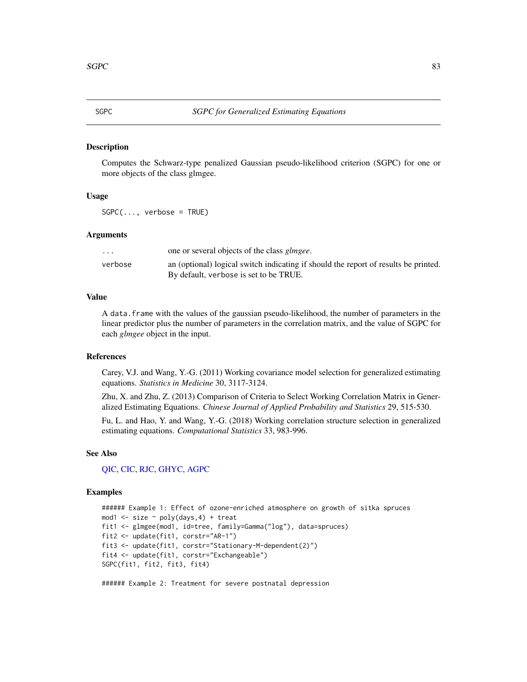## <span id="page-82-0"></span>Description

Computes the Schwarz-type penalized Gaussian pseudo-likelihood criterion (SGPC) for one or more objects of the class glmgee.

## Usage

 $SGPC(...,$  verbose = TRUE)

## Arguments

| $\cdots$ | one or several objects of the class <i>glmgee</i> .                                 |
|----------|-------------------------------------------------------------------------------------|
| verbose  | an (optional) logical switch indicating if should the report of results be printed. |
|          | By default, verbose is set to be TRUE.                                              |

## Value

A data.frame with the values of the gaussian pseudo-likelihood, the number of parameters in the linear predictor plus the number of parameters in the correlation matrix, and the value of SGPC for each *glmgee* object in the input.

### References

Carey, V.J. and Wang, Y.-G. (2011) Working covariance model selection for generalized estimating equations. *Statistics in Medicine* 30, 3117-3124.

Zhu, X. and Zhu, Z. (2013) Comparison of Criteria to Select Working Correlation Matrix in Generalized Estimating Equations. *Chinese Journal of Applied Probability and Statistics* 29, 515-530.

Fu, L. and Hao, Y. and Wang, Y.-G. (2018) Working correlation structure selection in generalized estimating equations. *Computational Statistics* 33, 983-996.

## See Also

## [QIC,](#page-70-0) [CIC,](#page-14-0) [RJC,](#page-79-0) [GHYC,](#page-42-0) [AGPC](#page-2-0)

### Examples

```
###### Example 1: Effect of ozone-enriched atmosphere on growth of sitka spruces
mod1 \le size \sim poly(days, 4) + treat
fit1 <- glmgee(mod1, id=tree, family=Gamma("log"), data=spruces)
fit2 <- update(fit1, corstr="AR-1")
fit3 <- update(fit1, corstr="Stationary-M-dependent(2)")
fit4 <- update(fit1, corstr="Exchangeable")
SGPC(fit1, fit2, fit3, fit4)
```
###### Example 2: Treatment for severe postnatal depression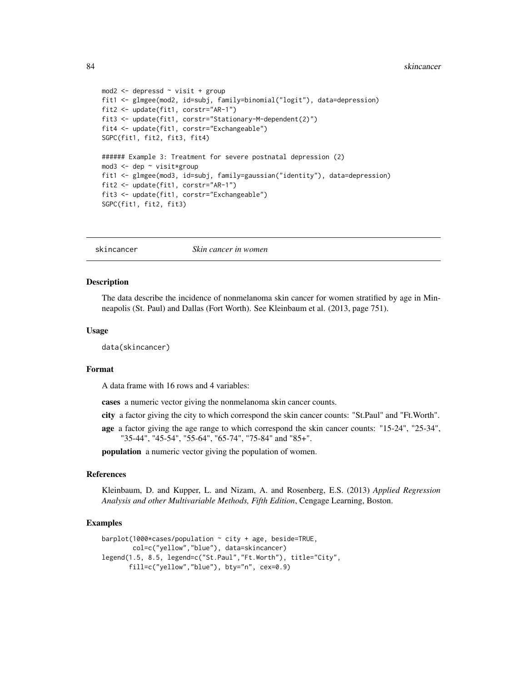### 84 skincancer and the set of the set of the set of the set of the set of the set of the set of the set of the set of the set of the set of the set of the set of the set of the set of the set of the set of the set of the se

```
mod2 <- depressd ~ visit + group
fit1 <- glmgee(mod2, id=subj, family=binomial("logit"), data=depression)
fit2 <- update(fit1, corstr="AR-1")
fit3 <- update(fit1, corstr="Stationary-M-dependent(2)")
fit4 <- update(fit1, corstr="Exchangeable")
SGPC(fit1, fit2, fit3, fit4)
###### Example 3: Treatment for severe postnatal depression (2)
mod3 <- dep ~ visit*group
fit1 <- glmgee(mod3, id=subj, family=gaussian("identity"), data=depression)
fit2 <- update(fit1, corstr="AR-1")
fit3 <- update(fit1, corstr="Exchangeable")
SGPC(fit1, fit2, fit3)
```

```
skincancer Skin cancer in women
```
### **Description**

The data describe the incidence of nonmelanoma skin cancer for women stratified by age in Minneapolis (St. Paul) and Dallas (Fort Worth). See Kleinbaum et al. (2013, page 751).

### Usage

data(skincancer)

## Format

A data frame with 16 rows and 4 variables:

cases a numeric vector giving the nonmelanoma skin cancer counts.

- city a factor giving the city to which correspond the skin cancer counts: "St.Paul" and "Ft.Worth".
- age a factor giving the age range to which correspond the skin cancer counts: "15-24", "25-34", "35-44", "45-54", "55-64", "65-74", "75-84" and "85+".

**population** a numeric vector giving the population of women.

## References

Kleinbaum, D. and Kupper, L. and Nizam, A. and Rosenberg, E.S. (2013) *Applied Regression Analysis and other Multivariable Methods, Fifth Edition*, Cengage Learning, Boston.

```
barplot(1000*cases/population \sim city + age, beside=TRUE,
        col=c("yellow","blue"), data=skincancer)
legend(1.5, 8.5, legend=c("St.Paul","Ft.Worth"), title="City",
       fill=c("yellow","blue"), bty="n", cex=0.9)
```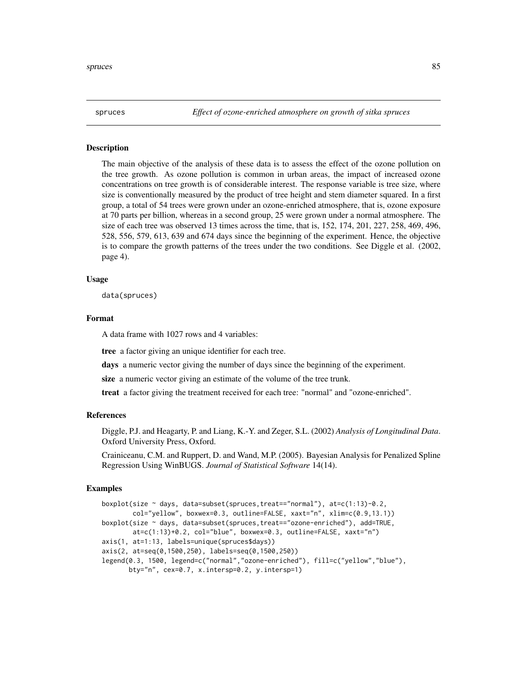## **Description**

The main objective of the analysis of these data is to assess the effect of the ozone pollution on the tree growth. As ozone pollution is common in urban areas, the impact of increased ozone concentrations on tree growth is of considerable interest. The response variable is tree size, where size is conventionally measured by the product of tree height and stem diameter squared. In a first group, a total of 54 trees were grown under an ozone-enriched atmosphere, that is, ozone exposure at 70 parts per billion, whereas in a second group, 25 were grown under a normal atmosphere. The size of each tree was observed 13 times across the time, that is, 152, 174, 201, 227, 258, 469, 496, 528, 556, 579, 613, 639 and 674 days since the beginning of the experiment. Hence, the objective is to compare the growth patterns of the trees under the two conditions. See Diggle et al. (2002, page 4).

### Usage

data(spruces)

### Format

A data frame with 1027 rows and 4 variables:

tree a factor giving an unique identifier for each tree.

days a numeric vector giving the number of days since the beginning of the experiment.

size a numeric vector giving an estimate of the volume of the tree trunk.

treat a factor giving the treatment received for each tree: "normal" and "ozone-enriched".

#### References

Diggle, P.J. and Heagarty, P. and Liang, K.-Y. and Zeger, S.L. (2002) *Analysis of Longitudinal Data*. Oxford University Press, Oxford.

Crainiceanu, C.M. and Ruppert, D. and Wand, M.P. (2005). Bayesian Analysis for Penalized Spline Regression Using WinBUGS. *Journal of Statistical Software* 14(14).

```
boxplot(size ~ days, data=subset(spruces,treat=="normal"), at=c(1:13)-0.2,
        col="yellow", boxwex=0.3, outline=FALSE, xaxt="n", xlim=c(0.9,13.1))
boxplot(size ~ days, data=subset(spruces,treat=="ozone-enriched"), add=TRUE,
        at=c(1:13)+0.2, col="blue", boxwex=0.3, outline=FALSE, xaxt="n")
axis(1, at=1:13, labels=unique(spruces$days))
axis(2, at=seq(0,1500,250), labels=seq(0,1500,250))
legend(0.3, 1500, legend=c("normal","ozone-enriched"), fill=c("yellow","blue"),
      bty="n", cex=0.7, x.intersp=0.2, y.intersp=1)
```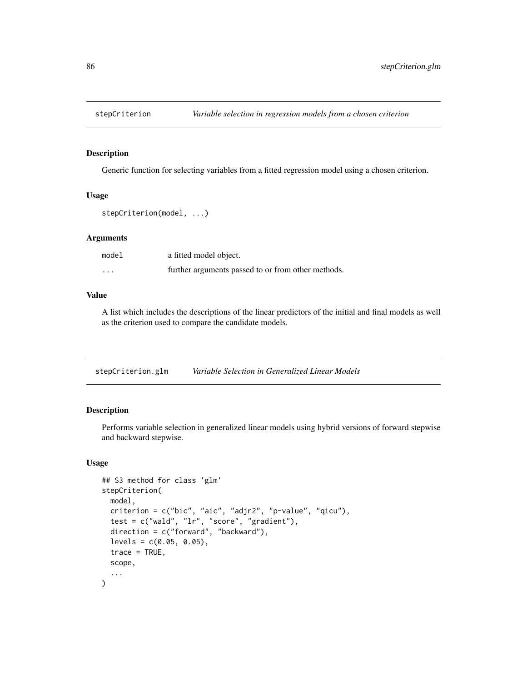## Description

Generic function for selecting variables from a fitted regression model using a chosen criterion.

### Usage

```
stepCriterion(model, ...)
```
### Arguments

| model   | a fitted model object.                             |
|---------|----------------------------------------------------|
| $\cdot$ | further arguments passed to or from other methods. |

## Value

A list which includes the descriptions of the linear predictors of the initial and final models as well as the criterion used to compare the candidate models.

<span id="page-85-0"></span>

| stepCriterion.glm | Variable Selection in Generalized Linear Models |
|-------------------|-------------------------------------------------|
|-------------------|-------------------------------------------------|

## Description

Performs variable selection in generalized linear models using hybrid versions of forward stepwise and backward stepwise.

### Usage

```
## S3 method for class 'glm'
stepCriterion(
 model,
 criterion = c("bic", "aic", "adjr2", "p-value", "qicu"),
  test = c("wald", "lr", "score", "gradient"),
 direction = c("forward", "backward"),
 levels = c(0.05, 0.05),
  trace = TRUE,
  scope,
  ...
)
```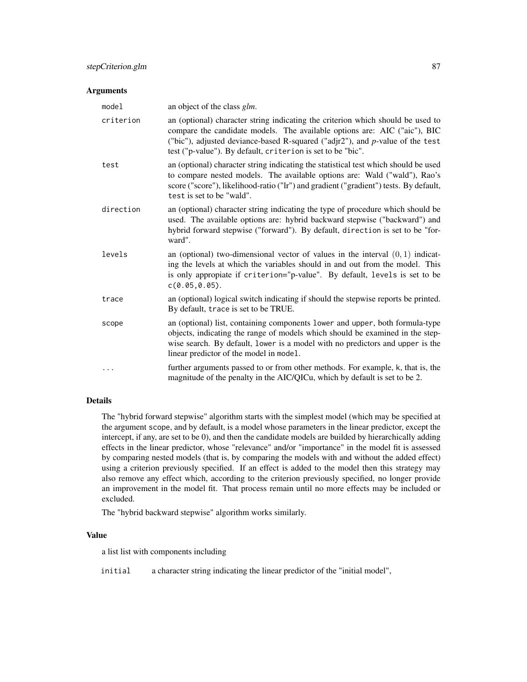### Arguments

| model     | an object of the class glm.                                                                                                                                                                                                                                                                                  |
|-----------|--------------------------------------------------------------------------------------------------------------------------------------------------------------------------------------------------------------------------------------------------------------------------------------------------------------|
| criterion | an (optional) character string indicating the criterion which should be used to<br>compare the candidate models. The available options are: AIC ("aic"), BIC<br>("bic"), adjusted deviance-based R-squared ("adjr2"), and p-value of the test<br>test ("p-value"). By default, criterion is set to be "bic". |
| test      | an (optional) character string indicating the statistical test which should be used<br>to compare nested models. The available options are: Wald ("wald"), Rao's<br>score ("score"), likelihood-ratio ("lr") and gradient ("gradient") tests. By default,<br>test is set to be "wald".                       |
| direction | an (optional) character string indicating the type of procedure which should be<br>used. The available options are: hybrid backward stepwise ("backward") and<br>hybrid forward stepwise ("forward"). By default, direction is set to be "for-<br>ward".                                                     |
| levels    | an (optional) two-dimensional vector of values in the interval $(0, 1)$ indicat-<br>ing the levels at which the variables should in and out from the model. This<br>is only appropiate if criterion="p-value". By default, levels is set to be<br>c(0.05, 0.05).                                             |
| trace     | an (optional) logical switch indicating if should the stepwise reports be printed.<br>By default, trace is set to be TRUE.                                                                                                                                                                                   |
| scope     | an (optional) list, containing components lower and upper, both formula-type<br>objects, indicating the range of models which should be examined in the step-<br>wise search. By default, lower is a model with no predictors and upper is the<br>linear predictor of the model in model.                    |
| $\cdots$  | further arguments passed to or from other methods. For example, k, that is, the<br>magnitude of the penalty in the AIC/QICu, which by default is set to be 2.                                                                                                                                                |

## Details

The "hybrid forward stepwise" algorithm starts with the simplest model (which may be specified at the argument scope, and by default, is a model whose parameters in the linear predictor, except the intercept, if any, are set to be 0), and then the candidate models are builded by hierarchically adding effects in the linear predictor, whose "relevance" and/or "importance" in the model fit is assessed by comparing nested models (that is, by comparing the models with and without the added effect) using a criterion previously specified. If an effect is added to the model then this strategy may also remove any effect which, according to the criterion previously specified, no longer provide an improvement in the model fit. That process remain until no more effects may be included or excluded.

The "hybrid backward stepwise" algorithm works similarly.

## Value

a list list with components including

initial a character string indicating the linear predictor of the "initial model",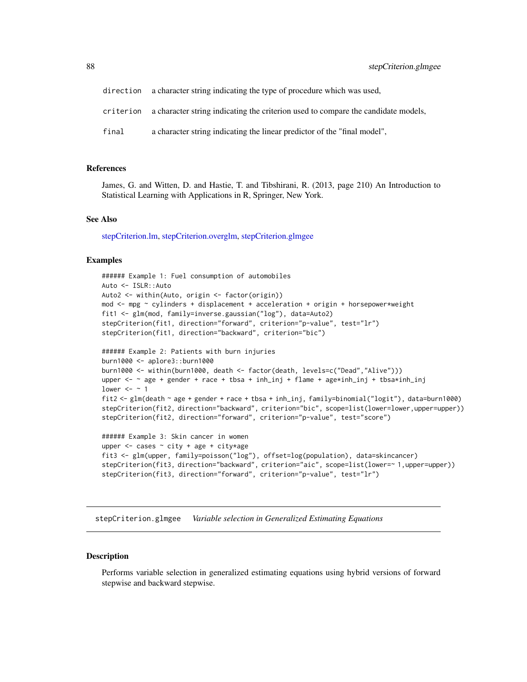- direction a character string indicating the type of procedure which was used,
- criterion a character string indicating the criterion used to compare the candidate models,
- final a character string indicating the linear predictor of the "final model",

### References

James, G. and Witten, D. and Hastie, T. and Tibshirani, R. (2013, page 210) An Introduction to Statistical Learning with Applications in R, Springer, New York.

### See Also

[stepCriterion.lm,](#page-90-0) [stepCriterion.overglm,](#page-92-0) [stepCriterion.glmgee](#page-87-0)

## Examples

```
###### Example 1: Fuel consumption of automobiles
Auto <- ISLR::Auto
Auto2 <- within(Auto, origin <- factor(origin))
mod \leq mpg \sim cylinders + displacement + acceleration + origin + horsepower*weight
fit1 <- glm(mod, family=inverse.gaussian("log"), data=Auto2)
stepCriterion(fit1, direction="forward", criterion="p-value", test="lr")
stepCriterion(fit1, direction="backward", criterion="bic")
###### Example 2: Patients with burn injuries
```

```
burn1000 <- aplore3::burn1000
burn1000 <- within(burn1000, death <- factor(death, levels=c("Dead","Alive")))
upper <- ~ age + gender + race + tbsa + inh_inj + flame + age*inh_inj + tbsa*inh_inj
lower <- \sim 1
fit2 <- glm(death ~ age + gender + race + tbsa + inh_inj, family=binomial("logit"), data=burn1000)
stepCriterion(fit2, direction="backward", criterion="bic", scope=list(lower=lower,upper=upper))
stepCriterion(fit2, direction="forward", criterion="p-value", test="score")
```

```
###### Example 3: Skin cancer in women
upper \leq cases \sim city + age + city*age
fit3 <- glm(upper, family=poisson("log"), offset=log(population), data=skincancer)
stepCriterion(fit3, direction="backward", criterion="aic", scope=list(lower=~ 1,upper=upper))
stepCriterion(fit3, direction="forward", criterion="p-value", test="lr")
```
<span id="page-87-0"></span>stepCriterion.glmgee *Variable selection in Generalized Estimating Equations*

#### **Description**

Performs variable selection in generalized estimating equations using hybrid versions of forward stepwise and backward stepwise.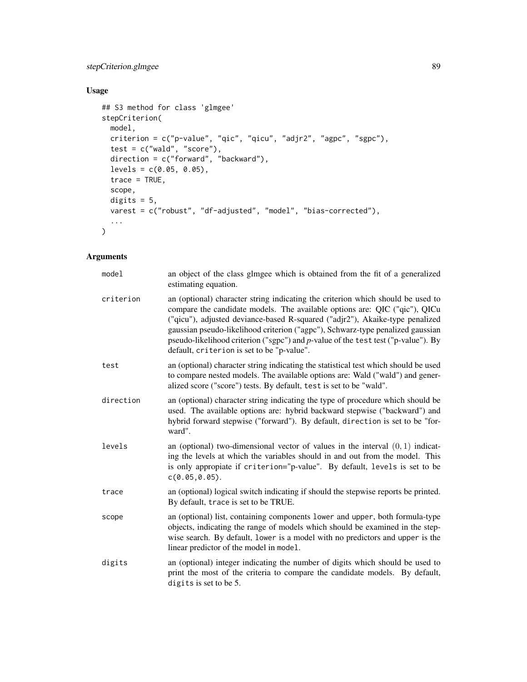# stepCriterion.glmgee 89

# Usage

```
## S3 method for class 'glmgee'
stepCriterion(
 model,
 criterion = c("p-value", "qic", "qicu", "adjr2", "agpc", "sgpc"),
 test = c("wald", "score"),
 direction = c("forward", "backward"),
 levels = c(0.05, 0.05),
 trace = TRUE,
 scope,
 digits = 5,
 varest = c("robust", "df-adjusted", "model", "bias-corrected"),
  ...
\mathcal{L}
```
# Arguments

| model     | an object of the class glmgee which is obtained from the fit of a generalized<br>estimating equation.                                                                                                                                                                                                                                                                                                                                                              |
|-----------|--------------------------------------------------------------------------------------------------------------------------------------------------------------------------------------------------------------------------------------------------------------------------------------------------------------------------------------------------------------------------------------------------------------------------------------------------------------------|
| criterion | an (optional) character string indicating the criterion which should be used to<br>compare the candidate models. The available options are: QIC ("qic"), QICu<br>("qicu"), adjusted deviance-based R-squared ("adjr2"), Akaike-type penalized<br>gaussian pseudo-likelihood criterion ("agpc"), Schwarz-type penalized gaussian<br>pseudo-likelihood criterion ("sgpc") and p-value of the test test ("p-value"). By<br>default, criterion is set to be "p-value". |
| test      | an (optional) character string indicating the statistical test which should be used<br>to compare nested models. The available options are: Wald ("wald") and gener-<br>alized score ("score") tests. By default, test is set to be "wald".                                                                                                                                                                                                                        |
| direction | an (optional) character string indicating the type of procedure which should be<br>used. The available options are: hybrid backward stepwise ("backward") and<br>hybrid forward stepwise ("forward"). By default, direction is set to be "for-<br>ward".                                                                                                                                                                                                           |
| levels    | an (optional) two-dimensional vector of values in the interval $(0, 1)$ indicat-<br>ing the levels at which the variables should in and out from the model. This<br>is only appropiate if criterion="p-value". By default, levels is set to be<br>$c(0.05, 0.05)$ .                                                                                                                                                                                                |
| trace     | an (optional) logical switch indicating if should the stepwise reports be printed.<br>By default, trace is set to be TRUE.                                                                                                                                                                                                                                                                                                                                         |
| scope     | an (optional) list, containing components lower and upper, both formula-type<br>objects, indicating the range of models which should be examined in the step-<br>wise search. By default, lower is a model with no predictors and upper is the<br>linear predictor of the model in model.                                                                                                                                                                          |
| digits    | an (optional) integer indicating the number of digits which should be used to<br>print the most of the criteria to compare the candidate models. By default,<br>digits is set to be 5.                                                                                                                                                                                                                                                                             |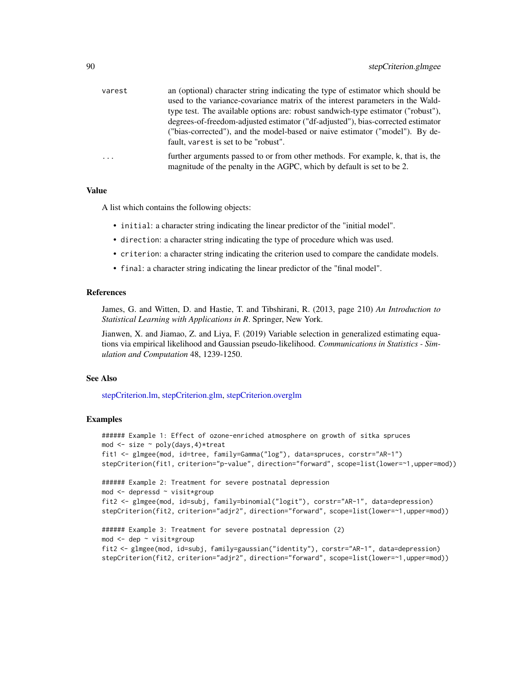| varest   | an (optional) character string indicating the type of estimator which should be  |
|----------|----------------------------------------------------------------------------------|
|          | used to the variance-covariance matrix of the interest parameters in the Wald-   |
|          | type test. The available options are: robust sandwich-type estimator ("robust"), |
|          | degrees-of-freedom-adjusted estimator ("df-adjusted"), bias-corrected estimator  |
|          | ("bias-corrected"), and the model-based or naive estimator ("model"). By de-     |
|          | fault, varest is set to be "robust".                                             |
| $\cdots$ | further arguments passed to or from other methods. For example, k, that is, the  |
|          | magnitude of the penalty in the AGPC, which by default is set to be 2.           |

#### Value

A list which contains the following objects:

- initial: a character string indicating the linear predictor of the "initial model".
- direction: a character string indicating the type of procedure which was used.
- criterion: a character string indicating the criterion used to compare the candidate models.
- final: a character string indicating the linear predictor of the "final model".

### References

James, G. and Witten, D. and Hastie, T. and Tibshirani, R. (2013, page 210) *An Introduction to Statistical Learning with Applications in R*. Springer, New York.

Jianwen, X. and Jiamao, Z. and Liya, F. (2019) Variable selection in generalized estimating equations via empirical likelihood and Gaussian pseudo-likelihood. *Communications in Statistics - Simulation and Computation* 48, 1239-1250.

## See Also

[stepCriterion.lm,](#page-90-0) [stepCriterion.glm,](#page-85-0) [stepCriterion.overglm](#page-92-0)

```
###### Example 1: Effect of ozone-enriched atmosphere on growth of sitka spruces
mod <- size ~ poly(days,4)*treat
fit1 <- glmgee(mod, id=tree, family=Gamma("log"), data=spruces, corstr="AR-1")
stepCriterion(fit1, criterion="p-value", direction="forward", scope=list(lower=~1,upper=mod))
###### Example 2: Treatment for severe postnatal depression
mod <- depressd ~ visit*group
fit2 <- glmgee(mod, id=subj, family=binomial("logit"), corstr="AR-1", data=depression)
stepCriterion(fit2, criterion="adjr2", direction="forward", scope=list(lower=~1,upper=mod))
###### Example 3: Treatment for severe postnatal depression (2)
mod <- dep ~ visit*group
fit2 <- glmgee(mod, id=subj, family=gaussian("identity"), corstr="AR-1", data=depression)
stepCriterion(fit2, criterion="adjr2", direction="forward", scope=list(lower=~1,upper=mod))
```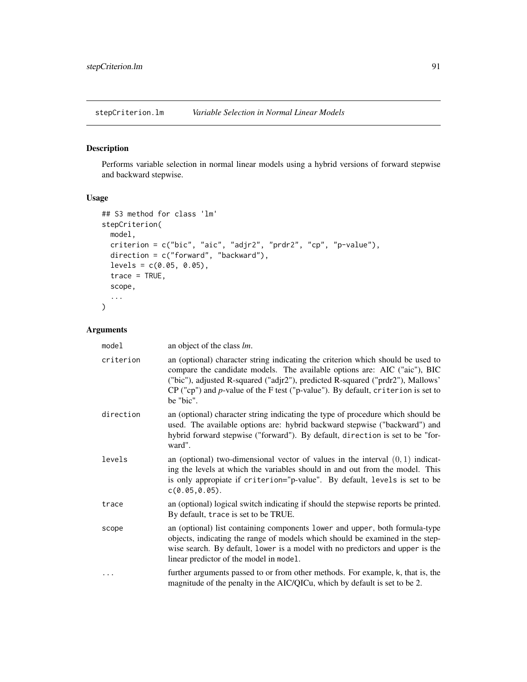<span id="page-90-0"></span>stepCriterion.lm *Variable Selection in Normal Linear Models*

## Description

Performs variable selection in normal linear models using a hybrid versions of forward stepwise and backward stepwise.

## Usage

```
## S3 method for class 'lm'
stepCriterion(
 model,
 criterion = c("bic", "aic", "adjr2", "prdr2", "cp", "p-value"),
 direction = c("forward", "backward"),
 levels = c(0.05, 0.05),
 trace = TRUE,scope,
  ...
)
```
# Arguments

| model     | an object of the class <i>lm</i> .                                                                                                                                                                                                                                                                                                                |
|-----------|---------------------------------------------------------------------------------------------------------------------------------------------------------------------------------------------------------------------------------------------------------------------------------------------------------------------------------------------------|
| criterion | an (optional) character string indicating the criterion which should be used to<br>compare the candidate models. The available options are: AIC ("aic"), BIC<br>("bic"), adjusted R-squared ("adjr2"), predicted R-squared ("prdr2"), Mallows'<br>$CP$ ("cp") and p-value of the F test ("p-value"). By default, criterion is set to<br>be "bic". |
| direction | an (optional) character string indicating the type of procedure which should be<br>used. The available options are: hybrid backward stepwise ("backward") and<br>hybrid forward stepwise ("forward"). By default, direction is set to be "for-<br>ward".                                                                                          |
| levels    | an (optional) two-dimensional vector of values in the interval $(0, 1)$ indicat-<br>ing the levels at which the variables should in and out from the model. This<br>is only appropiate if criterion="p-value". By default, levels is set to be<br>$c(0.05, 0.05)$ .                                                                               |
| trace     | an (optional) logical switch indicating if should the stepwise reports be printed.<br>By default, trace is set to be TRUE.                                                                                                                                                                                                                        |
| scope     | an (optional) list containing components lower and upper, both formula-type<br>objects, indicating the range of models which should be examined in the step-<br>wise search. By default, lower is a model with no predictors and upper is the<br>linear predictor of the model in model.                                                          |
| .         | further arguments passed to or from other methods. For example, k, that is, the<br>magnitude of the penalty in the AIC/QICu, which by default is set to be 2.                                                                                                                                                                                     |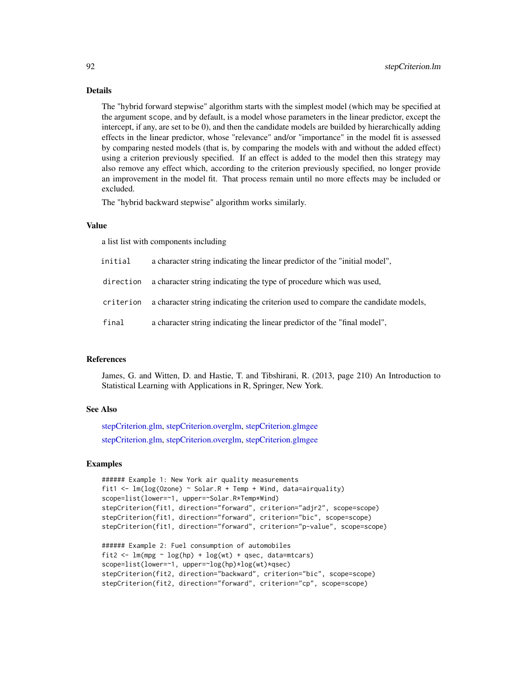## Details

The "hybrid forward stepwise" algorithm starts with the simplest model (which may be specified at the argument scope, and by default, is a model whose parameters in the linear predictor, except the intercept, if any, are set to be 0), and then the candidate models are builded by hierarchically adding effects in the linear predictor, whose "relevance" and/or "importance" in the model fit is assessed by comparing nested models (that is, by comparing the models with and without the added effect) using a criterion previously specified. If an effect is added to the model then this strategy may also remove any effect which, according to the criterion previously specified, no longer provide an improvement in the model fit. That process remain until no more effects may be included or excluded.

The "hybrid backward stepwise" algorithm works similarly.

### Value

a list list with components including

- initial a character string indicating the linear predictor of the "initial model",
- direction a character string indicating the type of procedure which was used,
- criterion a character string indicating the criterion used to compare the candidate models,
- final a character string indicating the linear predictor of the "final model",

## References

James, G. and Witten, D. and Hastie, T. and Tibshirani, R. (2013, page 210) An Introduction to Statistical Learning with Applications in R, Springer, New York.

## See Also

[stepCriterion.glm,](#page-85-0) [stepCriterion.overglm,](#page-92-0) [stepCriterion.glmgee](#page-87-0) [stepCriterion.glm,](#page-85-0) [stepCriterion.overglm,](#page-92-0) [stepCriterion.glmgee](#page-87-0)

```
###### Example 1: New York air quality measurements
fit1 <- lm(log(0zone) \sim Solar.R + Temp + Wind, data=airquality)scope=list(lower=~1, upper=~Solar.R*Temp*Wind)
stepCriterion(fit1, direction="forward", criterion="adjr2", scope=scope)
stepCriterion(fit1, direction="forward", criterion="bic", scope=scope)
stepCriterion(fit1, direction="forward", criterion="p-value", scope=scope)
###### Example 2: Fuel consumption of automobiles
```

```
fit2 <- lm(mpg \sim log(hp) + log(wt) + qsec, data=mtcars)
scope=list(lower=~1, upper=~log(hp)*log(wt)*qsec)
stepCriterion(fit2, direction="backward", criterion="bic", scope=scope)
stepCriterion(fit2, direction="forward", criterion="cp", scope=scope)
```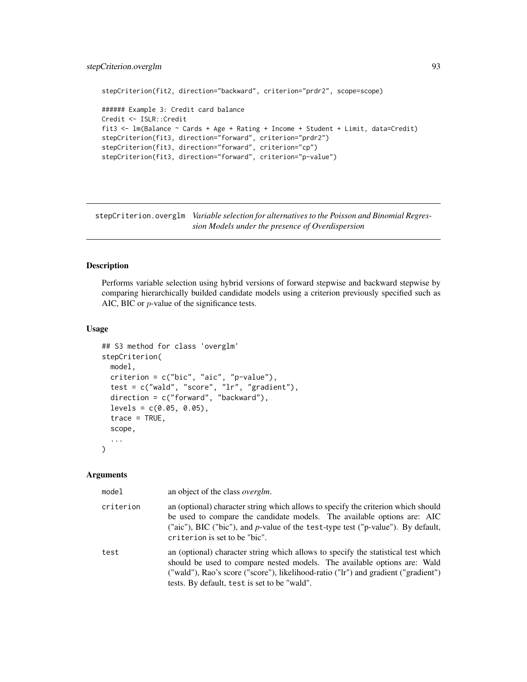```
stepCriterion(fit2, direction="backward", criterion="prdr2", scope=scope)
###### Example 3: Credit card balance
Credit <- ISLR::Credit
fit3 <- lm(Balance ~ Cards + Age + Rating + Income + Student + Limit, data=Credit)
stepCriterion(fit3, direction="forward", criterion="prdr2")
stepCriterion(fit3, direction="forward", criterion="cp")
stepCriterion(fit3, direction="forward", criterion="p-value")
```
<span id="page-92-0"></span>stepCriterion.overglm *Variable selection for alternatives to the Poisson and Binomial Regression Models under the presence of Overdispersion*

### Description

Performs variable selection using hybrid versions of forward stepwise and backward stepwise by comparing hierarchically builded candidate models using a criterion previously specified such as AIC, BIC or p-value of the significance tests.

# Usage

```
## S3 method for class 'overglm'
stepCriterion(
 model,
 criterion = c("bic", "aic", "p-value"),
  test = c("wald", "score", "lr", "gradient"),
  direction = c("forward", "backward"),
  levels = c(0.05, 0.05),
  trace = TRUE,
  scope,
  ...
)
```
#### Arguments

| model     | an object of the class <i>overglm</i> .                                                                                                                                                                                                                                                             |
|-----------|-----------------------------------------------------------------------------------------------------------------------------------------------------------------------------------------------------------------------------------------------------------------------------------------------------|
| criterion | an (optional) character string which allows to specify the criterion which should<br>be used to compare the candidate models. The available options are: AIC<br>("aic"), BIC ("bic"), and <i>p</i> -value of the test-type test ("p-value"). By default,<br>criterion is set to be "bic".           |
| test      | an (optional) character string which allows to specify the statistical test which<br>should be used to compare nested models. The available options are: Wald<br>("wald"), Rao's score ("score"), likelihood-ratio ("lr") and gradient ("gradient")<br>tests. By default, test is set to be "wald". |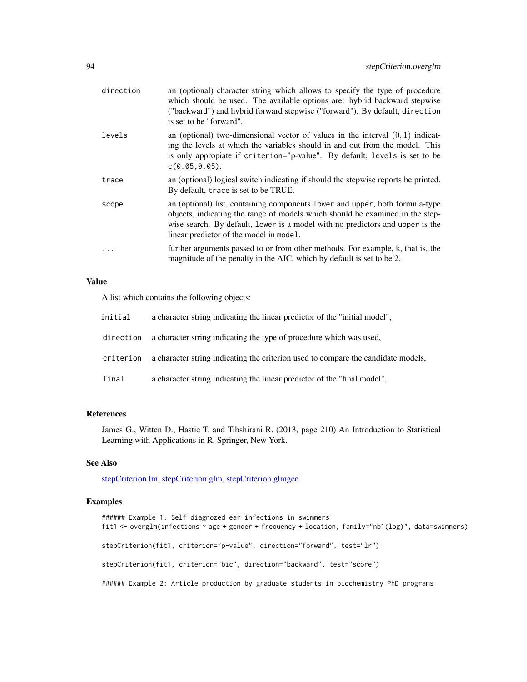| direction | an (optional) character string which allows to specify the type of procedure<br>which should be used. The available options are: hybrid backward stepwise<br>("backward") and hybrid forward stepwise ("forward"). By default, direction<br>is set to be "forward".                       |
|-----------|-------------------------------------------------------------------------------------------------------------------------------------------------------------------------------------------------------------------------------------------------------------------------------------------|
| levels    | an (optional) two-dimensional vector of values in the interval $(0, 1)$ indicat-<br>ing the levels at which the variables should in and out from the model. This<br>is only appropiate if criterion="p-value". By default, levels is set to be<br>$C(0.05, 0.05)$ .                       |
| trace     | an (optional) logical switch indicating if should the stepwise reports be printed.<br>By default, trace is set to be TRUE.                                                                                                                                                                |
| scope     | an (optional) list, containing components lower and upper, both formula-type<br>objects, indicating the range of models which should be examined in the step-<br>wise search. By default, lower is a model with no predictors and upper is the<br>linear predictor of the model in model. |
|           | further arguments passed to or from other methods. For example, k, that is, the<br>magnitude of the penalty in the AIC, which by default is set to be 2.                                                                                                                                  |

## Value

A list which contains the following objects:

| initial   | a character string indicating the linear predictor of the "initial model".        |
|-----------|-----------------------------------------------------------------------------------|
| direction | a character string indicating the type of procedure which was used,               |
| criterion | a character string indicating the criterion used to compare the candidate models, |
| final     | a character string indicating the linear predictor of the "final model".          |

# References

James G., Witten D., Hastie T. and Tibshirani R. (2013, page 210) An Introduction to Statistical Learning with Applications in R. Springer, New York.

# See Also

[stepCriterion.lm,](#page-90-0) [stepCriterion.glm,](#page-85-0) [stepCriterion.glmgee](#page-87-0)

```
###### Example 1: Self diagnozed ear infections in swimmers
fit1 <- overglm(infections ~ age + gender + frequency + location, family="nb1(log)", data=swimmers)
stepCriterion(fit1, criterion="p-value", direction="forward", test="lr")
stepCriterion(fit1, criterion="bic", direction="backward", test="score")
###### Example 2: Article production by graduate students in biochemistry PhD programs
```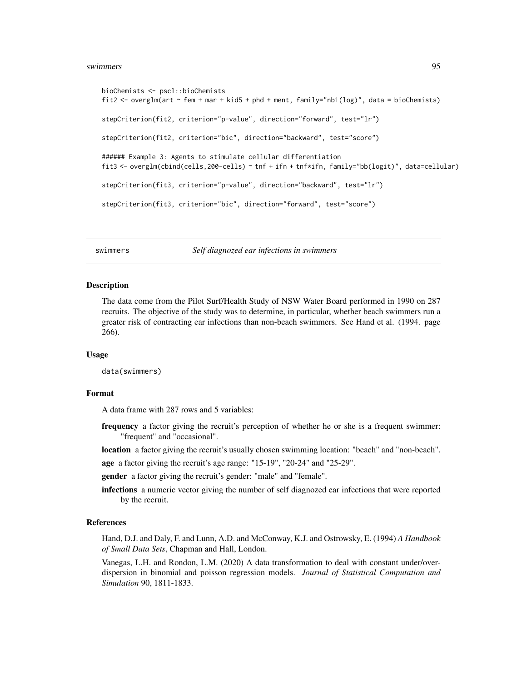### swimmers **95**

```
bioChemists <- pscl::bioChemists
fit2 <- overglm(art ~ fem + mar + kid5 + phd + ment, family="nb1(log)", data = bioChemists)
stepCriterion(fit2, criterion="p-value", direction="forward", test="lr")
stepCriterion(fit2, criterion="bic", direction="backward", test="score")
###### Example 3: Agents to stimulate cellular differentiation
fit3 <- overglm(cbind(cells,200-cells) ~ tnf + ifn + tnf*ifn, family="bb(logit)", data=cellular)
stepCriterion(fit3, criterion="p-value", direction="backward", test="lr")
stepCriterion(fit3, criterion="bic", direction="forward", test="score")
```
swimmers *Self diagnozed ear infections in swimmers*

### **Description**

The data come from the Pilot Surf/Health Study of NSW Water Board performed in 1990 on 287 recruits. The objective of the study was to determine, in particular, whether beach swimmers run a greater risk of contracting ear infections than non-beach swimmers. See Hand et al. (1994. page 266).

### Usage

data(swimmers)

### Format

A data frame with 287 rows and 5 variables:

- frequency a factor giving the recruit's perception of whether he or she is a frequent swimmer: "frequent" and "occasional".
- location a factor giving the recruit's usually chosen swimming location: "beach" and "non-beach".
- age a factor giving the recruit's age range: "15-19", "20-24" and "25-29".

gender a factor giving the recruit's gender: "male" and "female".

infections a numeric vector giving the number of self diagnozed ear infections that were reported by the recruit.

#### References

Hand, D.J. and Daly, F. and Lunn, A.D. and McConway, K.J. and Ostrowsky, E. (1994) *A Handbook of Small Data Sets*, Chapman and Hall, London.

Vanegas, L.H. and Rondon, L.M. (2020) A data transformation to deal with constant under/overdispersion in binomial and poisson regression models. *Journal of Statistical Computation and Simulation* 90, 1811-1833.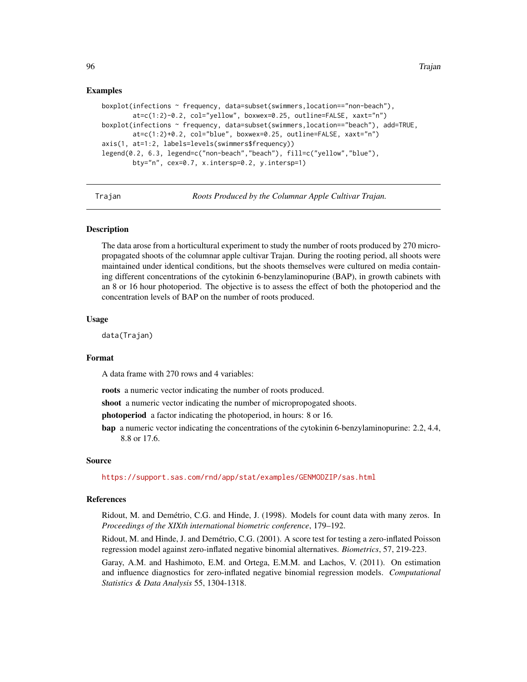```
boxplot(infections ~ frequency, data=subset(swimmers,location=="non-beach"),
        at=c(1:2)-0.2, col="yellow", boxwex=0.25, outline=FALSE, xaxt="n")
boxplot(infections ~ frequency, data=subset(swimmers,location=="beach"), add=TRUE,
       at=c(1:2)+0.2, col="blue", boxwex=0.25, outline=FALSE, xaxt="n")
axis(1, at=1:2, labels=levels(swimmers$frequency))
legend(0.2, 6.3, legend=c("non-beach","beach"), fill=c("yellow","blue"),
       bty="n", cex=0.7, x.intersp=0.2, y.intersp=1)
```
Trajan *Roots Produced by the Columnar Apple Cultivar Trajan.*

### Description

The data arose from a horticultural experiment to study the number of roots produced by 270 micropropagated shoots of the columnar apple cultivar Trajan. During the rooting period, all shoots were maintained under identical conditions, but the shoots themselves were cultured on media containing different concentrations of the cytokinin 6-benzylaminopurine (BAP), in growth cabinets with an 8 or 16 hour photoperiod. The objective is to assess the effect of both the photoperiod and the concentration levels of BAP on the number of roots produced.

#### Usage

data(Trajan)

### Format

A data frame with 270 rows and 4 variables:

roots a numeric vector indicating the number of roots produced.

shoot a numeric vector indicating the number of micropropogated shoots.

photoperiod a factor indicating the photoperiod, in hours: 8 or 16.

bap a numeric vector indicating the concentrations of the cytokinin 6-benzylaminopurine: 2.2, 4.4, 8.8 or 17.6.

#### Source

<https://support.sas.com/rnd/app/stat/examples/GENMODZIP/sas.html>

## References

Ridout, M. and Demétrio, C.G. and Hinde, J. (1998). Models for count data with many zeros. In *Proceedings of the XIXth international biometric conference*, 179–192.

Ridout, M. and Hinde, J. and Demétrio, C.G. (2001). A score test for testing a zero-inflated Poisson regression model against zero-inflated negative binomial alternatives. *Biometrics*, 57, 219-223.

Garay, A.M. and Hashimoto, E.M. and Ortega, E.M.M. and Lachos, V. (2011). On estimation and influence diagnostics for zero-inflated negative binomial regression models. *Computational Statistics & Data Analysis* 55, 1304-1318.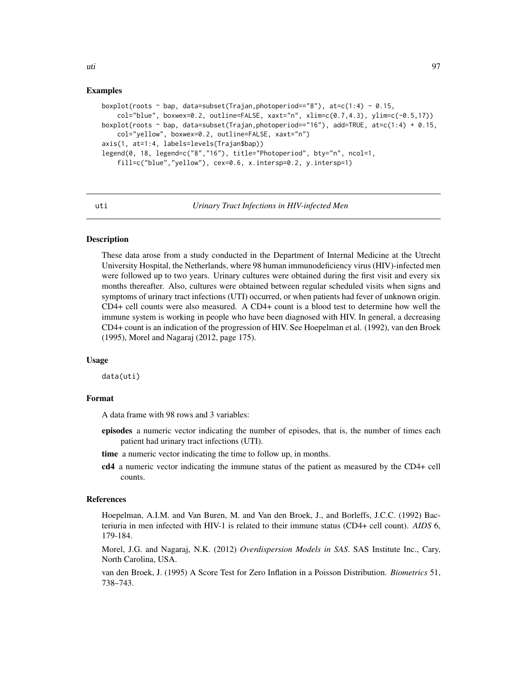```
boxplot(roots \sim bap, data=subset(Trajan,photoperiod=="8"), at=c(1:4) - 0.15,
    col="blue", boxwex=0.2, outline=False, xaxt="n", xlim=c(0.7,4.3), ylim=c(-0.5,17))boxplot(roots \sim bap, data=subset(Trajan,photoperiod=="16"), add=TRUE, at=c(1:4) + 0.15,
    col="yellow", boxwex=0.2, outline=FALSE, xaxt="n")
axis(1, at=1:4, labels=levels(Trajan$bap))
legend(0, 18, legend=c("8","16"), title="Photoperiod", bty="n", ncol=1,
    fill=c("blue","yellow"), cex=0.6, x.intersp=0.2, y.intersp=1)
```
uti *Urinary Tract Infections in HIV-infected Men*

## Description

These data arose from a study conducted in the Department of Internal Medicine at the Utrecht University Hospital, the Netherlands, where 98 human immunodeficiency virus (HIV)-infected men were followed up to two years. Urinary cultures were obtained during the first visit and every six months thereafter. Also, cultures were obtained between regular scheduled visits when signs and symptoms of urinary tract infections (UTI) occurred, or when patients had fever of unknown origin. CD4+ cell counts were also measured. A CD4+ count is a blood test to determine how well the immune system is working in people who have been diagnosed with HIV. In general, a decreasing CD4+ count is an indication of the progression of HIV. See Hoepelman et al. (1992), van den Broek (1995), Morel and Nagaraj (2012, page 175).

#### Usage

data(uti)

## Format

A data frame with 98 rows and 3 variables:

- episodes a numeric vector indicating the number of episodes, that is, the number of times each patient had urinary tract infections (UTI).
- time a numeric vector indicating the time to follow up, in months.
- cd4 a numeric vector indicating the immune status of the patient as measured by the CD4+ cell counts.

#### References

Hoepelman, A.I.M. and Van Buren, M. and Van den Broek, J., and Borleffs, J.C.C. (1992) Bacteriuria in men infected with HIV-1 is related to their immune status (CD4+ cell count). *AIDS* 6, 179-184.

Morel, J.G. and Nagaraj, N.K. (2012) *Overdispersion Models in SAS*. SAS Institute Inc., Cary, North Carolina, USA.

van den Broek, J. (1995) A Score Test for Zero Inflation in a Poisson Distribution. *Biometrics* 51, 738–743.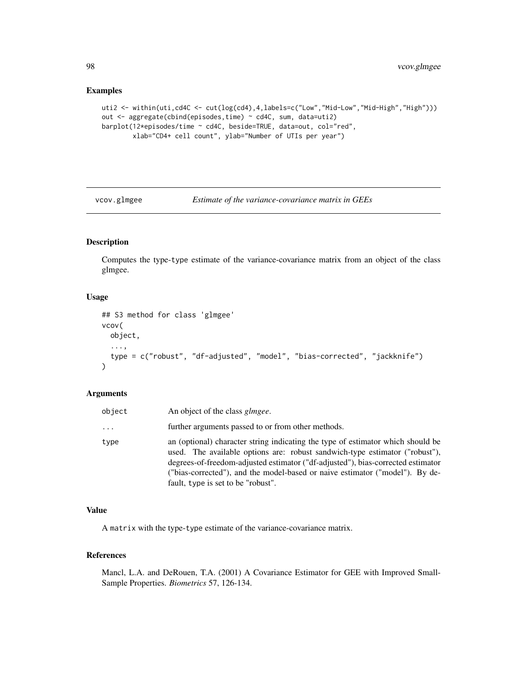```
uti2 <- within(uti,cd4C <- cut(log(cd4),4,labels=c("Low","Mid-Low","Mid-High","High")))
out <- aggregate(cbind(episodes,time) ~ cd4C, sum, data=uti2)
barplot(12*episodes/time ~ cd4C, beside=TRUE, data=out, col="red",
        xlab="CD4+ cell count", ylab="Number of UTIs per year")
```
vcov.glmgee *Estimate of the variance-covariance matrix in GEEs*

# Description

Computes the type-type estimate of the variance-covariance matrix from an object of the class glmgee.

### Usage

```
## S3 method for class 'glmgee'
vcov(
  object,
  ...,
  type = c("robust", "df-adjusted", "model", "bias-corrected", "jackknife")
\lambda
```
## Arguments

| object | An object of the class <i>glmgee</i> .                                                                                                                                                                                                                                                                                                                                  |
|--------|-------------------------------------------------------------------------------------------------------------------------------------------------------------------------------------------------------------------------------------------------------------------------------------------------------------------------------------------------------------------------|
| .      | further arguments passed to or from other methods.                                                                                                                                                                                                                                                                                                                      |
| type   | an (optional) character string indicating the type of estimator which should be<br>used. The available options are: robust sandwich-type estimator ("robust"),<br>degrees-of-freedom-adjusted estimator ("df-adjusted"), bias-corrected estimator<br>("bias-corrected"), and the model-based or naive estimator ("model"). By de-<br>fault, type is set to be "robust". |

## Value

A matrix with the type-type estimate of the variance-covariance matrix.

# References

Mancl, L.A. and DeRouen, T.A. (2001) A Covariance Estimator for GEE with Improved Small-Sample Properties. *Biometrics* 57, 126-134.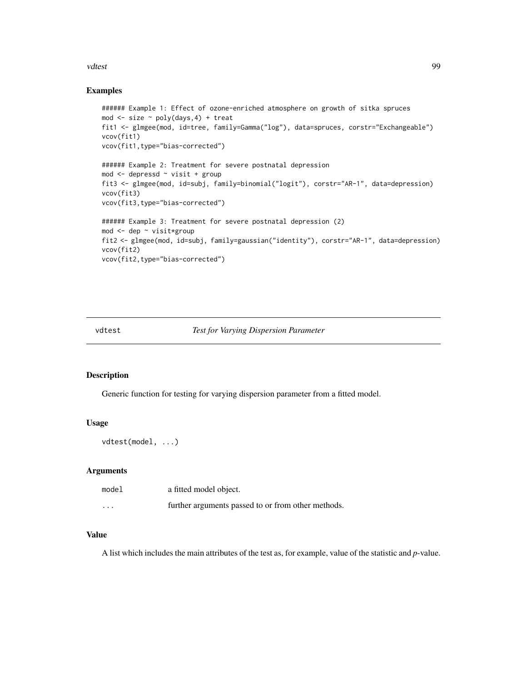### vdtest 1999 - 1999 - 1999 - 1999 - 1999 - 1999 - 1999 - 1999 - 1999 - 1999 - 1999 - 1999 - 1999 - 1999 - 1999 -

## Examples

```
###### Example 1: Effect of ozone-enriched atmosphere on growth of sitka spruces
mod \le size \sim poly(days, 4) + treat
fit1 <- glmgee(mod, id=tree, family=Gamma("log"), data=spruces, corstr="Exchangeable")
vcov(fit1)
vcov(fit1,type="bias-corrected")
###### Example 2: Treatment for severe postnatal depression
mod <- depressd ~ visit + group
fit3 <- glmgee(mod, id=subj, family=binomial("logit"), corstr="AR-1", data=depression)
vcov(fit3)
vcov(fit3,type="bias-corrected")
###### Example 3: Treatment for severe postnatal depression (2)
mod <- dep ~ visit*group
fit2 <- glmgee(mod, id=subj, family=gaussian("identity"), corstr="AR-1", data=depression)
vcov(fit2)
vcov(fit2,type="bias-corrected")
```
## vdtest *Test for Varying Dispersion Parameter*

#### Description

Generic function for testing for varying dispersion parameter from a fitted model.

## Usage

vdtest(model, ...)

### Arguments

| model    | a fitted model object.                             |
|----------|----------------------------------------------------|
| $\cdots$ | further arguments passed to or from other methods. |

## Value

A list which includes the main attributes of the test as, for example, value of the statistic and *p*-value.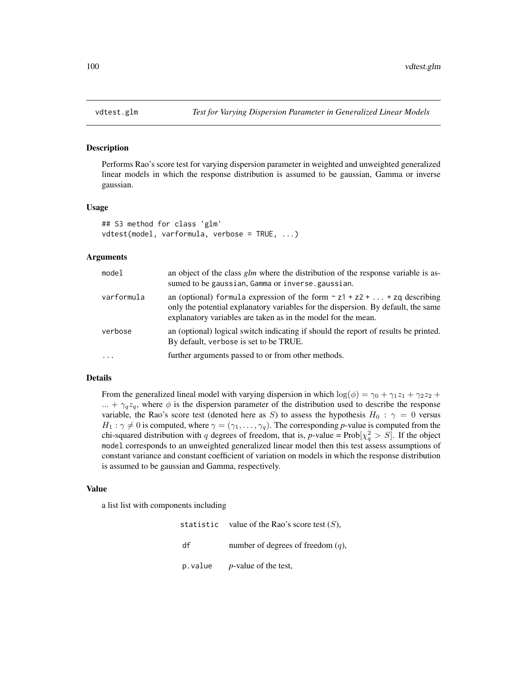### Description

Performs Rao's score test for varying dispersion parameter in weighted and unweighted generalized linear models in which the response distribution is assumed to be gaussian, Gamma or inverse gaussian.

## Usage

```
## S3 method for class 'glm'
vdtest(model, varformula, verbose = TRUE, ...)
```
### **Arguments**

| model      | an object of the class glm where the distribution of the response variable is as-<br>sumed to be gaussian, Gamma or inverse.gaussian.                                                                                                |
|------------|--------------------------------------------------------------------------------------------------------------------------------------------------------------------------------------------------------------------------------------|
| varformula | an (optional) formula expression of the form $\sim$ z1 + z2 +  + zq describing<br>only the potential explanatory variables for the dispersion. By default, the same<br>explanatory variables are taken as in the model for the mean. |
| verbose    | an (optional) logical switch indicating if should the report of results be printed.<br>By default, verbose is set to be TRUE.                                                                                                        |
| $\ddots$ . | further arguments passed to or from other methods.                                                                                                                                                                                   |

## Details

From the generalized lineal model with varying dispersion in which  $\log(\phi) = \gamma_0 + \gamma_1 z_1 + \gamma_2 z_2 +$  $... + \gamma_q z_q$ , where  $\phi$  is the dispersion parameter of the distribution used to describe the response variable, the Rao's score test (denoted here as S) to assess the hypothesis  $H_0$ :  $\gamma = 0$  versus  $H_1: \gamma \neq 0$  is computed, where  $\gamma = (\gamma_1, \dots, \gamma_q)$ . The corresponding *p*-value is computed from the chi-squared distribution with q degrees of freedom, that is,  $p$ -value =  $Prob[\chi^2_q > S]$ . If the object model corresponds to an unweighted generalized linear model then this test assess assumptions of constant variance and constant coefficient of variation on models in which the response distribution is assumed to be gaussian and Gamma, respectively.

#### Value

a list list with components including

statistic value of the Rao's score test  $(S)$ , df number of degrees of freedom  $(q)$ , p.value *p*-value of the test,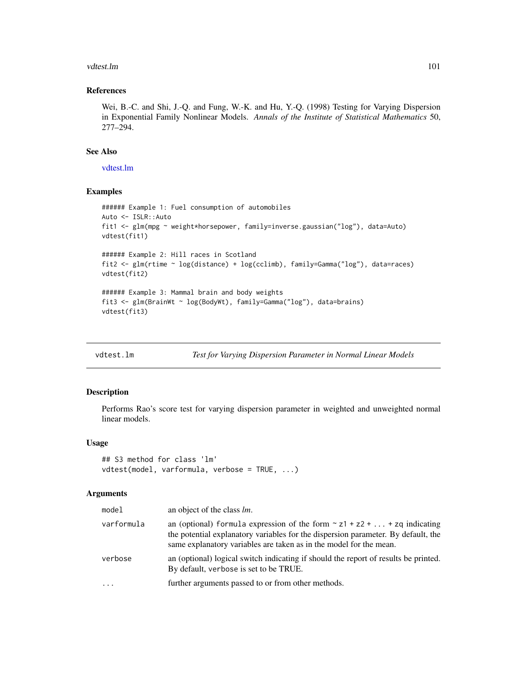### vdtest.lm 101

### References

Wei, B.-C. and Shi, J.-Q. and Fung, W.-K. and Hu, Y.-Q. (1998) Testing for Varying Dispersion in Exponential Family Nonlinear Models. *Annals of the Institute of Statistical Mathematics* 50, 277–294.

## See Also

[vdtest.lm](#page-100-0)

## Examples

```
###### Example 1: Fuel consumption of automobiles
Auto <- ISLR::Auto
fit1 <- glm(mpg ~ weight*horsepower, family=inverse.gaussian("log"), data=Auto)
vdtest(fit1)
###### Example 2: Hill races in Scotland
fit2 <- glm(rtime ~ log(distance) + log(cclimb), family=Gamma("log"), data=races)
vdtest(fit2)
###### Example 3: Mammal brain and body weights
fit3 <- glm(BrainWt ~ log(BodyWt), family=Gamma("log"), data=brains)
vdtest(fit3)
```
<span id="page-100-0"></span>

| vdtest.lm | Test for Varying Dispersion Parameter in Normal Linear Models |  |
|-----------|---------------------------------------------------------------|--|
|           |                                                               |  |

# Description

Performs Rao's score test for varying dispersion parameter in weighted and unweighted normal linear models.

### Usage

```
## S3 method for class 'lm'
vdtest(model, varformula, verbose = TRUE, ...)
```
### Arguments

| model      | an object of the class <i>lm</i> .                                                                                                                                                                                                        |
|------------|-------------------------------------------------------------------------------------------------------------------------------------------------------------------------------------------------------------------------------------------|
| varformula | an (optional) formula expression of the form $\sim$ z1 + z2 +  + zq indicating<br>the potential explanatory variables for the dispersion parameter. By default, the<br>same explanatory variables are taken as in the model for the mean. |
| verbose    | an (optional) logical switch indicating if should the report of results be printed.<br>By default, verbose is set to be TRUE.                                                                                                             |
| $\cdot$    | further arguments passed to or from other methods.                                                                                                                                                                                        |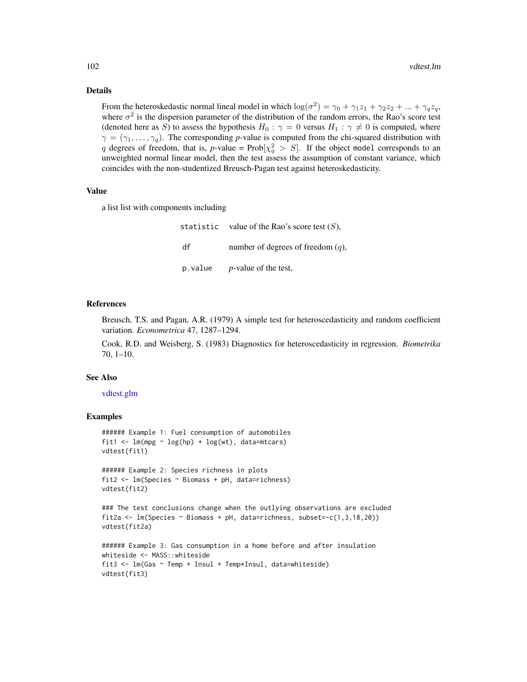### Details

From the heteroskedastic normal lineal model in which  $\log(\sigma^2) = \gamma_0 + \gamma_1 z_1 + \gamma_2 z_2 + ... + \gamma_q z_q$ , where  $\sigma^2$  is the dispersion parameter of the distribution of the random errors, the Rao's score test (denoted here as S) to assess the hypothesis  $H_0$ :  $\gamma = 0$  versus  $H_1$ :  $\gamma \neq 0$  is computed, where  $\gamma = (\gamma_1, \dots, \gamma_q)$ . The corresponding *p*-value is computed from the chi-squared distribution with q degrees of freedom, that is,  $p$ -value =  $Prob[\chi_q^2 > S]$ . If the object model corresponds to an unweighted normal linear model, then the test assess the assumption of constant variance, which coincides with the non-studentized Breusch-Pagan test against heteroskedasticity.

#### Value

a list list with components including

statistic value of the Rao's score test  $(S)$ , df number of degrees of freedom  $(q)$ , p.value *p*-value of the test,

#### References

Breusch, T.S. and Pagan, A.R. (1979) A simple test for heteroscedasticity and random coefficient variation. *Econometrica* 47, 1287–1294.

Cook, R.D. and Weisberg, S. (1983) Diagnostics for heteroscedasticity in regression. *Biometrika* 70, 1–10.

### See Also

## [vdtest.glm](#page-99-0)

```
###### Example 1: Fuel consumption of automobiles
fit1 <- lm(mpg \sim log(hp) + log(wt)), data=mtcars)
vdtest(fit1)
```

```
###### Example 2: Species richness in plots
fit2 <- lm(Species ~ Biomass + pH, data=richness)
vdtest(fit2)
```

```
### The test conclusions change when the outlying observations are excluded
fit2a \leq - \ln(\text{Species} \geq \text{Biomass} + \text{pH}, \text{data=richness}, \text{subset=-(1,3,18,20)})vdtest(fit2a)
```

```
###### Example 3: Gas consumption in a home before and after insulation
whiteside <- MASS::whiteside
fit3 <- lm(Gas ~ Temp + Insul + Temp*Insul, data=whiteside)
vdtest(fit3)
```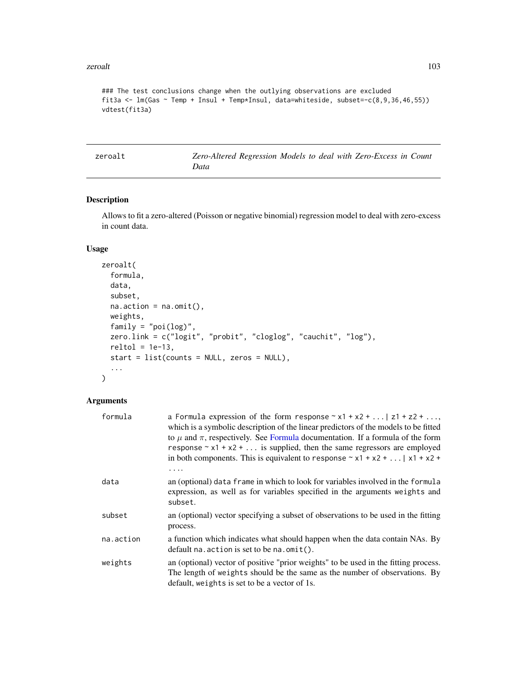### zeroalt to a state of the state of the state of the state of the state of the state of the state of the state of the state of the state of the state of the state of the state of the state of the state of the state of the s

```
### The test conclusions change when the outlying observations are excluded
fit3a <- lm(Gas \sim Temp + Insul + Temp *Insul, data=whiteside, subset = c(8,9,36,46,55))vdtest(fit3a)
```
zeroalt *Zero-Altered Regression Models to deal with Zero-Excess in Count Data*

## Description

Allows to fit a zero-altered (Poisson or negative binomial) regression model to deal with zero-excess in count data.

## Usage

```
zeroalt(
  formula,
  data,
  subset,
 na. action = na. omit(),weights,
  family = "poi(log)",
  zero.link = c("logit", "probit", "cloglog", "cauchit", "log"),
 reltol = 1e-13,
  start = list(counts = NULL, zeros = NULL),
  ...
)
```
## Arguments

| formula   | a Formula expression of the form response $\sim x1 + x2 + $ $z1 + z2 + $<br>which is a symbolic description of the linear predictors of the models to be fitted<br>to $\mu$ and $\pi$ , respectively. See Formula documentation. If a formula of the form<br>response $\sim x1 + x2 + $ is supplied, then the same regressors are employed<br>in both components. This is equivalent to response $\sim x1 + x2 +   x1 + x2 + $ |
|-----------|--------------------------------------------------------------------------------------------------------------------------------------------------------------------------------------------------------------------------------------------------------------------------------------------------------------------------------------------------------------------------------------------------------------------------------|
|           |                                                                                                                                                                                                                                                                                                                                                                                                                                |
| data      | an (optional) data frame in which to look for variables involved in the formula<br>expression, as well as for variables specified in the arguments weights and<br>subset.                                                                                                                                                                                                                                                      |
| subset    | an (optional) vector specifying a subset of observations to be used in the fitting<br>process.                                                                                                                                                                                                                                                                                                                                 |
| na.action | a function which indicates what should happen when the data contain NAs. By<br>default na. $\arctan$ is set to be na. $\text{omit}()$ .                                                                                                                                                                                                                                                                                        |
| weights   | an (optional) vector of positive "prior weights" to be used in the fitting process.<br>The length of weights should be the same as the number of observations. By<br>default, weights is set to be a vector of 1s.                                                                                                                                                                                                             |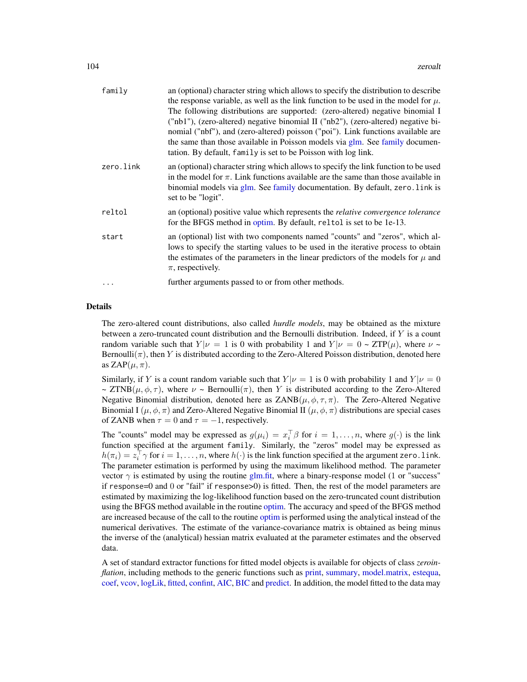| family    | an (optional) character string which allows to specify the distribution to describe<br>the response variable, as well as the link function to be used in the model for $\mu$ .<br>The following distributions are supported: (zero-altered) negative binomial I<br>("nb1"), (zero-altered) negative binomial II ("nb2"), (zero-altered) negative bi-<br>nomial ("nbf"), and (zero-altered) poisson ("poi"). Link functions available are |
|-----------|------------------------------------------------------------------------------------------------------------------------------------------------------------------------------------------------------------------------------------------------------------------------------------------------------------------------------------------------------------------------------------------------------------------------------------------|
|           | the same than those available in Poisson models via glm. See family documen-<br>tation. By default, family is set to be Poisson with log link.                                                                                                                                                                                                                                                                                           |
| zero.link | an (optional) character string which allows to specify the link function to be used<br>in the model for $\pi$ . Link functions available are the same than those available in<br>binomial models via glm. See family documentation. By default, zero. link is<br>set to be "logit".                                                                                                                                                      |
| reltol    | an (optional) positive value which represents the <i>relative convergence tolerance</i><br>for the BFGS method in optim. By default, reltol is set to be 1e-13.                                                                                                                                                                                                                                                                          |
| start     | an (optional) list with two components named "counts" and "zeros", which al-<br>lows to specify the starting values to be used in the iterative process to obtain<br>the estimates of the parameters in the linear predictors of the models for $\mu$ and<br>$\pi$ , respectively.                                                                                                                                                       |
| .         | further arguments passed to or from other methods.                                                                                                                                                                                                                                                                                                                                                                                       |
|           |                                                                                                                                                                                                                                                                                                                                                                                                                                          |

### Details

The zero-altered count distributions, also called *hurdle models*, may be obtained as the mixture between a zero-truncated count distribution and the Bernoulli distribution. Indeed, if  $Y$  is a count random variable such that  $Y|\nu = 1$  is 0 with probability 1 and  $Y|\nu = 0 \sim ZTP(\mu)$ , where  $\nu \sim$ Bernoulli( $\pi$ ), then Y is distributed according to the Zero-Altered Poisson distribution, denoted here as ZAP $(\mu, \pi)$ .

Similarly, if Y is a count random variable such that  $Y|\nu = 1$  is 0 with probability 1 and  $Y|\nu = 0$  $\sim ZTNB(\mu, \phi, \tau)$ , where  $\nu \sim$  Bernoulli $(\pi)$ , then Y is distributed according to the Zero-Altered Negative Binomial distribution, denoted here as  $ZANB(\mu, \phi, \tau, \pi)$ . The Zero-Altered Negative Binomial I  $(\mu, \phi, \pi)$  and Zero-Altered Negative Binomial II  $(\mu, \phi, \pi)$  distributions are special cases of ZANB when  $\tau = 0$  and  $\tau = -1$ , respectively.

The "counts" model may be expressed as  $g(\mu_i) = x_i^{\top} \beta$  for  $i = 1, ..., n$ , where  $g(\cdot)$  is the link function specified at the argument family. Similarly, the "zeros" model may be expressed as  $h(\pi_i) = z_i^\top \gamma$  for  $i = 1, \dots, n$ , where  $h(\cdot)$  is the link function specified at the argument zero. 1 ink. The parameter estimation is performed by using the maximum likelihood method. The parameter vector  $\gamma$  is estimated by using the routine [glm.fit,](#page-0-0) where a binary-response model (1 or "success" if response=0 and 0 or "fail" if response>0) is fitted. Then, the rest of the model parameters are estimated by maximizing the log-likelihood function based on the zero-truncated count distribution using the BFGS method available in the routine [optim.](#page-0-0) The accuracy and speed of the BFGS method are increased because of the call to the routine [optim](#page-0-0) is performed using the analytical instead of the numerical derivatives. The estimate of the variance-covariance matrix is obtained as being minus the inverse of the (analytical) hessian matrix evaluated at the parameter estimates and the observed data.

A set of standard extractor functions for fitted model objects is available for objects of class *zeroinflation*, including methods to the generic functions such as [print,](#page-0-0) [summary,](#page-0-0) [model.matrix,](#page-0-0) [estequa,](#page-37-0) [coef,](#page-0-0) [vcov,](#page-0-0) [logLik,](#page-0-0) [fitted,](#page-0-0) [confint,](#page-0-0) [AIC,](#page-0-0) [BIC](#page-0-0) and [predict.](#page-0-0) In addition, the model fitted to the data may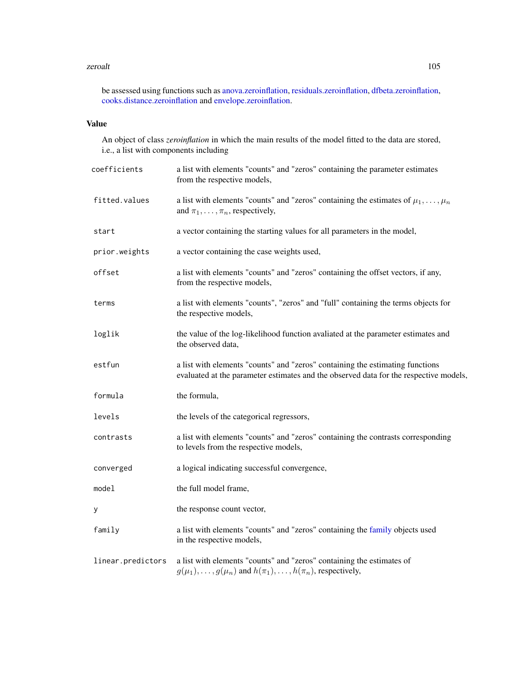### zeroalt to a state of the state of the state of the state of the state of the state of the state of the state of the state of the state of the state of the state of the state of the state of the state of the state of the s

be assessed using functions such as [anova.zeroinflation,](#page-7-0) [residuals.zeroinflation,](#page-75-0) [dfbeta.zeroinflation,](#page-26-0) [cooks.distance.zeroinflation](#page-20-0) and [envelope.zeroinflation.](#page-35-0)

# Value

An object of class *zeroinflation* in which the main results of the model fitted to the data are stored, i.e., a list with components including

| coefficients      | a list with elements "counts" and "zeros" containing the parameter estimates<br>from the respective models,                                                            |
|-------------------|------------------------------------------------------------------------------------------------------------------------------------------------------------------------|
| fitted.values     | a list with elements "counts" and "zeros" containing the estimates of $\mu_1, \ldots, \mu_n$<br>and $\pi_1, \ldots, \pi_n$ , respectively,                             |
| start             | a vector containing the starting values for all parameters in the model,                                                                                               |
| prior.weights     | a vector containing the case weights used,                                                                                                                             |
| offset            | a list with elements "counts" and "zeros" containing the offset vectors, if any,<br>from the respective models,                                                        |
| terms             | a list with elements "counts", "zeros" and "full" containing the terms objects for<br>the respective models,                                                           |
| loglik            | the value of the log-likelihood function avaliated at the parameter estimates and<br>the observed data,                                                                |
| estfun            | a list with elements "counts" and "zeros" containing the estimating functions<br>evaluated at the parameter estimates and the observed data for the respective models, |
| formula           | the formula,                                                                                                                                                           |
| levels            | the levels of the categorical regressors,                                                                                                                              |
| contrasts         | a list with elements "counts" and "zeros" containing the contrasts corresponding<br>to levels from the respective models,                                              |
| converged         | a logical indicating successful convergence,                                                                                                                           |
| model             | the full model frame,                                                                                                                                                  |
| У                 | the response count vector,                                                                                                                                             |
| family            | a list with elements "counts" and "zeros" containing the family objects used<br>in the respective models,                                                              |
| linear.predictors | a list with elements "counts" and "zeros" containing the estimates of<br>$g(\mu_1), \ldots, g(\mu_n)$ and $h(\pi_1), \ldots, h(\pi_n)$ , respectively,                 |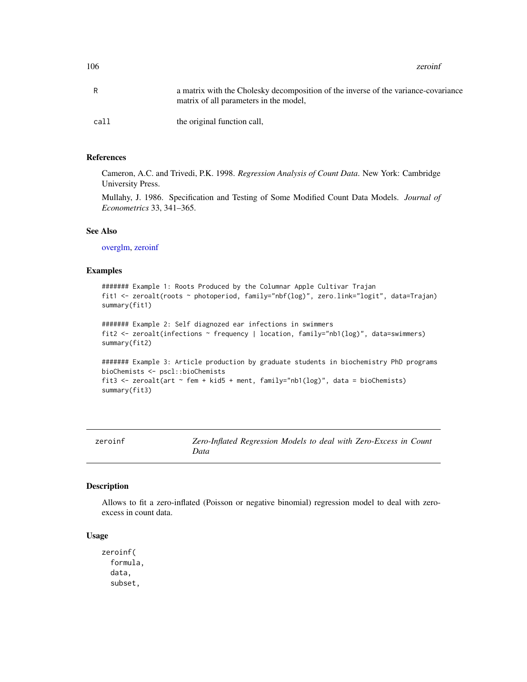106 zeroinf

| R    | a matrix with the Cholesky decomposition of the inverse of the variance-covariance<br>matrix of all parameters in the model, |
|------|------------------------------------------------------------------------------------------------------------------------------|
| call | the original function call,                                                                                                  |

## References

Cameron, A.C. and Trivedi, P.K. 1998. *Regression Analysis of Count Data*. New York: Cambridge University Press.

Mullahy, J. 1986. Specification and Testing of Some Modified Count Data Models. *Journal of Econometrics* 33, 341–365.

### See Also

[overglm,](#page-65-0) [zeroinf](#page-105-0)

## Examples

```
####### Example 1: Roots Produced by the Columnar Apple Cultivar Trajan
fit1 <- zeroalt(roots ~ photoperiod, family="nbf(log)", zero.link="logit", data=Trajan)
summary(fit1)
```

```
####### Example 2: Self diagnozed ear infections in swimmers
fit2 <- zeroalt(infections ~ frequency | location, family="nb1(log)", data=swimmers)
summary(fit2)
```

```
####### Example 3: Article production by graduate students in biochemistry PhD programs
bioChemists <- pscl::bioChemists
fit3 <- zeroalt(art ~ fem + kid5 + ment, family="nb1(log)", data = bioChemists)
summary(fit3)
```
<span id="page-105-0"></span>zeroinf *Zero-Inflated Regression Models to deal with Zero-Excess in Count Data*

### Description

Allows to fit a zero-inflated (Poisson or negative binomial) regression model to deal with zeroexcess in count data.

### Usage

zeroinf( formula, data, subset,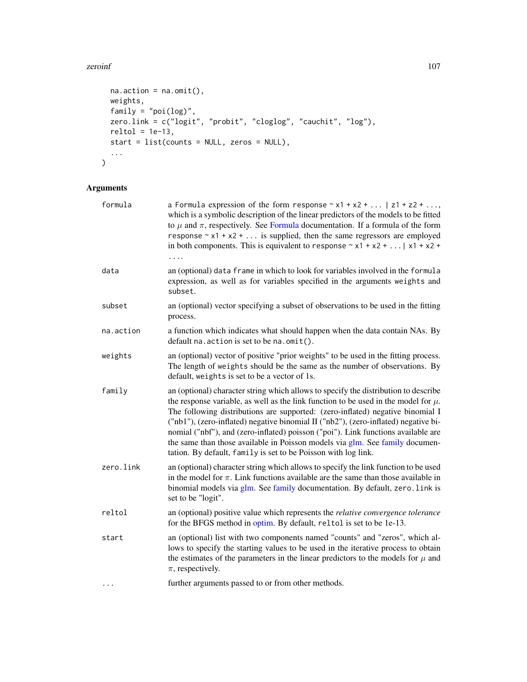## zeroinf and the set of the set of the set of the set of the set of the set of the set of the set of the set of the set of the set of the set of the set of the set of the set of the set of the set of the set of the set of t

```
na.action = na.omit(),weights,
 family = "poi(log)",
 zero.link = c("logit", "probit", "cloglog", "cauchit", "log"),
 reltol = 1e-13,start = list(counts = NULL, zeros = NULL),
 ...
\lambda
```
# Arguments

| formula   | a Formula expression of the form response $\sim x1 + x2 + $   z1 + z2 +<br>which is a symbolic description of the linear predictors of the models to be fitted<br>to $\mu$ and $\pi$ , respectively. See Formula documentation. If a formula of the form<br>response $\sim x1 + x2 + $ is supplied, then the same regressors are employed<br>in both components. This is equivalent to response $\sim x1 + x2 + $   $x1 + x2 + $                                                                                                                                                               |
|-----------|------------------------------------------------------------------------------------------------------------------------------------------------------------------------------------------------------------------------------------------------------------------------------------------------------------------------------------------------------------------------------------------------------------------------------------------------------------------------------------------------------------------------------------------------------------------------------------------------|
| data      | an (optional) data frame in which to look for variables involved in the formula<br>expression, as well as for variables specified in the arguments weights and<br>subset.                                                                                                                                                                                                                                                                                                                                                                                                                      |
| subset    | an (optional) vector specifying a subset of observations to be used in the fitting<br>process.                                                                                                                                                                                                                                                                                                                                                                                                                                                                                                 |
| na.action | a function which indicates what should happen when the data contain NAs. By<br>default $na$ . $action$ is set to be $na$ . $omit()$ .                                                                                                                                                                                                                                                                                                                                                                                                                                                          |
| weights   | an (optional) vector of positive "prior weights" to be used in the fitting process.<br>The length of weights should be the same as the number of observations. By<br>default, weights is set to be a vector of 1s.                                                                                                                                                                                                                                                                                                                                                                             |
| family    | an (optional) character string which allows to specify the distribution to describe<br>the response variable, as well as the link function to be used in the model for $\mu$ .<br>The following distributions are supported: (zero-inflated) negative binomial I<br>("nb1"), (zero-inflated) negative binomial II ("nb2"), (zero-inflated) negative bi-<br>nomial ("nbf"), and (zero-inflated) poisson ("poi"). Link functions available are<br>the same than those available in Poisson models via glm. See family documen-<br>tation. By default, family is set to be Poisson with log link. |
| zero.link | an (optional) character string which allows to specify the link function to be used<br>in the model for $\pi$ . Link functions available are the same than those available in<br>binomial models via glm. See family documentation. By default, zero. link is<br>set to be "logit".                                                                                                                                                                                                                                                                                                            |
| reltol    | an (optional) positive value which represents the <i>relative convergence tolerance</i><br>for the BFGS method in optim. By default, reltol is set to be 1e-13.                                                                                                                                                                                                                                                                                                                                                                                                                                |
| start     | an (optional) list with two components named "counts" and "zeros", which al-<br>lows to specify the starting values to be used in the iterative process to obtain<br>the estimates of the parameters in the linear predictors to the models for $\mu$ and<br>$\pi$ , respectively.                                                                                                                                                                                                                                                                                                             |
|           | further arguments passed to or from other methods.                                                                                                                                                                                                                                                                                                                                                                                                                                                                                                                                             |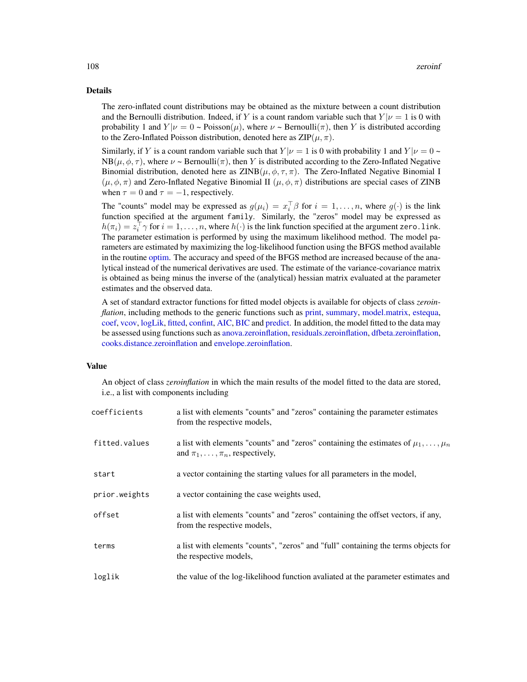### Details

The zero-inflated count distributions may be obtained as the mixture between a count distribution and the Bernoulli distribution. Indeed, if Y is a count random variable such that  $Y|\nu = 1$  is 0 with probability 1 and  $Y|\nu = 0$  ~ Poisson( $\mu$ ), where  $\nu$  ~ Bernoulli( $\pi$ ), then Y is distributed according to the Zero-Inflated Poisson distribution, denoted here as  $\text{ZIP}(\mu, \pi)$ .

Similarly, if Y is a count random variable such that  $Y|\nu = 1$  is 0 with probability 1 and  $Y|\nu = 0$  ~  $NB(\mu, \phi, \tau)$ , where  $\nu \sim \text{Bernoulli}(\tau)$ , then Y is distributed according to the Zero-Inflated Negative Binomial distribution, denoted here as  $ZINB(\mu, \phi, \tau, \pi)$ . The Zero-Inflated Negative Binomial I  $(\mu, \phi, \pi)$  and Zero-Inflated Negative Binomial II  $(\mu, \phi, \pi)$  distributions are special cases of ZINB when  $\tau = 0$  and  $\tau = -1$ , respectively.

The "counts" model may be expressed as  $g(\mu_i) = x_i^{\top} \beta$  for  $i = 1, ..., n$ , where  $g(\cdot)$  is the link function specified at the argument family. Similarly, the "zeros" model may be expressed as  $h(\pi_i) = z_i^\top \gamma$  for  $i = 1, \dots, n$ , where  $h(\cdot)$  is the link function specified at the argument zero. 1 ink. The parameter estimation is performed by using the maximum likelihood method. The model parameters are estimated by maximizing the log-likelihood function using the BFGS method available in the routine [optim.](#page-0-0) The accuracy and speed of the BFGS method are increased because of the analytical instead of the numerical derivatives are used. The estimate of the variance-covariance matrix is obtained as being minus the inverse of the (analytical) hessian matrix evaluated at the parameter estimates and the observed data.

A set of standard extractor functions for fitted model objects is available for objects of class *zeroinflation*, including methods to the generic functions such as [print,](#page-0-0) [summary,](#page-0-0) [model.matrix,](#page-0-0) [estequa,](#page-37-0) [coef,](#page-0-0) [vcov,](#page-0-0) [logLik,](#page-0-0) [fitted,](#page-0-0) [confint,](#page-0-0) [AIC,](#page-0-0) [BIC](#page-0-0) and [predict.](#page-0-0) In addition, the model fitted to the data may be assessed using functions such as [anova.zeroinflation,](#page-7-0) [residuals.zeroinflation,](#page-75-0) [dfbeta.zeroinflation,](#page-26-0) [cooks.distance.zeroinflation](#page-20-0) and [envelope.zeroinflation.](#page-35-0)

### Value

An object of class *zeroinflation* in which the main results of the model fitted to the data are stored, i.e., a list with components including

| coefficients  | a list with elements "counts" and "zeros" containing the parameter estimates<br>from the respective models,                                |
|---------------|--------------------------------------------------------------------------------------------------------------------------------------------|
| fitted.values | a list with elements "counts" and "zeros" containing the estimates of $\mu_1, \ldots, \mu_n$<br>and $\pi_1, \ldots, \pi_n$ , respectively, |
| start         | a vector containing the starting values for all parameters in the model,                                                                   |
| prior.weights | a vector containing the case weights used,                                                                                                 |
| offset        | a list with elements "counts" and "zeros" containing the offset vectors, if any,<br>from the respective models,                            |
| terms         | a list with elements "counts", "zeros" and "full" containing the terms objects for<br>the respective models,                               |
| loglik        | the value of the log-likelihood function avaliated at the parameter estimates and                                                          |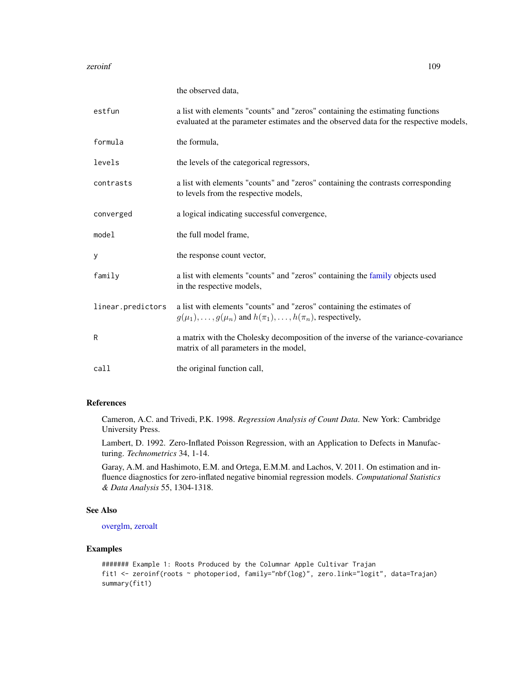#### <span id="page-108-0"></span>zeroinf and the set of the set of the set of the set of the set of the set of the set of the set of the set of the set of the set of the set of the set of the set of the set of the set of the set of the set of the set of t

|                   | the observed data,                                                                                                                                                     |
|-------------------|------------------------------------------------------------------------------------------------------------------------------------------------------------------------|
| estfun            | a list with elements "counts" and "zeros" containing the estimating functions<br>evaluated at the parameter estimates and the observed data for the respective models, |
| formula           | the formula,                                                                                                                                                           |
| levels            | the levels of the categorical regressors,                                                                                                                              |
| contrasts         | a list with elements "counts" and "zeros" containing the contrasts corresponding<br>to levels from the respective models,                                              |
| converged         | a logical indicating successful convergence,                                                                                                                           |
| model             | the full model frame,                                                                                                                                                  |
| У                 | the response count vector,                                                                                                                                             |
| family            | a list with elements "counts" and "zeros" containing the family objects used<br>in the respective models,                                                              |
| linear.predictors | a list with elements "counts" and "zeros" containing the estimates of<br>$g(\mu_1), \ldots, g(\mu_n)$ and $h(\pi_1), \ldots, h(\pi_n)$ , respectively,                 |
| R                 | a matrix with the Cholesky decomposition of the inverse of the variance-covariance<br>matrix of all parameters in the model,                                           |
| call              | the original function call,                                                                                                                                            |

# References

Cameron, A.C. and Trivedi, P.K. 1998. *Regression Analysis of Count Data*. New York: Cambridge University Press.

Lambert, D. 1992. Zero-Inflated Poisson Regression, with an Application to Defects in Manufacturing. *Technometrics* 34, 1-14.

Garay, A.M. and Hashimoto, E.M. and Ortega, E.M.M. and Lachos, V. 2011. On estimation and influence diagnostics for zero-inflated negative binomial regression models. *Computational Statistics & Data Analysis* 55, 1304-1318.

## See Also

[overglm,](#page-65-0) [zeroalt](#page-102-0)

# Examples

```
####### Example 1: Roots Produced by the Columnar Apple Cultivar Trajan
fit1 <- zeroinf(roots ~ photoperiod, family="nbf(log)", zero.link="logit", data=Trajan)
summary(fit1)
```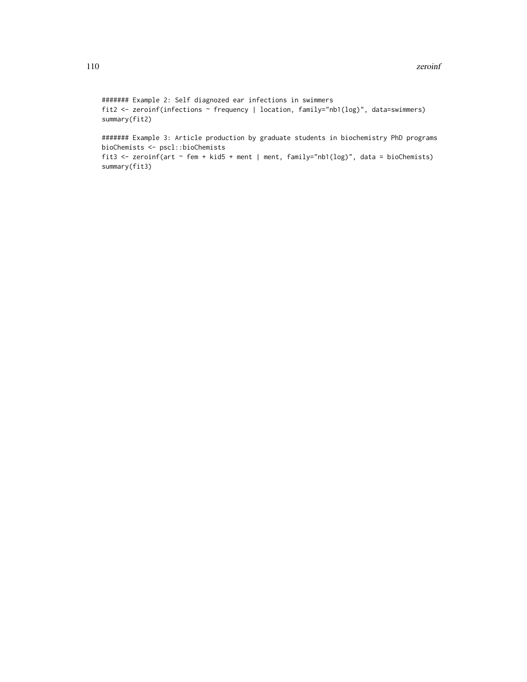```
####### Example 2: Self diagnozed ear infections in swimmers
fit2 <- zeroinf(infections ~ frequency | location, family="nb1(log)", data=swimmers)
summary(fit2)
```
####### Example 3: Article production by graduate students in biochemistry PhD programs bioChemists <- pscl::bioChemists fit3 <- zeroinf(art ~ fem + kid5 + ment | ment, family="nb1(log)", data = bioChemists) summary(fit3)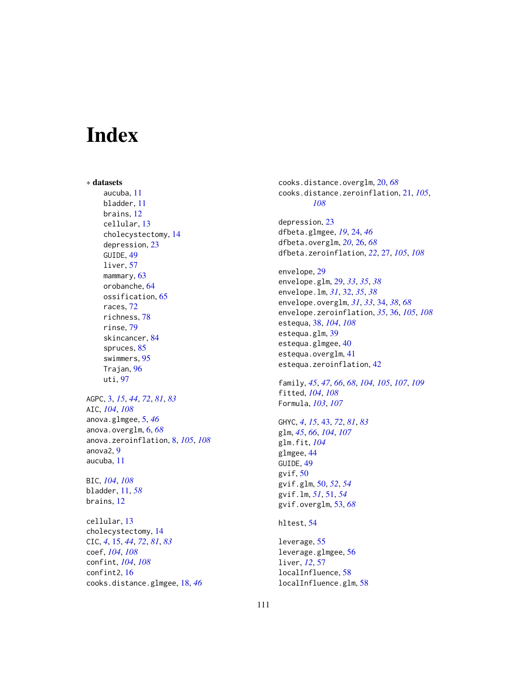# Index

∗ datasets aucuba, [11](#page-10-0) bladder, [11](#page-10-0) brains, [12](#page-11-0) cellular, [13](#page-12-0) cholecystectomy, [14](#page-13-0) depression, [23](#page-22-0) GUIDE, [49](#page-48-0) liver, [57](#page-56-0) mammary, [63](#page-62-0) orobanche, [64](#page-63-0) ossification, [65](#page-64-0) races, [72](#page-71-0) richness, [78](#page-77-0) rinse, [79](#page-78-0) skincancer, [84](#page-83-0) spruces, [85](#page-84-0) swimmers, [95](#page-94-0) Trajan, [96](#page-95-0) uti, [97](#page-96-0) AGPC, [3,](#page-2-0) *[15](#page-14-0)*, *[44](#page-43-0)*, *[72](#page-71-0)*, *[81](#page-80-0)*, *[83](#page-82-0)* AIC, *[104](#page-103-0)*, *[108](#page-107-0)* anova.glmgee, [5,](#page-4-0) *[46](#page-45-0)* anova.overglm, [6,](#page-5-0) *[68](#page-67-0)* anova.zeroinflation, [8,](#page-7-0) *[105](#page-104-0)*, *[108](#page-107-0)* anova2, [9](#page-8-0) aucuba, [11](#page-10-0) BIC, *[104](#page-103-0)*, *[108](#page-107-0)* bladder, [11,](#page-10-0) *[58](#page-57-0)* brains, [12](#page-11-0) cellular, [13](#page-12-0) cholecystectomy, [14](#page-13-0) CIC, *[4](#page-3-0)*, [15,](#page-14-0) *[44](#page-43-0)*, *[72](#page-71-0)*, *[81](#page-80-0)*, *[83](#page-82-0)*

coef, *[104](#page-103-0)*, *[108](#page-107-0)* confint, *[104](#page-103-0)*, *[108](#page-107-0)* confint2, [16](#page-15-0) cooks.distance.glmgee, [18,](#page-17-0) *[46](#page-45-0)* cooks.distance.overglm, [20,](#page-19-0) *[68](#page-67-0)* cooks.distance.zeroinflation, [21,](#page-20-0) *[105](#page-104-0)*, *[108](#page-107-0)*

depression, [23](#page-22-0) dfbeta.glmgee, *[19](#page-18-0)*, [24,](#page-23-0) *[46](#page-45-0)* dfbeta.overglm, *[20](#page-19-0)*, [26,](#page-25-0) *[68](#page-67-0)* dfbeta.zeroinflation, *[22](#page-21-0)*, [27,](#page-26-0) *[105](#page-104-0)*, *[108](#page-107-0)*

envelope, [29](#page-28-0) envelope.glm, [29,](#page-28-0) *[33](#page-32-0)*, *[35](#page-34-0)*, *[38](#page-37-0)* envelope.lm, *[31](#page-30-0)*, [32,](#page-31-0) *[35](#page-34-0)*, *[38](#page-37-0)* envelope.overglm, *[31](#page-30-0)*, *[33](#page-32-0)*, [34,](#page-33-0) *[38](#page-37-0)*, *[68](#page-67-0)* envelope.zeroinflation, *[35](#page-34-0)*, [36,](#page-35-0) *[105](#page-104-0)*, *[108](#page-107-0)* estequa, [38,](#page-37-0) *[104](#page-103-0)*, *[108](#page-107-0)* estequa.glm, [39](#page-38-0) estequa.glmgee, [40](#page-39-0) estequa.overglm, [41](#page-40-0) estequa.zeroinflation, [42](#page-41-0)

family, *[45](#page-44-0)*, *[47](#page-46-0)*, *[66](#page-65-1)*, *[68](#page-67-0)*, *[104,](#page-103-0) [105](#page-104-0)*, *[107](#page-106-0)*, *[109](#page-108-0)* fitted, *[104](#page-103-0)*, *[108](#page-107-0)* Formula, *[103](#page-102-1)*, *[107](#page-106-0)*

GHYC, *[4](#page-3-0)*, *[15](#page-14-0)*, [43,](#page-42-0) *[72](#page-71-0)*, *[81](#page-80-0)*, *[83](#page-82-0)* glm, *[45](#page-44-0)*, *[66](#page-65-1)*, *[104](#page-103-0)*, *[107](#page-106-0)* glm.fit, *[104](#page-103-0)* glmgee, [44](#page-43-0) GUIDE, [49](#page-48-0) gvif, [50](#page-49-0) gvif.glm, [50,](#page-49-0) *[52](#page-51-0)*, *[54](#page-53-0)* gvif.lm, *[51](#page-50-0)*, [51,](#page-50-0) *[54](#page-53-0)* gvif.overglm, [53,](#page-52-0) *[68](#page-67-0)*

hltest, [54](#page-53-0)

leverage, [55](#page-54-0) leverage.glmgee, [56](#page-55-0) liver, *[12](#page-11-0)*, [57](#page-56-0) localInfluence, [58](#page-57-0) localInfluence.glm, [58](#page-57-0)